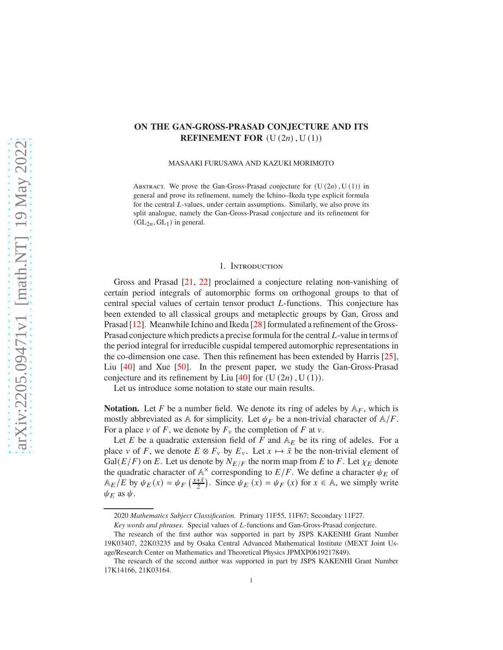# **ON THE GAN-GROSS-PRASAD CONJECTURE AND ITS REFINEMENT FOR**  $(U(2n), U(1))$

MASAAKI FURUSAWA AND KAZUKI MORIMOTO

ABSTRACT. We prove the Gan-Gross-Prasad conjecture for  $(U(2n), U(1))$  in general and prove its refinement, namely the Ichino–Ikeda type explicit formula for the central  $L$ -values, under certain assumptions. Similarly, we also prove its split analogue, namely the Gan-Gross-Prasad conjecture and its refinement for  $(GL<sub>2n</sub>, GL<sub>1</sub>)$  in general.

### 1. Introduction

Gross and Prasad [21, 22] proclaimed a conjecture relating non-vanishing of certain period integrals of automorphic forms on orthogonal groups to that of central special values of certain tensor product *L*-functions. This conjecture has been extended to all classical groups and metaplectic groups by Gan, Gross and Prasad [12]. Meanwhile Ichino and Ikeda [28] formulated a refinement of the Gross-Prasad conjecture which predicts a precise formula for the central  $L$ -value in terms of the period integral for irreducible cuspidal tempered automorphic representations in the co-dimension one case. Then this refinement has been extended by Harris [25], Liu [40] and Xue [50]. In the present paper, we study the Gan-Gross-Prasad conjecture and its refinement by Liu  $[40]$  for  $(U(2n), U(1))$ .

Let us introduce some notation to state our main results.

**Notation.** Let F be a number field. We denote its ring of adeles by  $A_F$ , which is mostly abbreviated as A for simplicity. Let  $\psi_F$  be a non-trivial character of  $A/F$ . For a place  $v$  of F, we denote by  $F_v$  the completion of F at  $v$ .

Let E be a quadratic extension field of F and  $A<sub>E</sub>$  be its ring of adeles. For a place v of F, we denote  $E \otimes F_v$  by  $E_v$ . Let  $x \mapsto \overline{x}$  be the non-trivial element of  $Gal(E/F)$  on E. Let us denote by  $N_{E/F}$  the norm map from E to F. Let  $\chi_E$  denote the quadratic character of  $\mathbb{A}^{\times}$  corresponding to  $E/F$ . We define a character  $\psi_E$  of  $\mathbb{A}_E/E$  by  $\psi_E(x) = \psi_F\left(\frac{x+\bar{x}}{2}\right)$  $\frac{1+\bar{x}}{2}$ ). Since  $\psi_E(x) = \psi_F(x)$  for  $x \in \mathbb{A}$ , we simply write  $\psi_F$  as  $\psi$ .

<sup>2020</sup> *Mathematics Subject Classification.* Primary 11F55, 11F67; Secondary 11F27.

*Key words and phrases.* Special values of *L*-functions and Gan-Gross-Prasad conjecture.

The research of the first author was supported in part by JSPS KAKENHI Grant Number 19K03407, 22K03235 and by Osaka Central Advanced Mathematical Institute (MEXT Joint Usage/Research Center on Mathematics and Theoretical Physics JPMXP0619217849).

The research of the second author was supported in part by JSPS KAKENHI Grant Number 17K14166, 21K03164.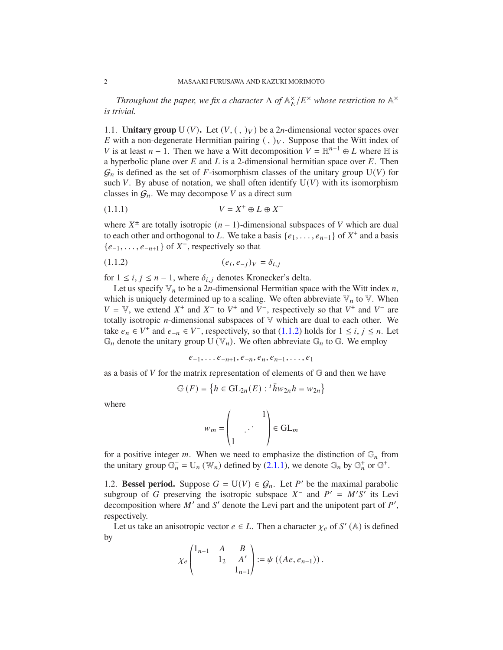*Throughout the paper, we fix a character*  $\Lambda$  *of*  $\mathbb{A}_{E}^{\times}/E^{\times}$  whose restriction to  $\mathbb{A}^{\times}$ *is trivial.*

1.1. **Unitary group** U (V). Let  $(V, ( , )_V)$  be a 2*n*-dimensional vector spaces over E with a non-degenerate Hermitian pairing  $($ ,  $)_V$ . Suppose that the Witt index of V is at least  $n - 1$ . Then we have a Witt decomposition  $V = \mathbb{H}^{n-1} \oplus L$  where  $\mathbb H$  is a hyperbolic plane over  $E$  and  $L$  is a 2-dimensional hermitian space over  $E$ . Then  $\mathcal{G}_n$  is defined as the set of F-isomorphism classes of the unitary group  $U(V)$  for such V. By abuse of notation, we shall often identify  $U(V)$  with its isomorphism classes in  $G_n$ . We may decompose V as a direct sum

$$
(1.1.1)\qquad \qquad V = X^+ \oplus L \oplus X^-
$$

where  $X^{\pm}$  are totally isotropic  $(n - 1)$ -dimensional subspaces of V which are dual to each other and orthogonal to L. We take a basis  $\{e_1, \ldots, e_{n-1}\}$  of  $X^+$  and a basis  $\{e_{-1}, \ldots, e_{-n+1}\}$  of  $X^-$ , respectively so that

(1.1.2) 
$$
(e_i, e_{-j})_V = \delta_{i,j}
$$

for  $1 \le i, j \le n-1$ , where  $\delta_{i,j}$  denotes Kronecker's delta.

Let us specify  $\mathbb{V}_n$  to be a 2*n*-dimensional Hermitian space with the Witt index *n*, which is uniquely determined up to a scaling. We often abbreviate  $\mathbb{V}_n$  to  $\mathbb{V}$ . When  $V = V$ , we extend  $X^+$  and  $X^-$  to  $V^+$  and  $V^-$ , respectively so that  $V^+$  and  $V^-$  are totally isotropic  $n$ -dimensional subspaces of  $V$  which are dual to each other. We take  $e_n \in V^+$  and  $e_{-n} \in V^-$ , respectively, so that (1.1.2) holds for  $1 \le i, j \le n$ . Let  $\mathbb{G}_n$  denote the unitary group U  $(\mathbb{V}_n)$ . We often abbreviate  $\mathbb{G}_n$  to  $\mathbb{G}$ . We employ

$$
e_{-1}, \ldots e_{-n+1}, e_{-n}, e_n, e_{n-1}, \ldots, e_1
$$

as a basis of  $V$  for the matrix representation of elements of  $\mathbb G$  and then we have

$$
\mathbb{G}(F) = \left\{ h \in \mathrm{GL}_{2n}(E) : {}^{t} \overline{h} w_{2n} h = w_{2n} \right\}
$$

where

$$
w_m = \begin{pmatrix} 1 \\ 1 \end{pmatrix} \in GL_m
$$

for a positive integer *m*. When we need to emphasize the distinction of  $\mathbb{G}_n$  from the unitary group  $\mathbb{G}_n^- = U_n(\mathbb{W}_n)$  defined by (2.1.1), we denote  $\mathbb{G}_n$  by  $\mathbb{G}_n^+$  or  $\mathbb{G}^+$ .

1.2. **Bessel period.** Suppose  $G = U(V) \in G_n$ . Let P' be the maximal parabolic subgroup of G preserving the isotropic subspace  $X^-$  and  $P' = M'S'$  its Levi decomposition where  $M'$  and  $S'$  denote the Levi part and the unipotent part of  $P'$ , respectively.

Let us take an anisotropic vector  $e \in L$ . Then a character  $\chi_e$  of S' (A) is defined by

$$
\chi_e \begin{pmatrix} 1_{n-1} & A & B \\ & 1_2 & A' \\ & & 1_{n-1} \end{pmatrix} := \psi ((Ae, e_{n-1})).
$$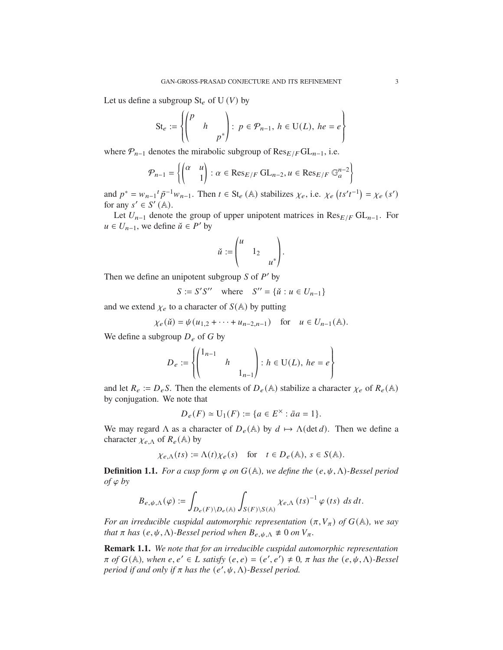Let us define a subgroup  $St_e$  of U (V) by

$$
\mathrm{St}_e := \left\{ \begin{pmatrix} p & & \\ & h & \\ & & p^* \end{pmatrix} : p \in \mathcal{P}_{n-1}, h \in \mathrm{U}(L), he = e \right\}
$$

where  $P_{n-1}$  denotes the mirabolic subgroup of  $\text{Res}_{E/F} \text{GL}_{n-1}$ , i.e.

$$
\mathcal{P}_{n-1} = \left\{ \begin{pmatrix} \alpha & u \\ & 1 \end{pmatrix} : \alpha \in \text{Res}_{E/F} \text{ GL}_{n-2}, u \in \text{Res}_{E/F} \mathbb{G}_a^{n-2} \right\}
$$

and  $p^* = w_{n-1} t \bar{p}^{-1} w_{n-1}$ . Then  $t \in \text{St}_e(\mathbb{A})$  stabilizes  $\chi_e$ , i.e.  $\chi_e(t s' t^{-1}) = \chi_e(s')$ for any  $s' \in S'(\mathbb{A})$ .

Let  $U_{n-1}$  denote the group of upper unipotent matrices in  $\text{Res}_{E/F} \text{GL}_{n-1}$ . For  $u \in U_{n-1}$ , we define  $\check{u} \in P'$  by

$$
\check{u} := \begin{pmatrix} u & & \\ & 1_2 & \\ & & u^* \end{pmatrix}.
$$

Then we define an unipotent subgroup  $S$  of  $P'$  by

$$
S := S'S'' \quad \text{where} \quad S'' = \{ \check{u} : u \in U_{n-1} \}
$$

and we extend  $\chi_e$  to a character of  $S(A)$  by putting

$$
\chi_e(\check{u}) = \psi(u_{1,2} + \cdots + u_{n-2,n-1})
$$
 for  $u \in U_{n-1}(\mathbb{A})$ .

We define a subgroup  $D_e$  of G by

$$
D_e := \left\{ \begin{pmatrix} 1_{n-1} & & \\ & h & \\ & & 1_{n-1} \end{pmatrix} : h \in U(L), \ he = e \right\}
$$

and let  $R_e := D_e S$ . Then the elements of  $D_e(A)$  stabilize a character  $\chi_e$  of  $R_e(A)$ by conjugation. We note that

$$
D_e(F) \simeq U_1(F) := \{ a \in E^{\times} : \bar{a}a = 1 \}.
$$

We may regard  $\Lambda$  as a character of  $D_e(\mathbb{A})$  by  $d \mapsto \Lambda(\det d)$ . Then we define a character  $\chi_{e,\Lambda}$  of  $R_e(\mathbb{A})$  by

$$
\chi_{e,\Lambda}(ts) := \Lambda(t)\chi_e(s) \quad \text{for} \quad t \in D_e(\mathbb{A}), \ s \in S(\mathbb{A}).
$$

**Definition 1.1.** *For a cusp form*  $\varphi$  *on*  $G(\mathbb{A})$ *, we define the*  $(e, \psi, \Lambda)$ *-Bessel period*  $of \varphi$  *by* 

$$
B_{e,\psi,\Lambda}(\varphi) := \int_{D_e(F) \backslash D_e(\mathbb{A})} \int_{S(F) \backslash S(\mathbb{A})} \chi_{e,\Lambda} (ts)^{-1} \varphi (ts) \, ds \, dt.
$$

*For an irreducible cuspidal automorphic representation*  $(\pi, V_{\pi})$  *of*  $G(\mathbb{A})$ *, we say that*  $\pi$  *has*  $(e, \psi, \Lambda)$ *-Bessel period when*  $B_{e, \psi, \Lambda} \neq 0$  *on*  $V_{\pi}$ *.* 

**Remark 1.1.** *We note that for an irreducible cuspidal automorphic representation*  $\pi$  *of*  $G(\mathbb{A})$ , when  $e, e' \in L$  satisfy  $(e, e) = (e', e') \neq 0$ ,  $\pi$  has the  $(e, \psi, \Lambda)$ -Bessel *period if and only if*  $\pi$  *has the*  $(e', \psi, \Lambda)$ -Bessel period.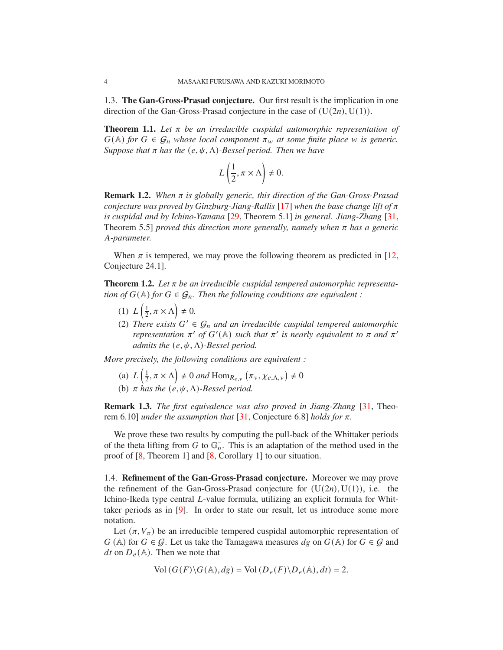1.3. **The Gan-Gross-Prasad conjecture.** Our first result is the implication in one direction of the Gan-Gross-Prasad conjecture in the case of  $(U(2n), U(1))$ .

**Theorem 1.1.** Let  $\pi$  be an irreducible cuspidal automorphic representation of  $G(A)$  *for*  $G \in \mathcal{G}_n$  *whose local component*  $\pi_w$  *at some finite place w is generic. Suppose that*  $\pi$  *has the*  $(e, \psi, \Lambda)$ *-Bessel period. Then we have* 

$$
L\left(\frac{1}{2}, \pi \times \Lambda\right) \neq 0.
$$

**Remark 1.2.** When  $\pi$  is globally generic, this direction of the Gan-Gross-Prasad *conjecture was proved by Ginzburg-Jiang-Rallis* [17] *when the base change lift of*  $\pi$ *is cuspidal and by Ichino-Yamana* [29, Theorem 5.1] *in general. Jiang-Zhang* [31, Theorem 5.5] *proved this direction more generally, namely when*  $\pi$  *has a generic* 𝐴*-parameter.*

When  $\pi$  is tempered, we may prove the following theorem as predicted in [12, Conjecture 24.1].

**Theorem 1.2.** Let  $\pi$  be an irreducible cuspidal tempered automorphic representa*tion of*  $G(\mathbb{A})$  *for*  $G \in \mathcal{G}_n$ *. Then the following conditions are equivalent :* 

- (1)  $L\left(\frac{1}{2}\right)$  $\frac{1}{2}, \pi \times \Lambda$   $\neq$  0.
- (2) There exists  $G' \in \mathcal{G}_n$  and an irreducible cuspidal tempered automorphic *representation*  $\pi'$  *of*  $G'(\mathbb{A})$  *such that*  $\pi'$  *is nearly equivalent to*  $\pi$  *and*  $\pi'$ *admits the*  $(e, \psi, \Lambda)$ *-Bessel period.*

*More precisely, the following conditions are equivalent :*

- (a)  $L\left(\frac{1}{2}\right)$  $\left(\frac{1}{2}, \pi \times \Lambda\right) \neq 0$  and  $\text{Hom}_{R_{e,v}}\left(\pi_v, \chi_{e,\Lambda,v}\right) \neq 0$
- (b)  $\pi$  has the  $(e, \psi, \Lambda)$ -Bessel period.

**Remark 1.3.** *The first equivalence was also proved in Jiang-Zhang* [31, Theorem 6.10] *under the assumption that* [31, Conjecture 6.8] *holds for*  $\pi$ *.* 

We prove these two results by computing the pull-back of the Whittaker periods of the theta lifting from G to  $\mathbb{G}_n^-$ . This is an adaptation of the method used in the proof of [8, Theorem 1] and [8, Corollary 1] to our situation.

1.4. **Refinement of the Gan-Gross-Prasad conjecture.** Moreover we may prove the refinement of the Gan-Gross-Prasad conjecture for  $(U(2n), U(1))$ , i.e. the Ichino-Ikeda type central *L*-value formula, utilizing an explicit formula for Whittaker periods as in [9]. In order to state our result, let us introduce some more notation.

Let  $(\pi, V_{\pi})$  be an irreducible tempered cuspidal automorphic representation of  $G(A)$  for  $G \in \mathcal{G}$ . Let us take the Tamagawa measures  $dg$  on  $G(A)$  for  $G \in \mathcal{G}$  and *dt* on  $D_e(A)$ . Then we note that

$$
Vol(G(F)\backslash G(\mathbb{A}), dg) = Vol(D_e(F)\backslash D_e(\mathbb{A}), dt) = 2.
$$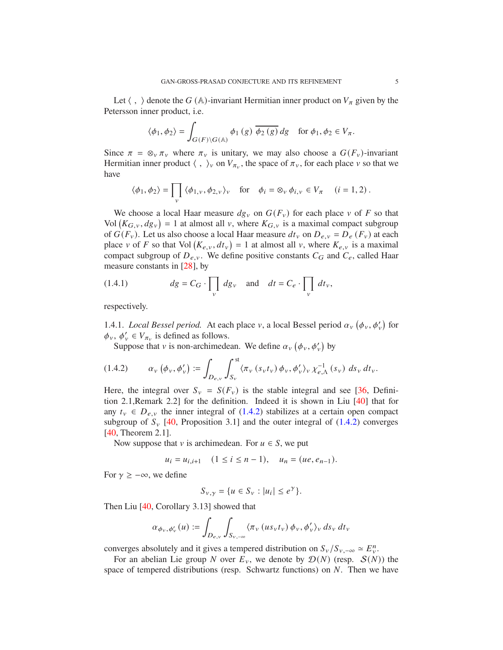Let  $\langle , \rangle$  denote the G (A)-invariant Hermitian inner product on  $V_{\pi}$  given by the Petersson inner product, i.e.

$$
\langle \phi_1, \phi_2 \rangle = \int_{G(F) \backslash G(\mathbb{A})} \phi_1(g) \overline{\phi_2(g)} dg \quad \text{for } \phi_1, \phi_2 \in V_\pi.
$$

Since  $\pi = \otimes_v \pi_v$  where  $\pi_v$  is unitary, we may also choose a  $G(F_v)$ -invariant Hermitian inner product  $\langle , \rangle_{v}$  on  $V_{\pi_{v}}$ , the space of  $\pi_{v}$ , for each place  $v$  so that we have

$$
\langle \phi_1, \phi_2 \rangle = \prod_v \langle \phi_{1,v}, \phi_{2,v} \rangle_v \quad \text{for} \quad \phi_i = \otimes_v \phi_{i,v} \in V_\pi \quad (i = 1, 2) \, .
$$

We choose a local Haar measure  $dg_y$  on  $G(F_y)$  for each place v of F so that Vol  $(K_{G,v}, dg_v) = 1$  at almost all v, where  $K_{G,v}$  is a maximal compact subgroup of  $G(F_v)$ . Let us also choose a local Haar measure  $dt_v$  on  $D_{e,v} = D_e(F_v)$  at each place v of F so that Vol  $(K_{e,v}, dt_v) = 1$  at almost all v, where  $K_{e,v}$  is a maximal compact subgroup of  $D_{e,v}$ . We define positive constants  $C_G$  and  $C_e$ , called Haar measure constants in [28], by

(1.4.1) 
$$
dg = C_G \cdot \prod_v dg_v \text{ and } dt = C_e \cdot \prod_v dt_v,
$$

respectively.

1.4.1. *Local Bessel period.* At each place v, a local Bessel period  $\alpha_v$  ( $\phi_v$ ,  $\phi'_v$ ) for  $\phi_v$ ,  $\phi'_v \in V_{\pi_v}$  is defined as follows.

Suppose that v is non-archimedean. We define  $\alpha_v$  ( $\phi_v$ ,  $\phi'_v$ ) by

$$
(1.4.2) \qquad \alpha_{\nu} \left( \phi_{\nu}, \phi_{\nu}' \right) := \int_{D_{e,\nu}} \int_{S_{\nu}}^{st} \langle \pi_{\nu} \left( s_{\nu} t_{\nu} \right) \phi_{\nu}, \phi_{\nu}' \rangle_{\nu} \chi_{e,\Lambda}^{-1} \left( s_{\nu} \right) \, ds_{\nu} \, dt_{\nu}.
$$

Here, the integral over  $S_v = S(F_v)$  is the stable integral and see [36, Definition 2.1,Remark 2.2] for the definition. Indeed it is shown in Liu [40] that for any  $t_v \in D_{e,v}$  the inner integral of (1.4.2) stabilizes at a certain open compact subgroup of  $S_v$  [40, Proposition 3.1] and the outer integral of (1.4.2) converges [40, Theorem 2.1].

Now suppose that v is archimedean. For  $u \in S$ , we put

$$
u_i = u_{i,i+1}
$$
  $(1 \le i \le n-1)$ ,  $u_n = (ue, e_{n-1})$ .

For  $\gamma \geq -\infty$ , we define

$$
S_{\nu,\gamma} = \{ u \in S_{\nu} : |u_i| \le e^{\gamma} \}.
$$

Then Liu [40, Corollary 3.13] showed that

$$
\alpha_{\phi_v,\phi_v'}(u):=\int_{D_{e,v}}\int_{S_{v,-\infty}}\langle \pi_v\left(us_vt_v\right)\phi_v,\phi_v'\rangle_v\,ds_v\,dt_v
$$

converges absolutely and it gives a tempered distribution on  $S_v/S_{v,-\infty} \simeq E_v^n$ .

For an abelian Lie group N over  $E_y$ , we denote by  $\mathcal{D}(N)$  (resp.  $\mathcal{S}(N)$ ) the space of tempered distributions (resp. Schwartz functions) on  $N$ . Then we have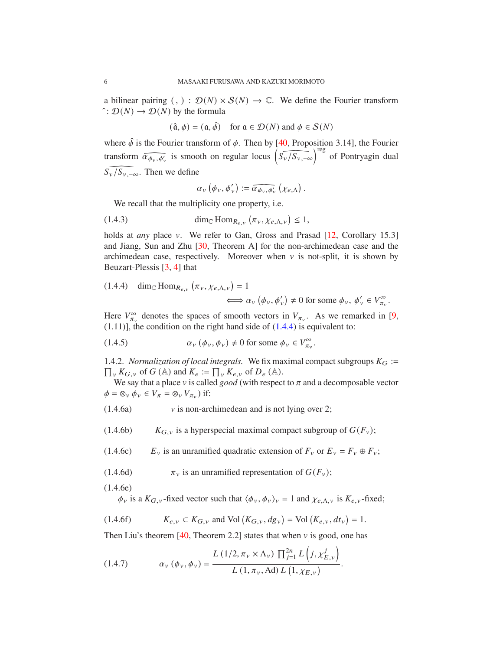a bilinear pairing  $(,) : \mathcal{D}(N) \times \mathcal{S}(N) \rightarrow \mathbb{C}$ . We define the Fourier transform  $\hat{D}(N)$  →  $\mathcal{D}(N)$  by the formula

 $(\hat{\mathfrak{a}}, \phi) = (\mathfrak{a}, \hat{\phi})$  for  $\mathfrak{a} \in \mathcal{D}(N)$  and  $\phi \in \mathcal{S}(N)$ 

where  $\hat{\phi}$  is the Fourier transform of  $\phi$ . Then by [40, Proposition 3.14], the Fourier transform  $\widehat{\alpha_{\phi_v,\phi_v}}$  is smooth on regular locus  $\widehat{\left(S_v/S_{v,-\infty}\right)}^{\text{reg}}$  of Pontryagin dual  $\widehat{S_v/S_{v,-\infty}}$ . Then we define

$$
\alpha_{v}(\phi_{v},\phi'_{v}) := \widehat{\alpha_{\phi_{v},\phi'_{v}}}\left(\chi_{e,\Lambda}\right).
$$

We recall that the multiplicity one property, i.e.

(1.4.3) 
$$
\dim_{\mathbb{C}} \text{Hom}_{R_{e,\nu}}\left(\pi_{\nu}, \chi_{e,\Lambda,\nu}\right) \leq 1,
$$

holds at *any* place v. We refer to Gan, Gross and Prasad [12, Corollary 15.3] and Jiang, Sun and Zhu [30, Theorem A] for the non-archimedean case and the archimedean case, respectively. Moreover when  $v$  is not-split, it is shown by Beuzart-Plessis [3, 4] that

(1.4.4) 
$$
\dim_{\mathbb{C}} \text{Hom}_{R_{e,v}} (\pi_v, \chi_{e,\Lambda,v}) = 1
$$
  
 $\iff \alpha_v (\phi_v, \phi_v') \neq 0 \text{ for some } \phi_v, \phi_v' \in V_{\pi_v}^{\infty}.$ 

Here  $V_{\pi_{\nu}}^{\infty}$  denotes the spaces of smooth vectors in  $V_{\pi_{\nu}}$ . As we remarked in [9,  $(1.11)$ ], the condition on the right hand side of  $(1.4.4)$  is equivalent to:

(1.4.5) 
$$
\alpha_{\nu} (\phi_{\nu}, \phi_{\nu}) \neq 0 \text{ for some } \phi_{\nu} \in V^{\infty}_{\pi_{\nu}}.
$$

1.4.2. *Normalization of local integrals.* We fix maximal compact subgroups  $K_G$  :=  $_{v} K_{G,v}$  of  $G(A)$  and  $K_{e} := \prod_{v} K_{e,v}$  of  $D_{e}(A)$ .

We say that a place  $v$  is called *good* (with respect to  $\pi$  and a decomposable vector  $\phi = \otimes_v \phi_v \in V_{\pi} = \otimes_v V_{\pi_v}$ ) if:

- $(1.4.6a)$  v is non-archimedean and is not lying over 2;
- (1.4.6b)  $K_{G,v}$  is a hyperspecial maximal compact subgroup of  $G(F_v)$ ;

(1.4.6c)  $E_v$  is an unramified quadratic extension of  $F_v$  or  $E_v = F_v \oplus F_v$ ;

(1.4.6d)  $\pi_{\nu}$  is an unramified representation of  $G(F_{\nu})$ ;

(1.4.6e)

 $\phi_v$  is a  $K_{G,v}$ -fixed vector such that  $\langle \phi_v, \phi_v \rangle_v = 1$  and  $\chi_{e,\Lambda,v}$  is  $K_{e,v}$ -fixed;

(1.4.6f) 
$$
K_{e,v} \subset K_{G,v}
$$
 and Vol  $(K_{G,v}, dg_v) = Vol (K_{e,v}, dt_v) = 1$ .

Then Liu's theorem [40, Theorem 2.2] states that when  $\nu$  is good, one has

(1.4.7) 
$$
\alpha_{\nu} (\phi_{\nu}, \phi_{\nu}) = \frac{L (1/2, \pi_{\nu} \times \Lambda_{\nu}) \prod_{j=1}^{2n} L (j, \chi_{E, \nu}^{j})}{L (1, \pi_{\nu}, \text{Ad}) L (1, \chi_{E, \nu})}.
$$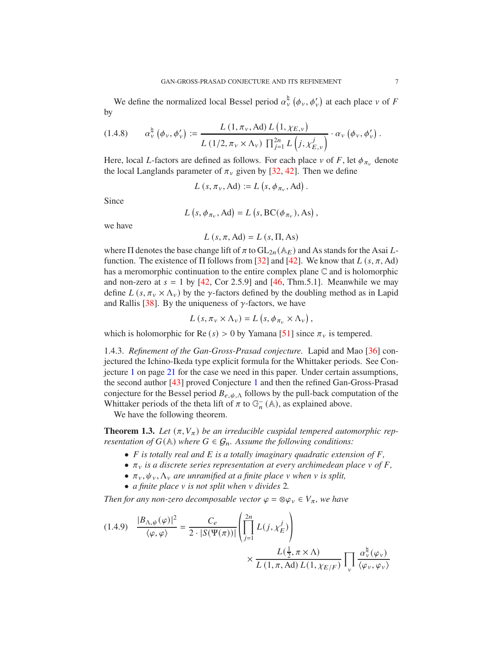We define the normalized local Bessel period  $\alpha_v^{\natural}(\phi_v, \phi_v)$  at each place v of F by

$$
(1.4.8) \qquad \alpha^{\natural}_{\nu} \left( \phi_{\nu}, \phi_{\nu}' \right) := \frac{L\left( 1, \pi_{\nu}, \mathrm{Ad} \right) L\left( 1, \chi_{E, \nu} \right)}{L\left( 1/2, \pi_{\nu} \times \Lambda_{\nu} \right) \prod_{j=1}^{2n} L\left( j, \chi^{j}_{E, \nu} \right)} \cdot \alpha_{\nu} \left( \phi_{\nu}, \phi_{\nu}' \right).
$$

Here, local *L*-factors are defined as follows. For each place  $v$  of F, let  $\phi_{\pi_v}$  denote the local Langlands parameter of  $\pi_{\nu}$  given by [32, 42]. Then we define

$$
L(s, \pi_v, \text{Ad}) := L(s, \phi_{\pi_v}, \text{Ad})
$$

.

Since

$$
L(s, \phi_{\pi_v}, \text{Ad}) = L(s, BC(\phi_{\pi_v}), \text{As}),
$$

we have

$$
L(s, \pi, \text{Ad}) = L(s, \Pi, \text{As})
$$

where  $\Pi$  denotes the base change lift of  $\pi$  to  $GL_{2n}(\mathbb{A}_E)$  and As stands for the Asai Lfunction. The existence of  $\Pi$  follows from [32] and [42]. We know that  $L(s, \pi, Ad)$ has a meromorphic continuation to the entire complex plane C and is holomorphic and non-zero at  $s = 1$  by [42, Cor 2.5.9] and [46, Thm.5.1]. Meanwhile we may define  $L(s, \pi_v \times \Lambda_v)$  by the  $\gamma$ -factors defined by the doubling method as in Lapid and Rallis [38]. By the uniqueness of  $\gamma$ -factors, we have

$$
L\left(s,\pi_{v}\times\Lambda_{v}\right)=L\left(s,\phi_{\pi_{v}}\times\Lambda_{v}\right),\,
$$

which is holomorphic for Re  $(s) > 0$  by Yamana [51] since  $\pi_{\nu}$  is tempered.

1.4.3. *Refinement of the Gan-Gross-Prasad conjecture.* Lapid and Mao [36] conjectured the Ichino-Ikeda type explicit formula for the Whittaker periods. See Conjecture 1 on page 21 for the case we need in this paper. Under certain assumptions, the second author [43] proved Conjecture 1 and then the refined Gan-Gross-Prasad conjecture for the Bessel period  $B_{e, \psi, \Lambda}$  follows by the pull-back computation of the Whittaker periods of the theta lift of  $\pi$  to  $\mathbb{G}_n^{-}(\mathbb{A})$ , as explained above.

We have the following theorem.

**Theorem 1.3.** Let  $(\pi, V_{\pi})$  be an irreducible cuspidal tempered automorphic rep*resentation of*  $G(A)$  *where*  $G \in \mathcal{G}_n$ *. Assume the following conditions:* 

- *F* is totally real and *E* is a totally imaginary quadratic extension of *F*,
- $\pi_v$  *is a discrete series representation at every archimedean place*  $v$  *of*  $F$ *,*
- $\pi_v, \psi_v, \Lambda_v$  *are unramified at a finite place*  $v$  *when*  $v$  *is split,*
- *a finite place*  $\nu$  *is not split when*  $\nu$  *divides* 2*.*

*Then for any non-zero decomposable vector*  $\varphi = \otimes \varphi_v \in V_{\pi}$ *, we have* 

$$
(1.4.9) \quad \frac{|B_{\Lambda,\psi}(\varphi)|^2}{\langle \varphi, \varphi \rangle} = \frac{C_e}{2 \cdot |S(\Psi(\pi))|} \left( \prod_{j=1}^{2n} L(j, \chi_E^j) \right) \times \frac{L(\frac{1}{2}, \pi \times \Lambda)}{L(1, \pi, \text{Ad}) L(1, \chi_{E/F})} \prod_{\nu} \frac{\alpha_{\nu}^{\natural}(\varphi_{\nu})}{\langle \varphi_{\nu}, \varphi_{\nu} \rangle}
$$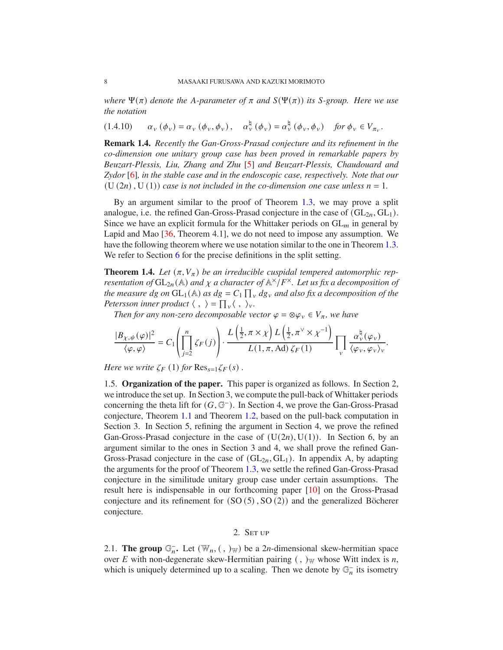*where*  $\Psi(\pi)$  *denote the A-parameter of*  $\pi$  *and*  $S(\Psi(\pi))$  *its S-group. Here we use the notation*

$$
(1.4.10) \qquad \alpha_{\nu} \left( \phi_{\nu} \right) = \alpha_{\nu} \left( \phi_{\nu}, \phi_{\nu} \right), \quad \alpha_{\nu}^{\natural} \left( \phi_{\nu} \right) = \alpha_{\nu}^{\natural} \left( \phi_{\nu}, \phi_{\nu} \right) \quad \text{for } \phi_{\nu} \in V_{\pi_{\nu}}.
$$

**Remark 1.4.** *Recently the Gan-Gross-Prasad conjecture and its refinement in the co-dimension one unitary group case has been proved in remarkable papers by Beuzart-Plessis, Liu, Zhang and Zhu* [5] *and Beuzart-Plessis, Chaudouard and Zydor* [6]*, in the stable case and in the endoscopic case, respectively. Note that our*  $(U(2n), U(1))$  *case is not included in the co-dimension one case unless*  $n = 1$ *.* 

By an argument similar to the proof of Theorem 1.3, we may prove a split analogue, i.e. the refined Gan-Gross-Prasad conjecture in the case of  $(GL<sub>2n</sub>, GL<sub>1</sub>)$ . Since we have an explicit formula for the Whittaker periods on  $GL_m$  in general by Lapid and Mao [36, Theorem 4.1], we do not need to impose any assumption. We have the following theorem where we use notation similar to the one in Theorem 1.3. We refer to Section 6 for the precise definitions in the split setting.

**Theorem 1.4.** Let  $(\pi, V_{\pi})$  be an irreducible cuspidal tempered automorphic rep*resentation of*  $GL_{2n}(\mathbb{A})$  *and*  $\chi$  *a character of*  $\mathbb{A}^{\times}/F^{\times}$ *. Let us fix a decomposition of the measure*  $dg$  *on*  $GL_1(\mathbb{A})$  *as*  $dg = C_1 \prod_v dg_v$  *and also fix a decomposition of the Petersson inner product*  $\langle , \rangle = \prod_{v} \langle , \rangle_{v}$ .

*Then for any non-zero decomposable vector*  $\varphi = \otimes \varphi_v \in V_\pi$ *, we have* 

$$
\frac{|B_{\chi,\psi}(\varphi)|^2}{\langle \varphi, \varphi \rangle} = C_1 \left( \prod_{j=2}^n \zeta_F(j) \right) \cdot \frac{L\left(\frac{1}{2}, \pi \times \chi\right) L\left(\frac{1}{2}, \pi^{\vee} \times \chi^{-1}\right)}{L(1, \pi, \text{Ad}) \zeta_F(1)} \prod_{\nu} \frac{\alpha_{\nu}^{\natural}(\varphi_{\nu})}{\langle \varphi_{\nu}, \varphi_{\nu} \rangle_{\nu}}.
$$

*Here we write*  $\zeta_F(1)$  *for*  $\text{Res}_{s=1} \zeta_F(s)$  *.* 

1.5. **Organization of the paper.** This paper is organized as follows. In Section 2, we introduce the set up. In Section 3, we compute the pull-back of Whittaker periods concerning the theta lift for  $(G, \mathbb{G}^{-})$ . In Section 4, we prove the Gan-Gross-Prasad conjecture, Theorem 1.1 and Theorem 1.2, based on the pull-back computation in Section 3. In Section 5, refining the argument in Section 4, we prove the refined Gan-Gross-Prasad conjecture in the case of  $(U(2n), U(1))$ . In Section 6, by an argument similar to the ones in Section 3 and 4, we shall prove the refined Gan-Gross-Prasad conjecture in the case of  $(GL<sub>2n</sub>, GL<sub>1</sub>)$ . In appendix A, by adapting the arguments for the proof of Theorem 1.3, we settle the refined Gan-Gross-Prasad conjecture in the similitude unitary group case under certain assumptions. The result here is indispensable in our forthcoming paper [10] on the Gross-Prasad conjecture and its refinement for  $(SO(5), SO(2))$  and the generalized Böcherer conjecture.

### 2. SET UP

2.1. **The group**  $\mathbb{G}_n^-$ . Let  $(\mathbb{W}_n, (,)_{\mathbb{W}})$  be a 2*n*-dimensional skew-hermitian space over E with non-degenerate skew-Hermitian pairing  $($ ,  $)$ <sub>W</sub> whose Witt index is *n*, which is uniquely determined up to a scaling. Then we denote by  $\mathbb{G}_n^-$  its isometry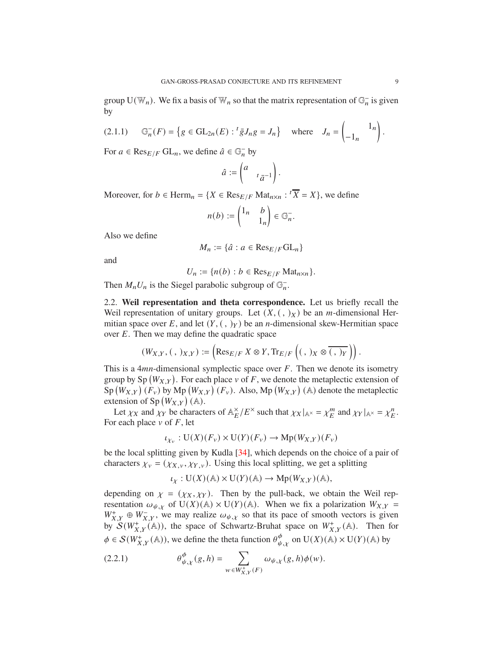group  $U(\mathbb{W}_n)$ . We fix a basis of  $\mathbb{W}_n$  so that the matrix representation of  $\mathbb{G}_n^-$  is given by

$$
(2.1.1) \qquad \mathbb{G}_n^-(F) = \left\{ g \in \mathrm{GL}_{2n}(E) : {}^t \bar{g} J_n g = J_n \right\} \quad \text{where} \quad J_n = \begin{pmatrix} 1_n \\ -1_n \end{pmatrix}.
$$

For  $a \in \text{Res}_{E/F}$  GL<sub>n</sub>, we define  $\hat{a} \in \mathbb{G}_n^-$  by

$$
\hat{a} := \begin{pmatrix} a & & \\ & t\bar{a}^{-1} \end{pmatrix}.
$$

Moreover, for  $b \in \text{Herm}_n = \{X \in \text{Res}_{E/F} \text{Mat}_{n \times n} : {}^t\overline{X} = X\}$ , we define

$$
n(b):=\begin{pmatrix}1_n&b\\&1_n\end{pmatrix}\in \mathbb{G}_n^-.
$$

Also we define

$$
M_n := \{ \hat{a} : a \in \text{Res}_{E/F}\text{GL}_n \}
$$

and

$$
U_n := \{ n(b) : b \in \text{Res}_{E/F} \text{Mat}_{n \times n} \}.
$$

Then  $M_n U_n$  is the Siegel parabolic subgroup of  $\mathbb{G}_n^-$ .

2.2. **Weil representation and theta correspondence.** Let us briefly recall the Weil representation of unitary groups. Let  $(X, ( , )_X)$  be an *m*-dimensional Hermitian space over E, and let  $(Y, ( , )_Y)$  be an *n*-dimensional skew-Hermitian space over  $E$ . Then we may define the quadratic space

$$
(W_{X,Y}, (\, , \,)_{X,Y}) := \left( \text{Res}_{E/F} \; X \otimes Y, \text{Tr}_{E/F} \left( (\, , \,)_{X} \otimes \overline{(\, , \,)_{Y}} \, \right) \right).
$$

This is a 4 $mn$ -dimensional symplectic space over  $F$ . Then we denote its isometry group by Sp  $(W_{X,Y})$ . For each place v of F, we denote the metaplectic extension of  $\text{Sp}(W_{X,Y})$   $(F_v)$  by Mp  $(W_{X,Y})$   $(F_v)$ . Also, Mp  $(W_{X,Y})$  (A) denote the metaplectic extension of Sp  $(W_{X,Y})$  (A).

Let  $\chi_X$  and  $\chi_Y$  be characters of  $\mathbb{A}_{E}^{\times}/E^{\times}$  such that  $\chi_X|_{\mathbb{A}^{\times}} = \chi_E^m$  and  $\chi_Y|_{\mathbb{A}^{\times}} = \chi_E^n$ . For each place  $\nu$  of  $F$ , let

$$
\iota_{\chi_v} : \mathrm{U}(X)(F_v) \times \mathrm{U}(Y)(F_v) \to \mathrm{Mp}(W_{X,Y})(F_v)
$$

be the local splitting given by Kudla [34], which depends on the choice of a pair of characters  $\chi_v = (\chi_{X,v}, \chi_{Y,v})$ . Using this local splitting, we get a splitting

$$
\iota_X: \mathrm{U}(X)(\mathbb{A}) \times \mathrm{U}(Y)(\mathbb{A}) \to \mathrm{Mp}(W_{X,Y})(\mathbb{A}),
$$

depending on  $\chi = (\chi_X, \chi_Y)$ . Then by the pull-back, we obtain the Weil representation  $\omega_{\psi,\chi}$  of U(X)(A) × U(Y)(A). When we fix a polarization  $W_{X,Y}$  =  $W^+_{X,Y}$   $\oplus$   $W^-_{X,Y}$ , we may realize  $\omega_{\psi,\chi}$  so that its pace of smooth vectors is given by  $S(W_{X,Y}^+(\mathbb{A}))$ , the space of Schwartz-Bruhat space on  $W_{X,Y}^+(\mathbb{A})$ . Then for  $\phi \in \mathcal{S}(W^+_{X,Y}(\mathbb{A}))$ , we define the theta function  $\theta_{\psi,x}^{\phi}$  on  $U(X)(\mathbb{A}) \times U(Y)(\mathbb{A})$  by

(2.2.1) 
$$
\theta_{\psi,\chi}^{\phi}(g,h) = \sum_{w \in W_{X,Y}^+(F)} \omega_{\psi,\chi}(g,h)\phi(w).
$$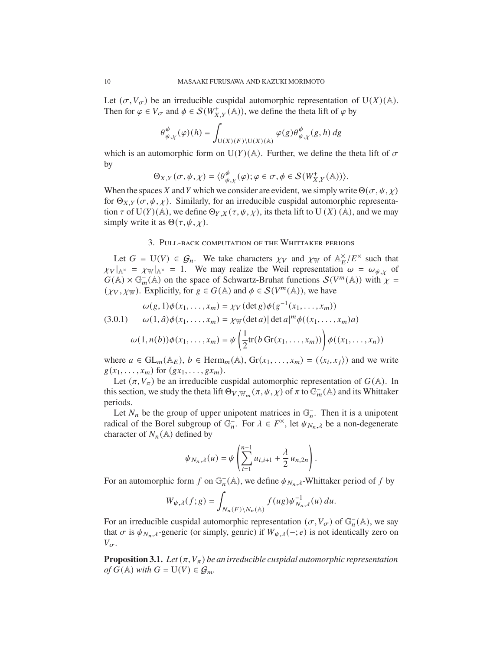Let  $(\sigma, V_{\sigma})$  be an irreducible cuspidal automorphic representation of U(X)(A). Then for  $\varphi \in V_{\sigma}$  and  $\phi \in \mathcal{S}(W^+_{X,Y}(\mathbb{A}))$ , we define the theta lift of  $\varphi$  by

$$
\theta^\phi_{\psi,\chi}(\varphi)(h)=\int_{\mathrm{U}(X)(F)\backslash \mathrm{U}(X)(\mathbb{A})}\varphi(g)\theta^\phi_{\psi,\chi}(g,h)\,dg
$$

which is an automorphic form on U( $Y$ )(A). Further, we define the theta lift of  $\sigma$ by

$$
\Theta_{X,Y}(\sigma,\psi,\chi)=\langle\theta_{\psi,\chi}^{\phi}(\varphi);\varphi\in\sigma,\phi\in\mathcal{S}(W_{X,Y}^{+}(\mathbb{A}))\rangle.
$$

When the spaces X and Y which we consider are evident, we simply write  $\Theta(\sigma, \psi, \chi)$ for  $\Theta_{X,Y}(\sigma, \psi, \chi)$ . Similarly, for an irreducible cuspidal automorphic representation  $\tau$  of U(Y)(A), we define  $\Theta_{Y,X}(\tau,\psi,\chi)$ , its theta lift to U(X)(A), and we may simply write it as  $\Theta(\tau, \psi, \chi)$ .

## 3. Pull-back computation of the Whittaker periods

Let  $G = U(V) \in \mathcal{G}_n$ . We take characters  $\chi_V$  and  $\chi_W$  of  $\mathbb{A}_E^{\times}/E^{\times}$  such that  $\chi_V|_{A^\times} = \chi_W|_{A^\times} = 1$ . We may realize the Weil representation  $\omega = \omega_{\psi, \chi}$  of  $G(\mathbb{A}) \times \mathbb{G}_m^{-}(\mathbb{A})$  on the space of Schwartz-Bruhat functions  $S(V^m(\mathbb{A}))$  with  $\chi =$  $(\chi_V, \chi_W)$ . Explicitly, for  $g \in G(\mathbb{A})$  and  $\phi \in \mathcal{S}(V^m(\mathbb{A}))$ , we have

$$
\omega(g, 1)\phi(x_1, ..., x_m) = \chi_V(\det g)\phi(g^{-1}(x_1, ..., x_m))
$$
  
(3.0.1) 
$$
\omega(1, \hat{a})\phi(x_1, ..., x_m) = \chi_W(\det a) |\det a|^m \phi((x_1, ..., x_m)a)
$$

$$
\omega(1, n(b))\phi(x_1, ..., x_m) = \psi\left(\frac{1}{2}\text{tr}(b\operatorname{Gr}(x_1, ..., x_m))\right)\phi((x_1, ..., x_n))
$$

where  $a \in GL_m(\mathbb{A}_E)$ ,  $b \in \text{Herm}_m(\mathbb{A})$ ,  $\text{Gr}(x_1, \ldots, x_m) = (\langle x_i, x_j \rangle)$  and we write  $g(x_1, \ldots, x_m)$  for  $(gx_1, \ldots, gx_m)$ .

Let  $(\pi, V_{\pi})$  be an irreducible cuspidal automorphic representation of  $G(\mathbb{A})$ . In this section, we study the theta lift  $\Theta_{V,\mathbb{W}_m}(\pi,\psi,\chi)$  of  $\pi$  to  $\mathbb{G}_m^-(\mathbb{A})$  and its Whittaker periods.

Let  $N_n$  be the group of upper unipotent matrices in  $\mathbb{G}_n^-$ . Then it is a unipotent radical of the Borel subgroup of  $\mathbb{G}_n^-$ . For  $\lambda \in F^\times$ , let  $\psi_{N_n,\lambda}$  be a non-degenerate character of  $N_n(\mathbb{A})$  defined by

$$
\psi_{N_n,\lambda}(u) = \psi\left(\sum_{i=1}^{n-1} u_{i,i+1} + \frac{\lambda}{2} u_{n,2n}\right).
$$

For an automorphic form f on  $\mathbb{G}_n^-(\mathbb{A})$ , we define  $\psi_{N_n,\lambda}$ -Whittaker period of f by

$$
W_{\psi,\lambda}(f;g)=\int_{N_n(F)\backslash N_n(\mathbb A)}f(ug)\psi_{N_n,\lambda}^{-1}(u)\,du.
$$

For an irreducible cuspidal automorphic representation  $(\sigma, V_{\sigma})$  of  $\mathbb{G}_n^-(\mathbb{A})$ , we say that  $\sigma$  is  $\psi_{N_n,\lambda}$ -generic (or simply, genric) if  $W_{\psi,\lambda}(-;e)$  is not identically zero on  $V_{\sigma}$ .

**Proposition 3.1.** *Let*  $(\pi, V_{\pi})$  *be an irreducible cuspidal automorphic representation of*  $G(\mathbb{A})$  *with*  $G = U(V) \in \mathcal{G}_m$ .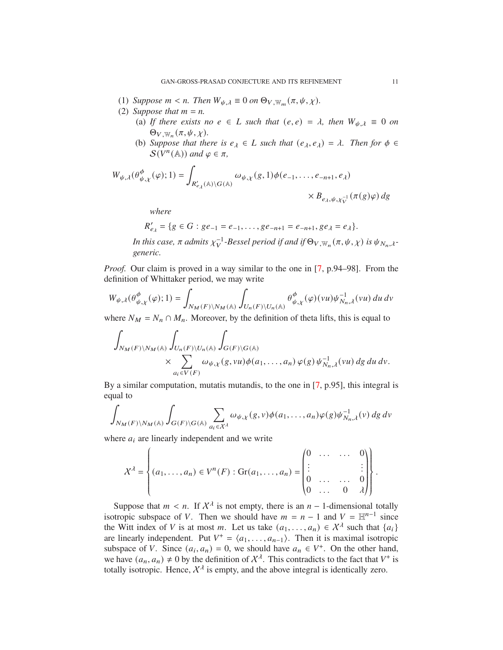- (1) *Suppose*  $m < n$ . Then  $W_{\psi, \lambda} \equiv 0$  on  $\Theta_{V, \mathbb{W}_m}(\pi, \psi, \chi)$ .
- (2) *Suppose that*  $m = n$ .
	- (a) If there exists no  $e \in L$  such that  $(e, e) = \lambda$ , then  $W_{\psi, \lambda} \equiv 0$  on  $\Theta_{V,\mathbb{W}_{n}}(\pi,\psi,\chi)$ .
	- (b) *Suppose that there is*  $e_{\lambda} \in L$  *such that*  $(e_{\lambda}, e_{\lambda}) = \lambda$ *. Then for*  $\phi \in L$  $S(V^n(\mathbb{A}))$  and  $\varphi \in \pi$ ,

$$
\begin{split} W_{\psi,\lambda}(\theta_{\psi,\chi}^{\phi}(\varphi);1) &= \int_{R_{e_{\lambda}}'(\mathbb{A})\backslash G(\mathbb{A})} \omega_{\psi,\chi}(g,1) \phi(e_{-1},\dots,e_{-n+1},e_{\lambda}) \\ &\quad \times B_{e_{\lambda},\psi,\chi_{V}^{-1}}(\pi(g)\varphi)\, dg \end{split}
$$

*where*

$$
R'_{e_{\lambda}} = \{ g \in G : ge_{-1} = e_{-1}, \ldots, ge_{-n+1} = e_{-n+1}, ge_{\lambda} = e_{\lambda} \}.
$$

*In this case,*  $\pi$  admits  $\chi_V^{-1}$ -Bessel period if and if  $\Theta_{V,\mathbb{W}_n}(\pi,\psi,\chi)$  is  $\psi_{N_n,\lambda}$ *generic.*

*Proof.* Our claim is proved in a way similar to the one in [7, p.94–98]. From the definition of Whittaker period, we may write

$$
W_{\psi,\lambda}(\theta^\phi_{\psi,\chi}(\varphi);1)=\int_{N_M(F)\backslash N_M(\mathbb{A})}\int_{U_n(F)\backslash U_n(\mathbb{A})}\theta^\phi_{\psi,\chi}(\varphi)(vu)\psi_{N_n,\lambda}^{-1}(vu)\,du\,dv
$$

where  $N_M = N_n \cap M_n$ . Moreover, by the definition of theta lifts, this is equal to

$$
\int_{N_M(F)\backslash N_M(\mathbb{A})}\int_{U_n(F)\backslash U_n(\mathbb{A})}\int_{G(F)\backslash G(\mathbb{A})}\times\sum_{a_i\in V(F)}\omega_{\psi,\chi}(g,vu)\phi(a_1,\ldots,a_n)\,\varphi(g)\,\psi_{N_n,\lambda}^{-1}(vu)\,dg\,du\,dv.
$$

By a similar computation, mutatis mutandis, to the one in [7, p.95], this integral is equal to

$$
\int_{N_M(F)\backslash N_M(\mathbb{A})}\int_{G(F)\backslash G(\mathbb{A})}\sum_{a_i\in\mathcal{X}^\lambda}\omega_{\psi,\chi}(g,v)\phi(a_1,\ldots,a_n)\varphi(g)\psi_{N_n,\lambda}^{-1}(v)\,dg\,dv
$$

where  $a_i$  are linearly independent and we write

$$
\mathcal{X}^{\lambda} = \left\{ (a_1, \ldots, a_n) \in V^n(F) : \text{Gr}(a_1, \ldots, a_n) = \begin{pmatrix} 0 & \ldots & \ldots & 0 \\ \vdots & & & \vdots \\ 0 & \ldots & \ldots & 0 \\ 0 & \ldots & 0 & \lambda \end{pmatrix} \right\}.
$$

Suppose that  $m < n$ . If  $\chi^{\lambda}$  is not empty, there is an  $n - 1$ -dimensional totally isotropic subspace of V. Then we should have  $m = n - 1$  and  $V = \mathbb{H}^{n-1}$  since the Witt index of V is at most m. Let us take  $(a_1, \ldots, a_n) \in \mathcal{X}^{\lambda}$  such that  $\{a_i\}$ are linearly independent. Put  $V^+ = \langle a_1, \ldots, a_{n-1} \rangle$ . Then it is maximal isotropic subspace of V. Since  $(a_i, a_n) = 0$ , we should have  $a_n \in V^+$ . On the other hand, we have  $(a_n, a_n) \neq 0$  by the definition of  $\mathcal{X}^{\lambda}$ . This contradicts to the fact that  $V^+$  is totally isotropic. Hence,  $\mathcal{X}^{\lambda}$  is empty, and the above integral is identically zero.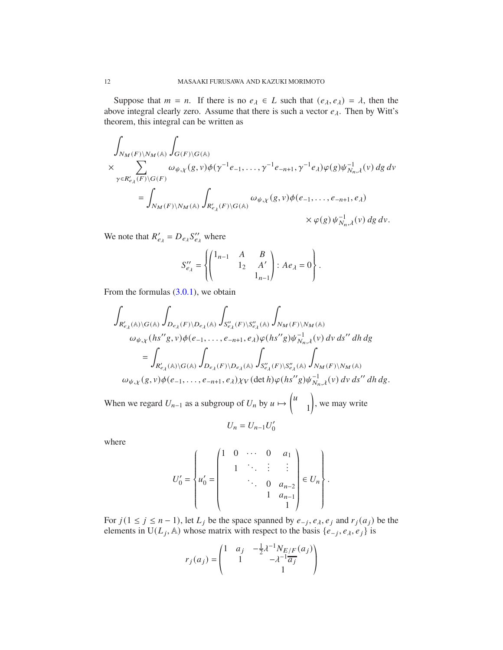Suppose that  $m = n$ . If there is no  $e_{\lambda} \in L$  such that  $(e_{\lambda}, e_{\lambda}) = \lambda$ , then the above integral clearly zero. Assume that there is such a vector  $e_{\lambda}$ . Then by Witt's theorem, this integral can be written as

$$
\begin{split} & \int_{N_{M}(F)\backslash N_{M}({\mathbb A})}\int_{G(F)\backslash G({\mathbb A})} \\ & \times \sum_{\gamma \in R_{e_{\lambda}}^{\prime}(F)\backslash G(F)}\omega_{\psi,\chi}(g,v)\phi(\gamma^{-1}e_{-1},\ldots,\gamma^{-1}e_{-n+1},\gamma^{-1}e_{\lambda})\varphi(g)\psi_{N_{n},\lambda}^{-1}(v)\,dg\,dv \\ & \qquad \qquad = \int_{N_{M}(F)\backslash N_{M}({\mathbb A})}\int_{R_{e_{\lambda}}^{\prime}(F)\backslash G({\mathbb A})}\omega_{\psi,\chi}(g,v)\phi(e_{-1},\ldots,e_{-n+1},e_{\lambda}) \\ & \qquad \qquad \times \varphi(g)\,\psi_{N_{n},\lambda}^{-1}(v)\,dg\,dv. \end{split}
$$

We note that  $R'_{e_{\lambda}} = D_{e_{\lambda}} S''_{e_{\lambda}}$  where

$$
S_{e_{\lambda}}^{\prime\prime} = \left\{ \begin{pmatrix} 1_{n-1} & A & B \\ & 1_2 & A' \\ & & 1_{n-1} \end{pmatrix} : Ae_{\lambda} = 0 \right\}.
$$

From the formulas  $(3.0.1)$ , we obtain

$$
\int_{R'_{e_{\lambda}}(\mathbb{A})\backslash G(\mathbb{A})}\int_{D_{e_{\lambda}}(F)\backslash D_{e_{\lambda}}(\mathbb{A})}\int_{S''_{e_{\lambda}}(F)\backslash S''_{e_{\lambda}}(\mathbb{A})}\int_{N_{M}(F)\backslash N_{M}(\mathbb{A})}\omega_{\psi,\chi}(hs''g,v)\phi(e_{-1},\ldots,e_{-n+1},e_{\lambda})\varphi(hs''g)\psi_{N_{n},\lambda}^{-1}(v)\,dv\,ds''\,dh\,dg
$$
  

$$
=\int_{R'_{e_{\lambda}}(\mathbb{A})\backslash G(\mathbb{A})}\int_{D_{e_{\lambda}}(F)\backslash D_{e_{\lambda}}(\mathbb{A})}\int_{S''_{e_{\lambda}}(F)\backslash S''_{e_{\lambda}}(\mathbb{A})}\int_{N_{M}(F)\backslash N_{M}(\mathbb{A})}\omega_{\psi,\chi}(g,v)\phi(e_{-1},\ldots,e_{-n+1},e_{\lambda})\chi_{V}(\det h)\varphi(hs''g)\psi_{N_{n},\lambda}^{-1}(v)\,dv\,ds''\,dh\,dg.
$$

When we regard  $U_{n-1}$  as a subgroup of  $U_n$  by  $u \mapsto$  $\int u$ 1  $\overline{1}$ , we may write  $U_n = U_{n-1} U'_0$ 

where

$$
U'_{0} = \begin{Bmatrix} 1 & 0 & \cdots & 0 & a_{1} \\ u'_{0} = \begin{pmatrix} 1 & 0 & \cdots & 0 & a_{1} \\ & 1 & \ddots & \vdots & \vdots \\ & & \ddots & 0 & a_{n-2} \\ & & & 1 & a_{n-1} \\ & & & & 1 \end{pmatrix} \in U_{n} \end{Bmatrix}.
$$

For  $j(1 \leq j \leq n-1)$ , let  $L_j$  be the space spanned by  $e_{-j}$ ,  $e_{\lambda}$ ,  $e_j$  and  $r_j(a_j)$  be the elements in U( $L_j$ , A) whose matrix with respect to the basis  $\{e_{-j}, e_{\lambda}, e_j\}$  is

$$
r_j(a_j) = \begin{pmatrix} 1 & a_j & -\frac{1}{2}\lambda^{-1}N_{E/F}(a_j) \\ 1 & -\lambda^{-1}\overline{a_j} \\ 1 & 1 \end{pmatrix}
$$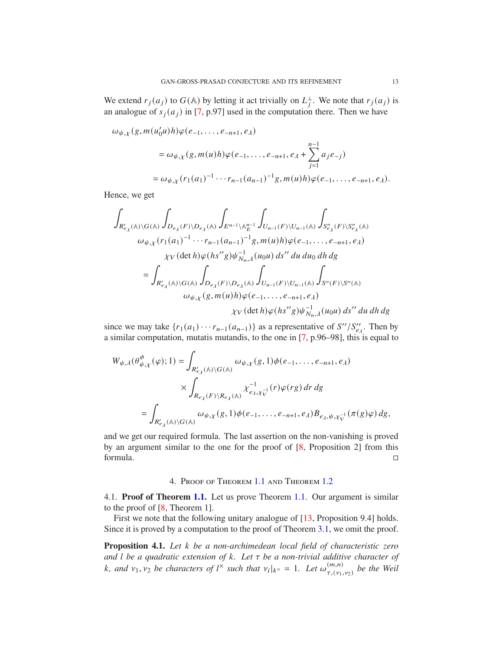We extend  $r_j(a_j)$  to  $G(\mathbb{A})$  by letting it act trivially on  $L_j^{\perp}$ . We note that  $r_j(a_j)$  is an analogue of  $s_j(a_j)$  in [7, p.97] used in the computation there. Then we have

$$
\omega_{\psi,\chi}(g,m(u_0'u)h)\varphi(e_{-1},\ldots,e_{-n+1},e_{\lambda})
$$
  
=  $\omega_{\psi,\chi}(g,m(u)h)\varphi(e_{-1},\ldots,e_{-n+1},e_{\lambda}+\sum_{j=1}^{n-1}a_je_{-j})$   
=  $\omega_{\psi,\chi}(r_1(a_1)^{-1}\cdots r_{n-1}(a_{n-1})^{-1}g,m(u)h)\varphi(e_{-1},\ldots,e_{-n+1},e_{\lambda}).$ 

Hence, we get

$$
\int_{R'_{e_{\lambda}}(\mathbb{A})\backslash G(\mathbb{A})}\int_{D_{e_{\lambda}}(F)\backslash D_{e_{\lambda}}(\mathbb{A})}\int_{E^{n-1}\backslash\mathbb{A}_{E}^{n-1}}\int_{U_{n-1}(F)\backslash U_{n-1}(\mathbb{A})}\int_{S_{e_{\lambda}}''(F)\backslash S_{e_{\lambda}}''(\mathbb{A})}^{\prime}\\\omega_{\psi,\chi}(r_{1}(a_{1})^{-1}\cdots r_{n-1}(a_{n-1})^{-1}g,m(u)h)\varphi(e_{-1},\ldots,e_{-n+1},e_{\lambda})\\ \chi_{V}(\det h)\varphi(hs''g)\psi_{N_{n,\lambda}}^{-1}(u_{0}u)\,ds''\,du\,du_{0}\,dh\,dg\\=\int_{R'_{e_{\lambda}}(\mathbb{A})\backslash G(\mathbb{A})}\int_{D_{e_{\lambda}}(F)\backslash D_{e_{\lambda}}(\mathbb{A})}\int_{U_{n-1}(F)\backslash U_{n-1}(\mathbb{A})}\int_{S''(F)\backslash S''(\mathbb{A})}^{\prime}\\\omega_{\psi,\chi}(g,m(u)h)\varphi(e_{-1},\ldots,e_{-n+1},e_{\lambda})\\ \chi_{V}(\det h)\varphi(hs''g)\psi_{N_{n,\lambda}}^{-1}(u_{0}u)\,ds''\,du\,dh\,dg
$$

since we may take  $\{r_1(a_1) \cdots r_{n-1}(a_{n-1})\}$  as a representative of  $S''/S''_{e\lambda}$ . Then by a similar computation, mutatis mutandis, to the one in [7, p.96–98], this is equal to

$$
W_{\psi,\lambda}(\theta_{\psi,\chi}^{\phi}(\varphi);1) = \int_{R'_{e_{\lambda}}(\mathbb{A})\backslash G(\mathbb{A})} \omega_{\psi,\chi}(g,1)\phi(e_{-1},\ldots,e_{-n+1},e_{\lambda})
$$
  
 
$$
\times \int_{R_{e_{\lambda}}(F)\backslash R_{e_{\lambda}}(\mathbb{A})} \chi_{e_{\lambda},\chi_{V}^{-1}}^{-1}(r)\varphi(rg) dr dg
$$
  

$$
= \int_{R'_{e_{\lambda}}(\mathbb{A})\backslash G(\mathbb{A})} \omega_{\psi,\chi}(g,1)\phi(e_{-1},\ldots,e_{-n+1},e_{\lambda})B_{e_{\lambda},\psi,\chi_{V}^{-1}}(\pi(g)\varphi) dg,
$$

and we get our required formula. The last assertion on the non-vanishing is proved by an argument similar to the one for the proof of [8, Proposition 2] from this formula.

#### 4. Proof of Theorem 1.1 and Theorem 1.2

4.1. **Proof of Theorem 1.1.** Let us prove Theorem 1.1. Our argument is similar to the proof of [8, Theorem 1].

First we note that the following unitary analogue of [13, Proposition 9.4] holds. Since it is proved by a computation to the proof of Theorem 3.1, we omit the proof.

**Proposition 4.1.** Let *k* be a non-archimedean local field of characteristic zero *and l be a quadratic extension of*  $k$ *. Let*  $\tau$  *be a non-trivial additive character of* k, and  $v_1, v_2$  be characters of  $l^\times$  such that  $v_i|_{k^\times} = 1$ . Let  $\omega_{\tau}^{(m,n)}$  $\binom{(m,n)}{\tau,(\nu_1,\nu_2)}$  be the Weil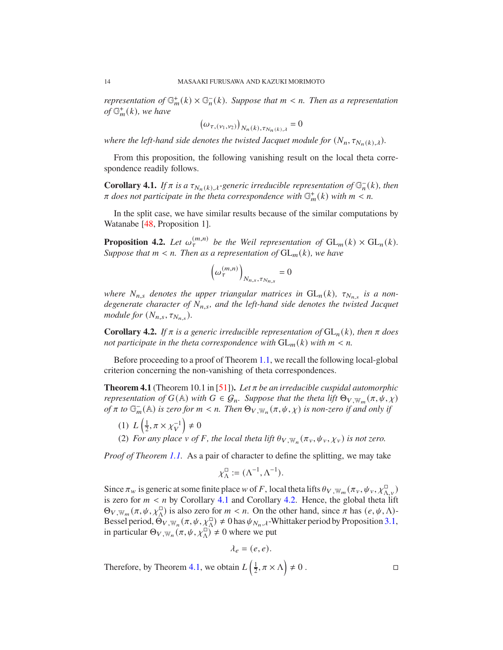*representation of*  $\mathbb{G}_m^+(k) \times \mathbb{G}_n^-(k)$ *. Suppose that*  $m < n$ *. Then as a representation*  $of \mathbb{G}_m^+(k)$ *, we have* 

$$
(\omega_{\tau,(\nu_1,\nu_2)})_{N_n(k),\tau_{N_n(k),\lambda}} = 0
$$

*where the left-hand side denotes the twisted Jacquet module for*  $(N_n, \tau_{N_n(k),\lambda})$ *.* 

From this proposition, the following vanishing result on the local theta correspondence readily follows.

**Corollary 4.1.** *If*  $\pi$  *is a*  $\tau_{N_n(k),\lambda}$ -generic irreducible representation of  $\mathbb{G}_n^{-}(k)$ *, then*  $\pi$  does not participate in the theta correspondence with  $\mathbb{G}_m^+(k)$  with  $m < n$ .

In the split case, we have similar results because of the similar computations by Watanabe [48, Proposition 1].

**Proposition 4.2.** Let  $\omega_{\tau}^{(m,n)}$  be the Weil representation of  $GL_m(k) \times GL_n(k)$ . *Suppose that*  $m < n$ *. Then as a representation of*  $GL_m(k)$ *, we have* 

$$
\left(\omega_{\tau}^{(m,n)}\right)_{N_{n,s},\tau_{N_{n,s}}}=0
$$

*where*  $N_{n,s}$  denotes the upper triangular matrices in  $GL_n(k)$ ,  $\tau_{N_{n,s}}$  is a non*degenerate character of*  $N_{n,s}$ , and the left-hand side denotes the twisted Jacquet *module for*  $(N_{n,s}, \tau_{N_{n,s}})$ *.* 

**Corollary 4.2.** *If*  $\pi$  *is a generic irreducible representation of*  $GL_n(k)$ *, then*  $\pi$  *does not participate in the theta correspondence with*  $GL_m(k)$  *with*  $m < n$ .

Before proceeding to a proof of Theorem 1.1, we recall the following local-global criterion concerning the non-vanishing of theta correspondences.

**Theorem 4.1** (Theorem 10.1 in [51]). Let  $\pi$  be an irreducible cuspidal automorphic *representation of*  $G(\mathbb{A})$  *with*  $G \in \mathcal{G}_n$ *. Suppose that the theta lift*  $\Theta_{V,\mathbb{W}_m}(\pi,\psi,\chi)$ *of*  $\pi$  *to*  $\mathbb{G}_m^-(\mathbb{A})$  *is zero for*  $m < n$ . Then  $\Theta_{V,\mathbb{W}_n}(\pi,\psi,\chi)$  *is non-zero if and only if* 

- (1)  $L\left(\frac{1}{2}\right)$  $\frac{1}{2}$ ,  $\pi \times \chi_V^{-1}$  $\neq 0$
- (2) *For any place*  $v$  *of*  $F$ *, the local theta lift*  $\theta_{V,\mathbb{W}_n}(\pi_v,\psi_v,\chi_v)$  *is not zero.*

*Proof of Theorem 1.1.* As a pair of character to define the splitting, we may take

$$
\chi^{\square}_{\Lambda} := (\Lambda^{-1}, \Lambda^{-1}).
$$

Since  $\pi_w$  is generic at some finite place w of F, local theta lifts  $\theta_{V,w_m}(\pi_v, \psi_v, \chi^{\square}_{\Lambda,v})$ is zero for  $m < n$  by Corollary 4.1 and Corollary 4.2. Hence, the global theta lift  $\Theta_{V,\mathbb{W}_m}(\pi,\psi,\chi^{\square}_\Lambda)$  is also zero for  $m < n$ . On the other hand, since  $\pi$  has  $(e,\psi,\Lambda)$ -Bessel period,  $\Theta_{V,\mathbb{W}_n}(\pi,\psi,\chi^{\square}_{\Lambda})\neq 0$  has  $\psi_{N_n,\lambda}$ -Whittaker period by Proposition 3.1, in particular  $\Theta_{V,\mathbb{W}_n}(\pi,\psi,\chi^N_{\Lambda}) \neq 0$  where we put

$$
\lambda_e = (e, e).
$$

Therefore, by Theorem 4.1, we obtain  $L\left(\frac{1}{2}\right)$  $\frac{1}{2}, \pi \times \Lambda \neq 0$ .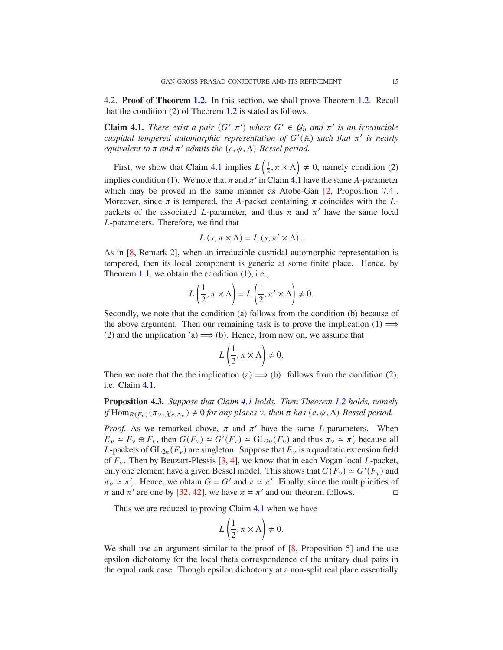4.2. **Proof of Theorem 1.2.** In this section, we shall prove Theorem 1.2. Recall that the condition (2) of Theorem 1.2 is stated as follows.

**Claim 4.1.** *There exist a pair*  $(G', \pi')$  *where*  $G' \in \mathcal{G}_n$  *and*  $\pi'$  *is an irreducible cuspidal tempered automorphic representation of*  $G'(\mathbb{A})$  *such that*  $\pi'$  *is nearly equivalent to*  $\pi$  *and*  $\pi'$  *admits the*  $(e, \psi, \Lambda)$ *-Bessel period.* 

First, we show that Claim 4.1 implies  $L\left(\frac{1}{2}\right)$  $(\frac{1}{2}, \pi \times \Lambda) \neq 0$ , namely condition (2) implies condition (1). We note that  $\pi$  and  $\pi'$  in Claim 4.1 have the same A-parameter which may be proved in the same manner as Atobe-Gan  $[2,$  Proposition 7.4]. Moreover, since  $\pi$  is tempered, the A-packet containing  $\pi$  coincides with the Lpackets of the associated L-parameter, and thus  $\pi$  and  $\pi'$  have the same local L-parameters. Therefore, we find that

$$
L(s, \pi \times \Lambda) = L(s, \pi' \times \Lambda).
$$

As in [8, Remark 2], when an irreducible cuspidal automorphic representation is tempered, then its local component is generic at some finite place. Hence, by Theorem 1.1, we obtain the condition (1), i.e.,

$$
L\left(\frac{1}{2}, \pi \times \Lambda\right) = L\left(\frac{1}{2}, \pi' \times \Lambda\right) \neq 0.
$$

Secondly, we note that the condition (a) follows from the condition (b) because of the above argument. Then our remaining task is to prove the implication  $(1) \implies$ (2) and the implication (a)  $\implies$  (b). Hence, from now on, we assume that

$$
L\left(\frac{1}{2}, \pi \times \Lambda\right) \neq 0.
$$

Then we note that the the implication (a)  $\implies$  (b). follows from the condition (2), i.e. Claim 4.1.

**Proposition 4.3.** *Suppose that Claim 4.1 holds. Then Theorem 1.2 holds, namely if*  $Hom_{R(F_v)}(\pi_v, \chi_{e,\Lambda_v}) \neq 0$  *for any places*  $v$ *, then*  $\pi$  *has*  $(e, \psi, \Lambda)$ *-Bessel period.* 

*Proof.* As we remarked above,  $\pi$  and  $\pi'$  have the same *L*-parameters. When  $E_v \simeq F_v \oplus F_v$ , then  $G(F_v) \simeq G'(F_v) \simeq GL_{2n}(F_v)$  and thus  $\pi_v \simeq \pi'_v$  because all L-packets of  $GL_{2n}(F_v)$  are singleton. Suppose that  $E_v$  is a quadratic extension field of  $F_v$ . Then by Beuzart-Plessis [3, 4], we know that in each Vogan local L-packet, only one element have a given Bessel model. This shows that  $G(F_v) \simeq G'(F_v)$  and  $\pi_v \simeq \pi'_v$ . Hence, we obtain  $G = G'$  and  $\pi \simeq \pi'$ . Finally, since the multiplicities of  $\pi$  and  $\pi'$  are one by [32, 42], we have  $\pi = \pi'$  and our theorem follows.

Thus we are reduced to proving Claim 4.1 when we have

$$
L\left(\frac{1}{2}, \pi \times \Lambda\right) \neq 0.
$$

We shall use an argument similar to the proof of [8, Proposition 5] and the use epsilon dichotomy for the local theta correspondence of the unitary dual pairs in the equal rank case. Though epsilon dichotomy at a non-split real place essentially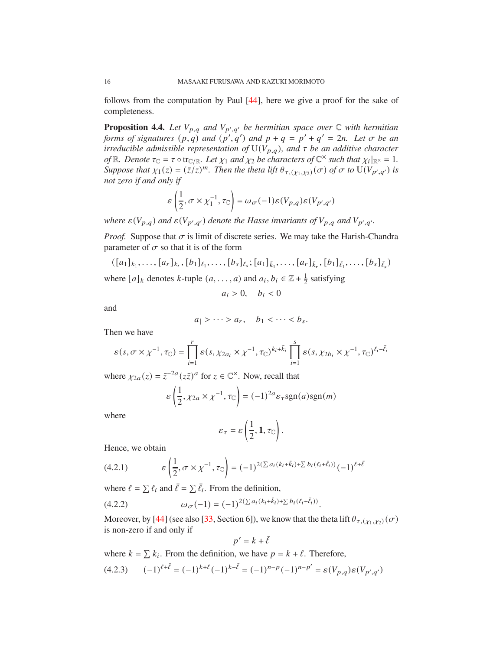follows from the computation by Paul [44], here we give a proof for the sake of completeness.

**Proposition 4.4.** Let  $V_{p,q}$  and  $V_{p',q'}$  be hermitian space over  $\mathbb C$  with hermitian *forms of signatures*  $(p,q)$  *and*  $(p',q')$  *and*  $p + q = p' + q' = 2n$ . Let  $\sigma$  be an *irreducible admissible representation of*  $U(V_{p,q})$ *, and*  $\tau$  *be an additive character of*  $\mathbb{R}$ *. Denote*  $\tau_{\mathbb{C}} = \tau \circ \text{tr}_{\mathbb{C}/\mathbb{R}}$ *. Let*  $\chi_1$  *and*  $\chi_2$  *be characters of*  $\mathbb{C}^\times$  *such that*  $\chi_i|_{\mathbb{R}^\times} = 1$ *. Suppose that*  $\chi_1(z) = (\bar{z}/z)^m$ . *Then the theta lift*  $\theta_{\tau,(X_1,X_2)}(\sigma)$  *of*  $\sigma$  *to*  $U(V_{p',q'})$  *is not zero if and only if*

$$
\varepsilon\left(\frac{1}{2},\sigma\times\chi_1^{-1},\tau_{\mathbb C}\right)=\omega_\sigma(-1)\varepsilon(V_{p,q})\varepsilon(V_{p',q'})
$$

*where*  $\varepsilon(V_{p,q})$  and  $\varepsilon(V_{p',q'})$  denote the Hasse invariants of  $V_{p,q}$  and  $V_{p',q'}.$ 

*Proof.* Suppose that  $\sigma$  is limit of discrete series. We may take the Harish-Chandra parameter of  $\sigma$  so that it is of the form

$$
([a_1]_{k_1}, \ldots, [a_r]_{k_r}, [b_1]_{\ell_1}, \ldots, [b_s]_{\ell_s}; [a_1]_{\bar{k}_1}, \ldots, [a_r]_{\bar{k}_r}, [b_1]_{\bar{\ell}_1}, \ldots, [b_s]_{\bar{\ell}_s})
$$
  
where  $[a]_k$  denotes *k*-tuple  $(a, \ldots, a)$  and  $a_i, b_i \in \mathbb{Z} + \frac{1}{2}$  satisfying

 $a_i > 0$ ,  $b_i < 0$ 

and

$$
a_1 > \cdots > a_r, \quad b_1 < \cdots < b_s.
$$

Then we have

$$
\varepsilon(s, \sigma \times \chi^{-1}, \tau_{\mathbb{C}}) = \prod_{i=1}^r \varepsilon(s, \chi_{2a_i} \times \chi^{-1}, \tau_{\mathbb{C}})^{k_i + \bar{k}_i} \prod_{i=1}^s \varepsilon(s, \chi_{2b_i} \times \chi^{-1}, \tau_{\mathbb{C}})^{\ell_i + \bar{\ell}_i}
$$

where  $\chi_{2a}(z) = \bar{z}^{-2a}(z\bar{z})^a$  for  $z \in \mathbb{C}^\times$ . Now, recall that

$$
\varepsilon\left(\frac{1}{2}, \chi_{2a} \times \chi^{-1}, \tau_{\mathbb{C}}\right) = (-1)^{2a} \varepsilon_{\tau} \operatorname{sgn}(a) \operatorname{sgn}(m)
$$

where

$$
\varepsilon_{\tau} = \varepsilon \left( \frac{1}{2}, 1, \tau_{\mathbb{C}} \right).
$$

Hence, we obtain

(4.2.1) 
$$
\varepsilon \left( \frac{1}{2}, \sigma \times \chi^{-1}, \tau_{\mathbb{C}} \right) = (-1)^{2(\sum a_i (k_i + \bar{k}_i) + \sum b_i (\ell_i + \bar{\ell}_i))} (-1)^{\ell + \bar{\ell}}
$$

where  $\ell = \sum \ell_i$  and  $\bar{\ell} = \sum \bar{\ell}_i$ . From the definition,

(4.2.2) 
$$
\omega_{\sigma}(-1) = (-1)^{2(\sum a_i(k_i + \bar{k}_i) + \sum b_i(\ell_i + \bar{\ell}_i))}.
$$

Moreover, by [44] (see also [33, Section 6]), we know that the theta lift  $\theta_{\tau,(Y_1,Y_2)}(\sigma)$ is non-zero if and only if

$$
p'=k+\bar{\ell}
$$

where  $k = \sum k_i$ . From the definition, we have  $p = k + \ell$ . Therefore,

$$
(4.2.3) \qquad (-1)^{\ell + \bar{\ell}} = (-1)^{k + \bar{\ell}} (-1)^{k + \bar{\ell}} = (-1)^{n - p} (-1)^{n - p'} = \varepsilon(V_{p,q}) \varepsilon(V_{p',q'})
$$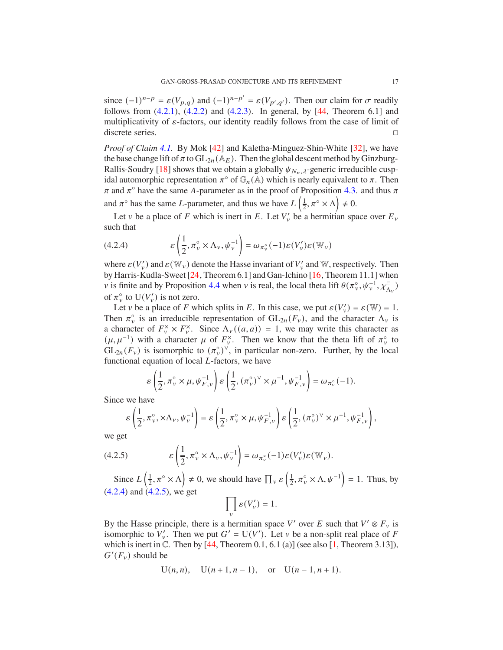since  $(-1)^{n-p} = \varepsilon (V_{p,q})$  and  $(-1)^{n-p'} = \varepsilon (V_{p',q'})$ . Then our claim for  $\sigma$  readily follows from  $(4.2.1)$ ,  $(4.2.2)$  and  $(4.2.3)$ . In general, by [44, Theorem 6.1] and multiplicativity of  $\varepsilon$ -factors, our identity readily follows from the case of limit of discrete series.

*Proof of Claim 4.1.* By Mok [42] and Kaletha-Minguez-Shin-White [32], we have the base change lift of  $\pi$  to  $GL_{2n}(\mathbb{A}_E)$ . Then the global descent method by Ginzburg-Rallis-Soudry [18] shows that we obtain a globally  $\psi_{N_n,\lambda}$ -generic irreducible cuspidal automorphic representation  $\pi^{\circ}$  of  $\mathbb{G}_n(A)$  which is nearly equivalent to  $\pi$ . Then  $\pi$  and  $\pi$ <sup>o</sup> have the same A-parameter as in the proof of Proposition 4.3. and thus  $\pi$ and  $\pi^{\circ}$  has the same *L*-parameter, and thus we have *L*  $\left(\frac{1}{2}\right)$  $\frac{1}{2}, \pi^{\circ} \times \Lambda \neq 0.$ 

Let v be a place of F which is inert in E. Let  $V'_v$  be a hermitian space over  $E_v$ such that

(4.2.4) 
$$
\mathcal{E}\left(\frac{1}{2}, \pi_{\nu}^{\circ} \times \Lambda_{\nu}, \psi_{\nu}^{-1}\right) = \omega_{\pi_{\nu}^{\circ}}(-1)\mathcal{E}(V_{\nu}')\mathcal{E}(\mathbb{W}_{\nu})
$$

where  $\varepsilon(V_v)$  and  $\varepsilon(\mathbb{W}_v)$  denote the Hasse invariant of  $V_v$  and W, respectively. Then by Harris-Kudla-Sweet [24, Theorem 6.1] and Gan-Ichino [16, Theorem 11.1] when v is finite and by Proposition 4.4 when v is real, the local theta lift  $\theta(\pi_v^{\circ}, \psi_v^{-1}, \chi_{\Lambda_v}^{\square})$ of  $\pi_{\nu}^{\circ}$  to  $U(V_{\nu}')$  is not zero.

Let v be a place of F which splits in E. In this case, we put  $\varepsilon(V_v') = \varepsilon(\mathbb{W}) = 1$ . Then  $\pi_{\nu}^{\circ}$  is an irreducible representation of  $GL_{2n}(F_{\nu})$ , and the character  $\Lambda_{\nu}$  is a character of  $F_v^{\times} \times F_v^{\times}$ . Since  $\Lambda_v((a, a)) = 1$ , we may write this character as  $(\mu, \mu^{-1})$  with a character  $\mu$  of  $F_{\nu}^{\times}$ . Then we know that the theta lift of  $\pi_{\nu}^{\circ}$  to  $GL_{2n}(F_v)$  is isomorphic to  $(\pi_v^{\circ})^{\vee}$ , in particular non-zero. Further, by the local functional equation of local  $L$ -factors, we have

$$
\varepsilon\left(\frac{1}{2},\pi_\nu^\circ\times\mu,\psi_{F,\nu}^{-1}\right)\varepsilon\left(\frac{1}{2},(\pi_\nu^\circ)^\vee\times\mu^{-1},\psi_{F,\nu}^{-1}\right)=\omega_{\pi_\nu^\circ}(-1).
$$

Since we have

$$
\varepsilon\left(\frac{1}{2}, \pi_\nu^\circ, \times \Lambda_\nu, \psi_\nu^{-1}\right) = \varepsilon\left(\frac{1}{2}, \pi_\nu^\circ \times \mu, \psi_{F,\nu}^{-1}\right) \varepsilon\left(\frac{1}{2}, (\pi_\nu^\circ)^\vee \times \mu^{-1}, \psi_{F,\nu}^{-1}\right),
$$

we get

(4.2.5) 
$$
\varepsilon\left(\frac{1}{2}, \pi_{\nu}^{\circ} \times \Lambda_{\nu}, \psi_{\nu}^{-1}\right) = \omega_{\pi_{\nu}^{\circ}}(-1)\varepsilon(V_{\nu}')\varepsilon(\mathbb{W}_{\nu}).
$$

Since  $L\left(\frac{1}{2}\right)$  $(\frac{1}{2}, \pi^{\circ} \times \Lambda) \neq 0$ , we should have  $\prod_{v} \varepsilon \left( \frac{1}{2} \right)$  $\left(\frac{1}{2}, \pi_v^{\circ} \times \Lambda, \psi^{-1}\right) = 1$ . Thus, by (4.2.4) and (4.2.5), we get  $\Box$ ′

$$
\prod_{v} \varepsilon(V'_{v}) = 1.
$$

By the Hasse principle, there is a hermitian space V' over E such that  $V' \otimes F_v$  is isomorphic to  $V'_v$ . Then we put  $G' = U(V')$ . Let v be a non-split real place of F which is inert in  $\mathbb C$ . Then by [44, Theorem 0.1, 6.1 (a)] (see also [1, Theorem 3.13]),  $G'(F_v)$  should be

$$
U(n, n)
$$
,  $U(n + 1, n - 1)$ , or  $U(n - 1, n + 1)$ .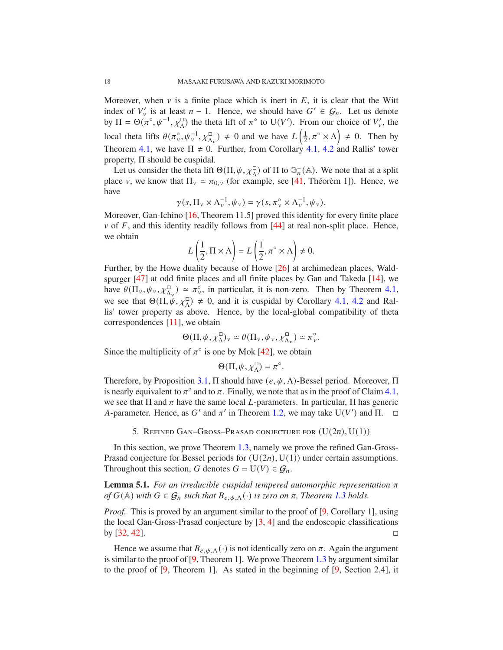Moreover, when  $\nu$  is a finite place which is inert in  $E$ , it is clear that the Witt index of  $V'_v$  is at least  $n-1$ . Hence, we should have  $G' \in \mathcal{G}_n$ . Let us denote by  $\Pi = \Theta(\pi^{\circ}, \psi^{-1}, \chi_{\Lambda}^{\Box})$  the theta lift of  $\pi^{\circ}$  to U(V'). From our choice of  $V_{\nu}$ , the local theta lifts  $\theta(\pi_v^{\circ}, \psi_v^{-1}, \chi_{\Lambda_v}^{\square}) \neq 0$  and we have  $L\left(\frac{1}{2}\right)$  $(\frac{1}{2}, \pi^{\circ} \times \Lambda) \neq 0$ . Then by Theorem 4.1, we have  $\Pi \neq 0$ . Further, from Corollary 4.1, 4.2 and Rallis' tower property, Π should be cuspidal.

Let us consider the theta lift  $\Theta(\Pi, \psi, \chi_{\Lambda}^{\square})$  of  $\Pi$  to  $\mathbb{G}_n^-(\mathbb{A})$ . We note that at a split place v, we know that  $\Pi_v \simeq \pi_{0,v}$  (for example, see [41, Théorèm 1]). Hence, we have

$$
\gamma(s,\Pi_v\times\Lambda_v^{-1},\psi_v)=\gamma(s,\pi_v^{\circ}\times\Lambda_v^{-1},\psi_v).
$$

Moreover, Gan-Ichino [16, Theorem 11.5] proved this identity for every finite place  $\nu$  of  $F$ , and this identity readily follows from [44] at real non-split place. Hence, we obtain

$$
L\left(\frac{1}{2}, \Pi \times \Lambda\right) = L\left(\frac{1}{2}, \pi^{\circ} \times \Lambda\right) \neq 0.
$$

Further, by the Howe duality because of Howe [26] at archimedean places, Waldspurger [47] at odd finite places and all finite places by Gan and Takeda [14], we have  $\theta(\Pi_v, \psi_v, \chi_{\Lambda_v}^{\square}) \simeq \pi_v^{\circ}$ , in particular, it is non-zero. Then by Theorem 4.1, we see that  $\Theta(\Pi, \psi, \chi_{\Lambda}^{\Box}) \neq 0$ , and it is cuspidal by Corollary 4.1, 4.2 and Rallis' tower property as above. Hence, by the local-global compatibility of theta correspondences [11], we obtain

$$
\Theta(\Pi,\psi,\chi^\square_\Lambda)_v\simeq \theta(\Pi_v,\psi_v,\chi^\square_{\Lambda_v})\simeq \pi^\circ_v.
$$

Since the multiplicity of  $\pi^{\circ}$  is one by Mok [42], we obtain

$$
\Theta(\Pi, \psi, \chi^{\square}_{\Lambda}) = \pi^{\circ}.
$$

Therefore, by Proposition 3.1,  $\Pi$  should have  $(e, \psi, \Lambda)$ -Bessel period. Moreover,  $\Pi$ is nearly equivalent to  $\pi^{\circ}$  and to  $\pi$ . Finally, we note that as in the proof of Claim 4.1, we see that  $\Pi$  and  $\pi$  have the same local *L*-parameters. In particular,  $\Pi$  has generic A-parameter. Hence, as G' and  $\pi'$  in Theorem 1.2, we may take U(V') and  $\Pi$ .  $\Box$ 

5. REFINED GAN–GROSS–PRASAD CONJECTURE FOR  $(U(2n), U(1))$ 

In this section, we prove Theorem 1.3, namely we prove the refined Gan-Gross-Prasad conjecture for Bessel periods for  $(U(2n), U(1))$  under certain assumptions. Throughout this section, G denotes  $G = U(V) \in \mathcal{G}_n$ .

**Lemma 5.1.** For an irreducible cuspidal tempered automorphic representation  $\pi$ *of*  $G(A)$  *with*  $G \in \mathcal{G}_n$  *such that*  $B_{e, \psi, \Lambda}(\cdot)$  *is zero on*  $\pi$ *, Theorem* 1.3 *holds.* 

*Proof.* This is proved by an argument similar to the proof of [9, Corollary 1], using the local Gan-Gross-Prasad conjecture by  $[3, 4]$  and the endoscopic classifications by [32, 42].

Hence we assume that  $B_{e, \psi, \Lambda}(\cdot)$  is not identically zero on  $\pi$ . Again the argument is similar to the proof of [9, Theorem 1]. We prove Theorem 1.3 by argument similar to the proof of [9, Theorem 1]. As stated in the beginning of [9, Section 2.4], it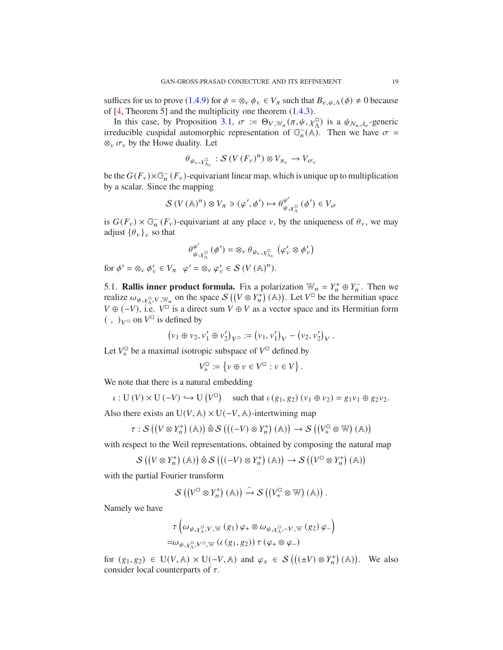suffices for us to prove (1.4.9) for  $\phi = \otimes_v \phi_v \in V_\pi$  such that  $B_{e, \psi, \Lambda}(\phi) \neq 0$  because of [4, Theorem 5] and the multiplicity one theorem (1.4.3).

In this case, by Proposition 3.1,  $\sigma := \Theta_{V, \mathbb{W}_n}(\pi, \psi, \chi^{\square}_{\Lambda})$  is a  $\psi_{N_n, \lambda_e}$ -generic irreducible cuspidal automorphic representation of  $\mathbb{G}_n^-(\mathbb{A})$ . Then we have  $\sigma =$  $\otimes_v \sigma_v$  by the Howe duality. Let

$$
\theta_{\psi_v, \chi^{\square}_{\Lambda_v}} : \mathcal{S}\left(V\left(F_v\right)^n\right) \otimes V_{\pi_v} \to V_{\sigma_v}
$$

be the  $G(F_v) \times \mathbb{G}_n^-(F_v)$ -equivariant linear map, which is unique up to multiplication by a scalar. Since the mapping

$$
S(V(\mathbb{A})^n) \otimes V_\pi \ni (\varphi', \phi') \mapsto \theta_{\psi, \chi_\Lambda^{\square}}^{\varphi'}(\phi') \in V_\sigma
$$

is  $G(F_v) \times \mathbb{G}_n^-(F_v)$ -equivariant at any place v, by the uniqueness of  $\theta_v$ , we may adjust  $\{\theta_{\nu}\}_{\nu}$  so that

$$
\theta_{\psi,\chi_{\Lambda}^{\square}}^{\varphi'}\left(\phi'\right)=\otimes_{\nu}\theta_{\psi_{\nu},\chi_{\Lambda_{\nu}}^{\square}}\left(\varphi'_{\nu}\otimes\phi'_{\nu}\right)
$$

for  $\phi' = \otimes_v \phi'_v \in V_\pi \quad \varphi' = \otimes_v \varphi'_v \in \mathcal{S}(V(\mathbb{A})^n)$ .

5.1. **Rallis inner product formula.** Fix a polarization  $\mathbb{W}_n = Y_n^+ \oplus Y_n^-$ . Then we realize  $\omega_{\psi, \chi^{\square}_\Lambda, V, \mathbb{W}_n}$  on the space  $\mathcal{S}((V \otimes Y^+_n)(\mathbb{A}))$ . Let  $V^{\square}$  be the hermitian space  $V \oplus (-V)$ , i.e.  $V^{\square}$  is a direct sum  $V \oplus V$  as a vector space and its Hermitian form  $(\, , \,)_V$ <sup>o</sup> on  $V^{\square}$  is defined by

$$
(v_1 \oplus v_2, v'_1 \oplus v'_2)_{V^{\square}} := (v_1, v'_1)_V - (v_2, v'_2)_V.
$$

Let  $V^{\square}_+$  be a maximal isotropic subspace of  $V^{\square}$  defined by

$$
V^{\square}_{+} := \{ v \oplus v \in V^{\square} : v \in V \}.
$$

We note that there is a natural embedding

$$
\iota: U(V) \times U(-V) \hookrightarrow U(V^{\square}) \quad \text{such that } \iota(g_1, g_2) \ (\nu_1 \oplus \nu_2) = g_1 \nu_1 \oplus g_2 \nu_2.
$$

Also there exists an  $U(V, A) \times U(-V, A)$ -intertwining map

$$
\tau : \mathcal{S} \left( \left( V \otimes Y_n^+ \right) (\mathbb{A}) \right) \hat{\otimes} \mathcal{S} \left( \left( (-V) \otimes Y_n^+ \right) (\mathbb{A}) \right) \to \mathcal{S} \left( \left( V_+^{\square} \otimes \mathbb{W} \right) (\mathbb{A}) \right)
$$

with respect to the Weil representations, obtained by composing the natural map

$$
S\left(\left(V\otimes Y_n^+\right)(\mathbb{A})\right)\hat{\otimes} S\left(\left(\left(-V\right)\otimes Y_n^+\right)(\mathbb{A})\right)\to S\left(\left(V^{\square}\otimes Y_n^+\right)(\mathbb{A})\right)
$$

with the partial Fourier transform

$$
\mathcal{S}\left(\left(V^{\square}\otimes Y_n^+\right)\left(\mathbb{A}\right)\right)\xrightarrow{\sim}\mathcal{S}\left(\left(V^{\square}_+\otimes\mathbb{W}\right)\left(\mathbb{A}\right)\right).
$$

Namely we have

$$
\tau \left( \omega_{\psi, \chi_{\Lambda}^{\square}, V, \mathbb{W}} (g_1) \varphi_+ \otimes \omega_{\psi, \chi_{\Lambda}^{\square}, -V, \mathbb{W}} (g_2) \varphi_- \right)
$$
  
=  $\omega_{\psi, \chi_{\Lambda}^{\square}, V^{\square}, \mathbb{W}} ( \iota (g_1, g_2) ) \tau (\varphi_+ \otimes \varphi_-)$ 

for  $(g_1, g_2) \in U(V, \mathbb{A}) \times U(-V, \mathbb{A})$  and  $\varphi_{\pm} \in S((\pm V) \otimes Y_n^+) (\mathbb{A}))$ . We also consider local counterparts of  $\tau$ .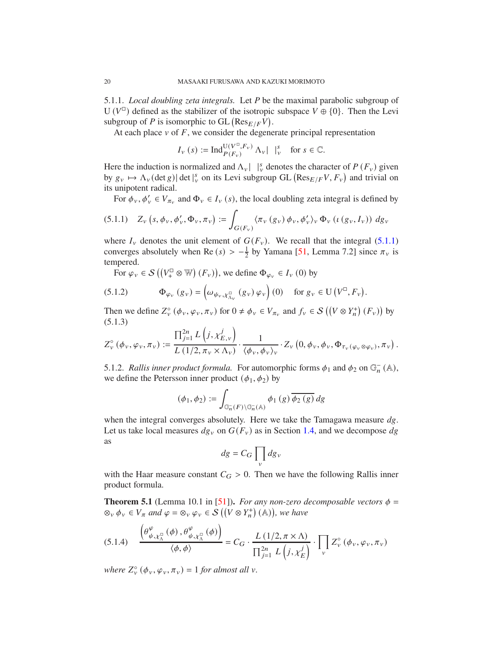5.1.1. *Local doubling zeta integrals.* Let P be the maximal parabolic subgroup of U ( $V^{\Box}$ ) defined as the stabilizer of the isotropic subspace  $V \oplus \{0\}$ . Then the Levi subgroup of P is isomorphic to GL  $(\text{Res}_{E/F}V)$ .

At each place  $v$  of  $F$ , we consider the degenerate principal representation

$$
I_{\nu}(s) := \operatorname{Ind}_{P(F_{\nu})}^{\mathcal{U}(V^{\mathbb{D}}, F_{\nu})} \Lambda_{\nu} | \downarrow_{\nu}^{s} \text{ for } s \in \mathbb{C}.
$$

Here the induction is normalized and  $\Lambda_v$  |  $\vert v \rangle$  denotes the character of  $P(F_v)$  given by  $g_v \mapsto \Lambda_v(\det g) |\det|_v^s$  on its Levi subgroup GL  $(\text{Res}_{E/F}V, F_v)$  and trivial on its unipotent radical.

For  $\phi_v, \phi'_v \in V_{\pi_v}$  and  $\Phi_v \in I_v$  (s), the local doubling zeta integral is defined by

$$
(5.1.1) \quad Z_{\nu}\left(s,\phi_{\nu},\phi'_{\nu},\Phi_{\nu},\pi_{\nu}\right):=\int_{G(F_{\nu})}\langle\pi_{\nu}\left(g_{\nu}\right)\phi_{\nu},\phi'_{\nu}\rangle_{\nu}\,\Phi_{\nu}\left(\iota\left(g_{\nu},I_{\nu}\right)\right)\,dg_{\nu}
$$

where  $I_v$  denotes the unit element of  $G(F_v)$ . We recall that the integral (5.1.1) converges absolutely when Re  $(s) > -\frac{1}{2}$  $\frac{1}{2}$  by Yamana [51, Lemma 7.2] since  $\pi_{v}$  is tempered.

For  $\varphi_v \in \mathcal{S}((V^{\square}_+ \otimes \mathbb{W})(F_v))$ , we define  $\Phi_{\varphi_v} \in I_v(0)$  by

(5.1.2) 
$$
\Phi_{\varphi_v}(g_v) = \left(\omega_{\psi_v, \chi_{\Lambda_v}^{\square}}(g_v) \varphi_v\right)(0) \text{ for } g_v \in U(V^{\square}, F_v).
$$

Then we define  $Z_{\nu}^{\circ}(\phi_{\nu}, \varphi_{\nu}, \pi_{\nu})$  for  $0 \neq \phi_{\nu} \in V_{\pi_{\nu}}$  and  $f_{\nu} \in S((V \otimes Y_{n}^{+})(F_{\nu}))$  by (5.1.3)

$$
Z_{\nu}^{\circ}(\phi_{\nu}, \varphi_{\nu}, \pi_{\nu}) := \frac{\prod_{j=1}^{2n} L\left(j, \chi_{E,\nu}^{j}\right)}{L\left(1/2, \pi_{\nu} \times \Lambda_{\nu}\right)} \cdot \frac{1}{\langle \phi_{\nu}, \phi_{\nu} \rangle_{\nu}} \cdot Z_{\nu}\left(0, \phi_{\nu}, \phi_{\nu}, \Phi_{\tau_{\nu}}(\varphi_{\nu} \otimes \varphi_{\nu}), \pi_{\nu}\right).
$$

5.1.2. *Rallis inner product formula*. For automorphic forms  $\phi_1$  and  $\phi_2$  on  $\mathbb{G}_n^-(\mathbb{A})$ , we define the Petersson inner product  $(\phi_1, \phi_2)$  by

$$
(\phi_1, \phi_2) := \int_{\mathbb{G}_n^-(F)\backslash \mathbb{G}_n^-(\mathbb{A})} \phi_1(g) \overline{\phi_2(g)} dg
$$

when the integral converges absolutely. Here we take the Tamagawa measure  $dg$ . Let us take local measures  $dg_y$  on  $G(F_y)$  as in Section 1.4, and we decompose dg as

$$
dg = C_G \prod_v dg_v
$$

with the Haar measure constant  $C_G > 0$ . Then we have the following Rallis inner product formula.

**Theorem 5.1** (Lemma 10.1 in [51]). *For any non-zero decomposable vectors*  $\phi$  =  $\otimes_v \phi_v \in V_\pi$  and  $\varphi = \otimes_v \varphi_v \in \mathcal{S}$   $((V \otimes Y^+_n)$   $(\mathbb{A}))$ , we have

$$
(5.1.4) \quad \frac{\left(\theta^{\varphi}_{\psi,\chi^{\Box}_{\Lambda}}(\phi),\theta^{\varphi}_{\psi,\chi^{\Box}_{\Lambda}}(\phi)\right)}{\langle\phi,\phi\rangle} = C_G \cdot \frac{L\left(1/2,\pi\times\Lambda\right)}{\prod_{j=1}^{2n}L\left(j,\chi_E^j\right)} \cdot \prod_v Z_v^{\circ}\left(\phi_v,\varphi_v,\pi_v\right)
$$

where  $Z_{\nu}^{\circ}$  ( $\phi_{\nu}, \varphi_{\nu}, \pi_{\nu}$ ) = 1 *for almost all*  $\nu$ *.*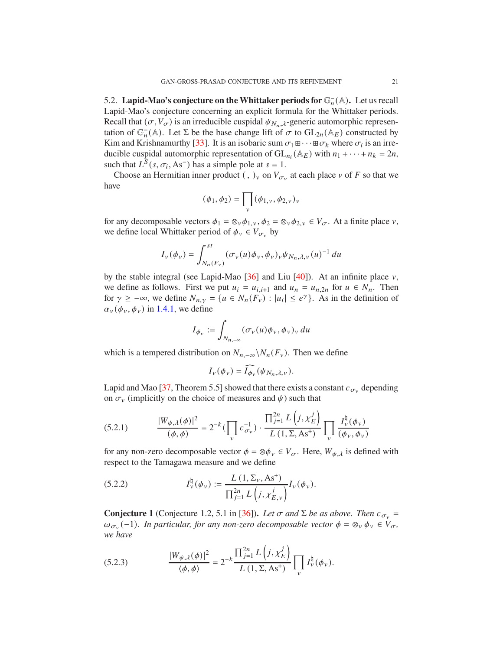5.2. **Lapid-Mao's conjecture on the Whittaker periods for**  $\mathbb{G}_n^-(\mathbb{A})$ **.** Let us recall Lapid-Mao's conjecture concerning an explicit formula for the Whittaker periods. Recall that  $(\sigma, V_{\sigma})$  is an irreducible cuspidal  $\psi_{N_n,\lambda}$ -generic automorphic representation of  $\mathbb{G}_n^{-}(\mathbb{A})$ . Let  $\Sigma$  be the base change lift of  $\sigma$  to  $GL_{2n}(\mathbb{A}_E)$  constructed by Kim and Krishnamurthy [33]. It is an isobaric sum  $\sigma_1 \mathbb{H} \cdots \mathbb{H} \sigma_k$  where  $\sigma_i$  is an irreducible cuspidal automorphic representation of  $GL_{n_i}(\mathbb{A}_E)$  with  $n_1 + \cdots + n_k = 2n$ , such that  $L^{\overline{S}}(s, \sigma_i, As^-)$  has a simple pole at  $s = 1$ .

Choose an Hermitian inner product (, )<sub>v</sub> on  $V_{\sigma_v}$  at each place v of F so that we have

$$
(\phi_1, \phi_2) = \prod_{v} (\phi_{1,v}, \phi_{2,v})_v
$$

for any decomposable vectors  $\phi_1 = \otimes_v \phi_{1,v}, \phi_2 = \otimes_v \phi_{2,v} \in V_{\sigma}$ . At a finite place v, we define local Whittaker period of  $\phi_v \in V_{\sigma_v}$  by

$$
I_{\nu}(\phi_{\nu}) = \int_{N_n(F_{\nu})}^{st} (\sigma_{\nu}(u)\phi_{\nu}, \phi_{\nu})_{\nu} \psi_{N_n, \lambda, \nu}(u)^{-1} du
$$

by the stable integral (see Lapid-Mao  $[36]$  and Liu  $[40]$ ). At an infinite place  $v$ , we define as follows. First we put  $u_i = u_{i,i+1}$  and  $u_n = u_{n,2n}$  for  $u \in N_n$ . Then for  $\gamma \geq -\infty$ , we define  $N_{n,\gamma} = \{u \in N_n(F_v) : |u_i| \leq e^{\gamma}\}\.$  As in the definition of  $\alpha_{v}(\phi_{v}, \phi_{v})$  in 1.4.1, we define

$$
I_{\phi_{\nu}} := \int_{N_{n,-\infty}} (\sigma_{\nu}(u)\phi_{\nu}, \phi_{\nu})_{\nu} du
$$

which is a tempered distribution on  $N_{n,-\infty} \backslash N_n(F_v)$ . Then we define

$$
I_{\nu}(\phi_{\nu}) = \widehat{I_{\phi_{\nu}}}(\psi_{N_n,\lambda,\nu}).
$$

Lapid and Mao [37, Theorem 5.5] showed that there exists a constant  $c_{\sigma_{\nu}}$  depending on  $\sigma_{\nu}$  (implicitly on the choice of measures and  $\psi$ ) such that

(5.2.1) 
$$
\frac{|W_{\psi,\lambda}(\phi)|^2}{(\phi,\phi)} = 2^{-k} \left( \prod_{v} c_{\sigma_v}^{-1} \right) \cdot \frac{\prod_{j=1}^{2n} L\left(j, \chi_E^j\right)}{L\left(1, \Sigma, As^*\right)} \prod_{v} \frac{I_v^{\natural}(\phi_v)}{(\phi_v,\phi_v)}
$$

for any non-zero decomposable vector  $\phi = \otimes \phi_{\nu} \in V_{\sigma}$ . Here,  $W_{\psi, \lambda}$  is defined with respect to the Tamagawa measure and we define

(5.2.2) 
$$
I_{\nu}^{\natural}(\phi_{\nu}) := \frac{L(1, \Sigma_{\nu}, As^{+})}{\prod_{j=1}^{2n} L(i, \chi_{E,\nu}^{j})} I_{\nu}(\phi_{\nu}).
$$

**Conjecture 1** (Conjecture 1.2, 5.1 in [36]). Let  $\sigma$  and  $\Sigma$  be as above. Then  $c_{\sigma_v}$  =  $\omega_{\sigma_v}(-1)$ *. In particular, for any non-zero decomposable vector*  $\phi = \otimes_v \phi_v \in V_{\sigma}$ *, we have*

(5.2.3) 
$$
\frac{|W_{\psi,\lambda}(\phi)|^2}{\langle \phi, \phi \rangle} = 2^{-k} \frac{\prod_{j=1}^{2n} L(j, \chi_E^j)}{L(1, \Sigma, As^+)} \prod_{v} I_v^{\natural}(\phi_v).
$$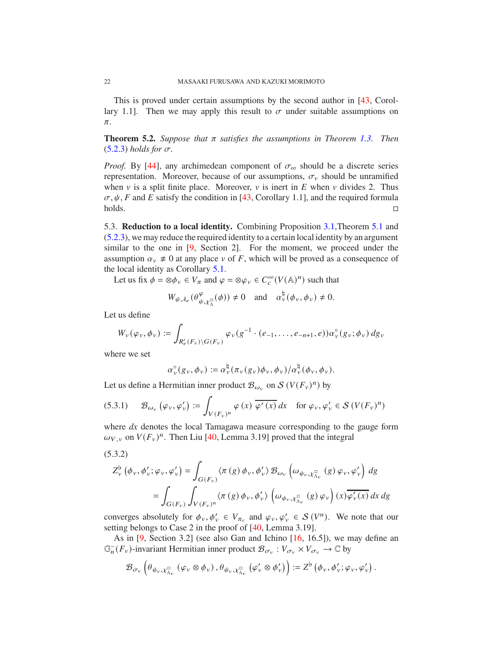This is proved under certain assumptions by the second author in [43, Corollary 1.1]. Then we may apply this result to  $\sigma$  under suitable assumptions on  $\pi.$ 

**Theorem 5.2.** *Suppose that*  $\pi$  *satisfies the assumptions in Theorem 1.3. Then*  $(5.2.3)$  *holds for*  $\sigma$ *.* 

*Proof.* By [44], any archimedean component of  $\sigma_{\infty}$  should be a discrete series representation. Moreover, because of our assumptions,  $\sigma_{v}$  should be unramified when  $\nu$  is a split finite place. Moreover,  $\nu$  is inert in  $E$  when  $\nu$  divides 2. Thus  $\sigma, \psi, F$  and E satisfy the condition in [43, Corollary 1.1], and the required formula holds.

5.3. **Reduction to a local identity.** Combining Proposition 3.1,Theorem 5.1 and (5.2.3), we may reduce the required identity to a certain local identity by an argument similar to the one in [9, Section 2]. For the moment, we proceed under the assumption  $\alpha_v \neq 0$  at any place v of F, which will be proved as a consequence of the local identity as Corollary 5.1.

Let us fix  $\phi = \otimes \phi_v \in V_\pi$  and  $\varphi = \otimes \varphi_v \in C_c^\infty(V(\mathbb{A}))^n$  such that

$$
W_{\psi,\lambda_e}(\theta^{\varphi}_{\psi,\chi^{\square}_{\Lambda}}(\phi)) \neq 0 \quad \text{and} \quad \alpha^{\natural}_{\nu}(\phi_{\nu},\phi_{\nu}) \neq 0.
$$

Let us define

$$
W_v(\varphi_v,\phi_v):=\int_{R'_e(F_v)\backslash G(F_v)}\varphi_v(g^{-1}\cdot (e_{-1},\ldots,e_{-n+1},e))\alpha_v^\circ(g_v;\phi_v)\,dg_v
$$

where we set

$$
\alpha_{\nu}^{\circ}(g_{\nu}, \phi_{\nu}) := \alpha_{\nu}^{\natural}(\pi_{\nu}(g_{\nu})\phi_{\nu}, \phi_{\nu})/\alpha_{\nu}^{\natural}(\phi_{\nu}, \phi_{\nu}).
$$

Let us define a Hermitian inner product  $\mathcal{B}_{\omega_{\nu}}$  on  $\mathcal{S}(V(F_{\nu})^n)$  by

(5.3.1) 
$$
\mathcal{B}_{\omega_{\nu}}\left(\varphi_{\nu},\varphi_{\nu}'\right) := \int_{V(F_{\nu})^n} \varphi\left(x\right) \overline{\varphi'\left(x\right)} dx \quad \text{for } \varphi_{\nu},\varphi_{\nu}' \in \mathcal{S}\left(V(F_{\nu})^n\right)
$$

where  $dx$  denotes the local Tamagawa measure corresponding to the gauge form  $\omega_{V, v}$  on  $V(F_v)^n$ . Then Liu [40, Lemma 3.19] proved that the integral

(5.3.2)

$$
Z_{\nu}^{\flat}(\phi_{\nu}, \phi_{\nu}'; \varphi_{\nu}, \varphi_{\nu}') = \int_{G(F_{\nu})} \langle \pi(g) \phi_{\nu}, \phi_{\nu}' \rangle \mathcal{B}_{\omega_{\nu}} \left( \omega_{\psi_{\nu}, \chi_{\Lambda_{\nu}}^{\square}}(g) \varphi_{\nu}, \varphi_{\nu}' \right) dg
$$
  
= 
$$
\int_{G(F_{\nu})} \int_{V(F_{\nu})^n} \langle \pi(g) \phi_{\nu}, \phi_{\nu}' \rangle \left( \omega_{\psi_{\nu}, \chi_{\Lambda_{\nu}}^{\square}}(g) \varphi_{\nu} \right) (x) \overline{\varphi_{\nu}'(x)} dx dg
$$

converges absolutely for  $\phi_v, \phi'_v \in V_{\pi_v}$  and  $\varphi_v, \varphi'_v \in S(V^n)$ . We note that our setting belongs to Case 2 in the proof of [40, Lemma 3.19].

As in [9, Section 3.2] (see also Gan and Ichino [16, 16.5]), we may define an  $\mathbb{G}_n^-(F_v)$ -invariant Hermitian inner product  $\mathcal{B}_{\sigma_v} : V_{\sigma_v} \times V_{\sigma_v} \to \mathbb{C}$  by

$$
\mathcal{B}_{\sigma_{\nu}}\left(\theta_{\psi_{\nu}, \chi_{\Lambda_{\nu}}^{\square}}\left(\varphi_{\nu} \otimes \phi_{\nu}\right), \theta_{\psi_{\nu}, \chi_{\Lambda_{\nu}}^{\square}}\left(\varphi_{\nu}' \otimes \phi_{\nu}'\right)\right) := Z^{\flat}\left(\phi_{\nu}, \phi_{\nu}'; \varphi_{\nu}, \varphi_{\nu}'\right).
$$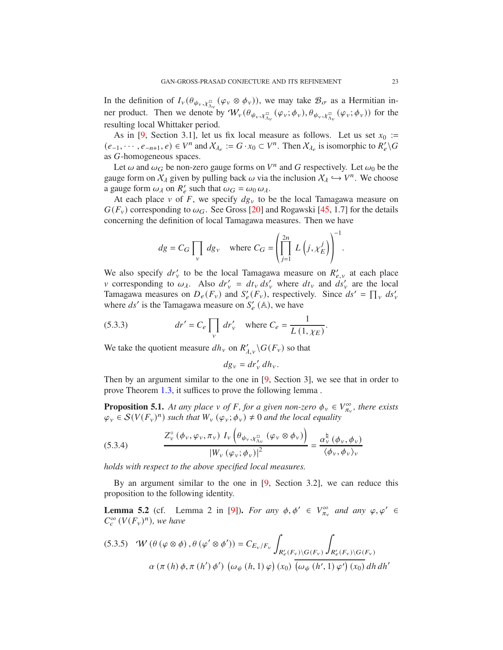In the definition of  $I_v(\theta_{\psi_v}, \chi^{\square}_{\Lambda_v}(\varphi_v \otimes \phi_v))$ , we may take  $\mathcal{B}_{\sigma}$  as a Hermitian inner product. Then we denote by  $W_v(\theta_{\psi_v}, \chi^{\pi}_{\Lambda_v}(\varphi_v; \phi_v), \theta_{\psi_v}, \chi^{\pi}_{\Lambda_v}(\varphi_v; \phi_v))$  for the resulting local Whittaker period.

As in [9, Section 3.1], let us fix local measure as follows. Let us set  $x_0 :=$  $(e_{-1}, \dots, e_{-n+1}, e) \in V^n$  and  $\mathcal{X}_{\lambda_e} := G \cdot x_0 \subset V^n$ . Then  $\mathcal{X}_{\lambda_e}$  is isomorphic to  $R'_e \backslash G$ as *G*-homogeneous spaces.

Let  $\omega$  and  $\omega_G$  be non-zero gauge forms on  $V^n$  and G respectively. Let  $\omega_0$  be the gauge form on  $X_{\lambda}$  given by pulling back  $\omega$  via the inclusion  $X_{\lambda} \hookrightarrow V^{n}$ . We choose a gauge form  $\omega_{\lambda}$  on  $R'_e$  such that  $\omega_G = \omega_0 \omega_{\lambda}$ .

At each place  $v$  of  $F$ , we specify  $dg_v$  to be the local Tamagawa measure on  $G(F_v)$  corresponding to  $\omega_G$ . See Gross [20] and Rogawski [45, 1.7] for the details concerning the definition of local Tamagawa measures. Then we have

$$
dg = C_G \prod_v dg_v \quad \text{where } C_G = \left( \prod_{j=1}^{2n} L\left(j, \chi_E^j\right) \right)^{\frac{1}{2}}.
$$

 $-1$ 

.

We also specify  $dr'_{v}$  to be the local Tamagawa measure on  $R'_{e,v}$  at each place v corresponding to  $\omega_{\lambda}$ . Also  $dr'_{v} = dt_{v} ds'_{v}$  where  $dt_{v}$  and  $ds'_{v}$  are the local Tamagawa measures on  $D_e(F_v)$  and  $S'_e(F_v)$ , respectively. Since  $ds' = \prod_v ds'_v$ where  $ds'$  is the Tamagawa measure on  $S'_{e}$  (A), we have

(5.3.3) 
$$
dr' = C_e \prod_v dr'_v
$$
 where  $C_e = \frac{1}{L(1, \chi_E)}$ 

We take the quotient measure  $dh_v$  on  $R'_{\lambda,v} \backslash G(F_v)$  so that

$$
dg_v = dr'_v \, dh_v.
$$

Then by an argument similar to the one in [9, Section 3], we see that in order to prove Theorem 1.3, it suffices to prove the following lemma .

**Proposition 5.1.** At any place  $v$  of F, for a given non-zero  $\phi_v \in V_{\pi_v}^{\infty}$ , there exists  $\varphi_v \in \mathcal{S}(V(F_v)^n)$  such that  $W_v(\varphi_v; \phi_v) \neq 0$  and the local equality

(5.3.4) 
$$
\frac{Z_{\nu}^{\circ}(\phi_{\nu}, \varphi_{\nu}, \pi_{\nu}) I_{\nu}(\theta_{\psi_{\nu}, \chi_{\Lambda_{\nu}}^{\square}}(\varphi_{\nu} \otimes \phi_{\nu}))}{|W_{\nu}(\varphi_{\nu}; \phi_{\nu})|^{2}} = \frac{\alpha_{\nu}^{\natural}(\phi_{\nu}, \phi_{\nu})}{\langle \phi_{\nu}, \phi_{\nu} \rangle_{\nu}}
$$

*holds with respect to the above specified local measures.*

By an argument similar to the one in [9, Section 3.2], we can reduce this proposition to the following identity.

**Lemma 5.2** (cf. Lemma 2 in [9]). *For any*  $\phi, \phi' \in V^{\infty}_{\pi_v}$  *and any*  $\phi, \phi' \in$  $C_c^{\infty}(V(F_v)^n)$ , we have

(5.3.5) 
$$
W(\theta(\varphi \otimes \phi), \theta(\varphi' \otimes \phi')) = C_{E_v/F_v} \int_{R'_e(F_v) \setminus G(F_v)} \int_{R'_e(F_v) \setminus G(F_v)} \phi'_{R'_e(F_v) \setminus G(F_v)} d\mu(\pi(h) \phi, \pi(h') \phi') \cdot (\omega_{\psi}(h, 1) \phi)(x_0) d\mu(h')
$$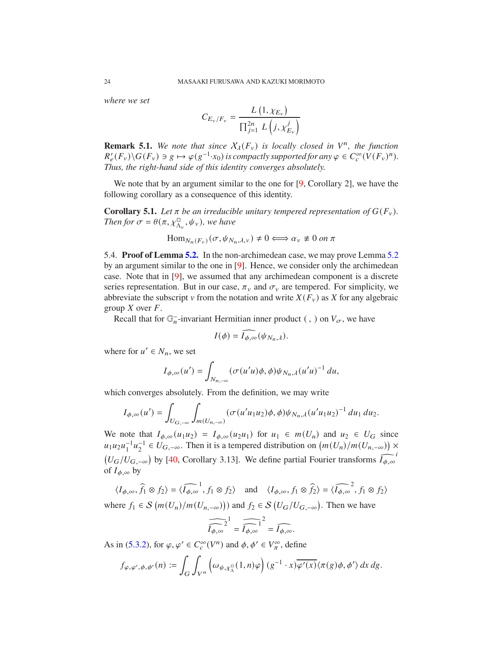*where we set*

$$
C_{E_{\nu}/F_{\nu}} = \frac{L(1, \chi_{E_{\nu}})}{\prod_{j=1}^{2n} L(i, \chi_{E_{\nu}}^{j})}
$$

**Remark 5.1.** We note that since  $X_{\lambda}(F_{\nu})$  is locally closed in  $V^{n}$ , the function  $R'_e(F_v) \setminus G(F_v) \ni g \mapsto \varphi(g^{-1} \cdot x_0)$  is compactly supported for any  $\varphi \in C_c^{\infty}(V(F_v)^n)$ . *Thus, the right-hand side of this identity converges absolutely.*

We note that by an argument similar to the one for [9, Corollary 2], we have the following corollary as a consequence of this identity.

**Corollary 5.1.** Let  $\pi$  be an irreducible unitary tempered representation of  $G(F_v)$ . *Then for*  $\sigma = \theta(\pi, \chi_{\Lambda_v}^{\square}, \psi_v)$ , we have

$$
\text{Hom}_{N_n(F_v)}(\sigma, \psi_{N_n, \lambda, v}) \neq 0 \Longleftrightarrow \alpha_v \neq 0 \text{ on } \pi
$$

5.4. **Proof of Lemma 5.2.** In the non-archimedean case, we may prove Lemma 5.2 by an argument similar to the one in [9]. Hence, we consider only the archimedean case. Note that in [9], we assumed that any archimedean component is a discrete series representation. But in our case,  $\pi_{\nu}$  and  $\sigma_{\nu}$  are tempered. For simplicity, we abbreviate the subscript v from the notation and write  $X(F_v)$  as X for any algebraic group  $X$  over  $F$ .

Recall that for  $\mathbb{G}_n^-$ -invariant Hermitian inner product (, ) on  $V_{\sigma}$ , we have

$$
I(\phi) = \widehat{I_{\phi,\infty}}(\psi_{N_n,\lambda}).
$$

where for  $u' \in N_n$ , we set

$$
I_{\phi,\infty}(u') = \int_{N_{n,-\infty}} (\sigma(u'u)\phi,\phi)\psi_{N_n,\lambda}(u'u)^{-1} du,
$$

which converges absolutely. From the definition, we may write

$$
I_{\phi,\infty}(u')=\int_{U_{G,-\infty}}\int_{m(U_{n,-\infty})}(\sigma(u'u_1u_2)\phi,\phi)\psi_{N_n,\lambda}(u'u_1u_2)^{-1}\,du_1\,du_2.
$$

We note that  $I_{\phi,\infty}(u_1u_2) = I_{\phi,\infty}(u_2u_1)$  for  $u_1 \in m(U_n)$  and  $u_2 \in U_G$  since  $u_1u_2u_1^{-1}u_2^{-1} \in U_{G,-\infty}$ . Then it is a tempered distribution on  $(m(U_n)/m(U_{n,-\infty})) \times$  $(U_G/U_{G,-\infty})$  by [40, Corollary 3.13]. We define partial Fourier transforms  $\widehat{I_{\phi,\infty}}$ i of  $I_{\phi,\infty}$  by

 $\langle I_{\phi,\infty}, \hat{f}_1 \otimes f_2 \rangle = \langle \widehat{I_{\phi,\infty}}, f_1 \otimes f_2 \rangle$  and  $\langle I_{\phi,\infty}, f_1 \otimes \widehat{f}_2 \rangle = \langle \widehat{I_{\phi,\infty}}, f_1 \otimes f_2 \rangle$ 

where  $f_1 \in S(m(U_n)/m(U_{n,-\infty}))$  and  $f_2 \in S(U_G/U_{G,-\infty})$ . Then we have

$$
\widehat{\widehat{I_{\phi,\infty}}}^1 = \widehat{\widehat{I_{\phi,\infty}}}^1 = \widehat{I_{\phi,\infty}}.
$$

As in (5.3.2), for  $\varphi, \varphi' \in C_c^{\infty}(V^n)$  and  $\phi, \phi' \in V_{\pi}^{\infty}$ , define

$$
f_{\varphi,\varphi',\phi,\phi'}(n) := \int_G \int_{V^n} \left( \omega_{\psi,\chi_\Lambda^n}(1,n)\varphi \right) (g^{-1} \cdot x) \overline{\varphi'(x)} \langle \pi(g)\phi,\phi' \rangle dx dg.
$$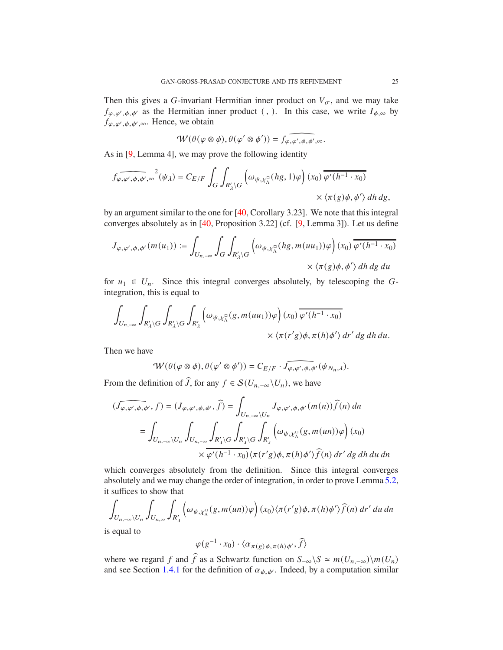Then this gives a G-invariant Hermitian inner product on  $V_{\sigma}$ , and we may take  $f_{\varphi,\varphi',\phi,\varphi'}$  as the Hermitian inner product (, ). In this case, we write  $I_{\phi,\infty}$  by  $f_{\varphi,\varphi',\phi,\phi',\infty}$ . Hence, we obtain

$$
\mathcal{W}(\theta(\varphi \otimes \phi), \theta(\varphi' \otimes \phi')) = f_{\varphi, \varphi', \phi, \phi', \infty}.
$$

As in [9, Lemma 4], we may prove the following identity

$$
\begin{split} \widehat{f_{\varphi,\varphi',\phi,\phi',\infty}}^2(\psi_{\lambda})=C_{E/F}\int_{G}\int_{R'_{\lambda}\backslash G}\left(\omega_{\psi,\chi_{\lambda}^{\square}}(hg,1)\varphi\right)(x_0)\overline{\varphi'(h^{-1}\cdot x_0)}\\ \times\left\langle\pi(g)\phi,\phi'\right\rangle dh\,dg, \end{split}
$$

by an argument similar to the one for [40, Corollary 3.23]. We note that this integral converges absolutely as in [40, Proposition 3.22] (cf. [9, Lemma 3]). Let us define

$$
J_{\varphi,\varphi',\phi,\phi'}(m(u_1)) := \int_{U_{n,-\infty}} \int_G \int_{R'_\lambda \backslash G} \left( \omega_{\psi,\chi_\Lambda^\square}(hg,m(uu_1))\varphi \right)(x_0) \overline{\varphi'(h^{-1} \cdot x_0)}
$$

$$
\times \langle \pi(g)\phi,\phi' \rangle \, dh \, dg \, du
$$

for  $u_1 \in U_n$ . Since this integral converges absolutely, by telescoping the Gintegration, this is equal to

$$
\int_{U_{n,-\infty}} \int_{R'_\lambda \backslash G} \int_{R'_\lambda \backslash G} \int_{R'_\lambda} \left( \omega_{\psi,\chi_\Lambda^{\square}}(g, m(uu_1))\varphi \right) (x_0) \overline{\varphi'(h^{-1} \cdot x_0)}
$$
  
 
$$
\times \langle \pi(r'g)\phi, \pi(h)\phi' \rangle dr' dg dh du.
$$

Then we have

$$
\mathcal{W}(\theta(\varphi \otimes \phi), \theta(\varphi' \otimes \phi')) = C_{E/F} \cdot \widehat{J_{\varphi, \varphi', \phi, \phi'}}(\psi_{N_n, \lambda}).
$$

From the definition of  $\tilde{J}$ , for any  $f \in \mathcal{S}(U_{n,-\infty}\backslash U_n)$ , we have

$$
\begin{aligned}\n(\widehat{J_{\varphi,\varphi',\phi,\phi'}},f) &= (J_{\varphi,\varphi',\phi,\phi'},\widehat{f}) = \int_{U_{n,-\infty}\backslash U_n} J_{\varphi,\varphi',\phi,\phi'}(m(n))\widehat{f}(n) \,dn \\
&= \int_{U_{n,-\infty}\backslash U_n} \int_{U_{n,-\infty}} \int_{R'_\Lambda \backslash G} \int_{R'_\Lambda \backslash G} \int_{R'_\Lambda} \left( \omega_{\psi,\chi_\Lambda^\square}(g,m(un))\varphi \right) (x_0) \\
&\quad \times \overline{\varphi'(h^{-1}\cdot x_0)} \langle \pi(r'g)\phi, \pi(h)\phi'\rangle \widehat{f}(n) \,dr' \,dg \,dh \,du \,dn\n\end{aligned}
$$

which converges absolutely from the definition. Since this integral converges absolutely and we may change the order of integration, in order to prove Lemma 5.2, it suffices to show that

$$
\int_{U_{n,-\infty}\backslash U_n}\int_{U_{n,\infty}}\int_{R'_\lambda}\left(\omega_{\psi,\chi_{\Lambda}^{\square}}(g,m(un))\varphi\right)(x_0)\langle\pi(r'g)\phi,\pi(h)\phi'\rangle\widehat{f}(n)\,dr'\,du\,dn
$$

is equal to

$$
\varphi(g^{-1} \cdot x_0) \cdot \langle \alpha_{\pi(g)\phi, \pi(h)\phi'}, \widehat{f} \rangle
$$

where we regard f and  $\hat{f}$  as a Schwartz function on  $S_{-\infty} \backslash S \simeq m(U_{n,-\infty})\backslash m(U_n)$ and see Section 1.4.1 for the definition of  $\alpha_{\phi, \phi'}$ . Indeed, by a computation similar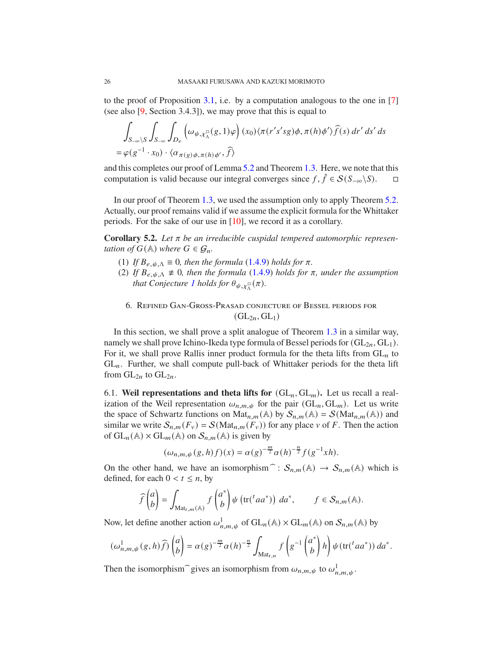to the proof of Proposition 3.1, i.e. by a computation analogous to the one in [7] (see also [9, Section 3.4.3]), we may prove that this is equal to

$$
\int_{S_{-\infty}\backslash S}\int_{S_{-\infty}}\int_{D_e} \left(\omega_{\psi,\chi^{\Box}_{\Lambda}}(g,1)\varphi\right)(x_0)\langle\pi(r's'sg)\phi,\pi(h)\phi'\rangle\widehat{f}(s) \,dr' \,ds' \,ds
$$
  
=  $\varphi(g^{-1}\cdot x_0)\cdot\langle\alpha_{\pi(g)\phi,\pi(h)\phi'},\widehat{f}\rangle$ 

and this completes our proof of Lemma 5.2 and Theorem 1.3. Here, we note that this computation is valid because our integral converges since  $f, \hat{f} \in S(S_{-\infty} \backslash S)$ .  $\Box$ 

In our proof of Theorem 1.3, we used the assumption only to apply Theorem 5.2. Actually, our proof remains valid if we assume the explicit formula for the Whittaker periods. For the sake of our use in [10], we record it as a corollary.

**Corollary 5.2.** Let  $\pi$  be an irreducible cuspidal tempered automorphic represen*tation of*  $G(\mathbb{A})$  *where*  $G \in \mathcal{G}_n$ *.* 

- (1) *If*  $B_{e_1, \ell_1, \Lambda} \equiv 0$ , then the formula (1.4.9) holds for  $\pi$ .
- (2) If  $B_{e,\psi,\Lambda} \neq 0$ , then the formula (1.4.9) holds for  $\pi$ , under the assumption *that Conjecture 1 holds for*  $\theta_{\psi, \chi^{\square}_{\Lambda}}(\pi)$ *.* 
	- 6. Refined Gan-Gross-Prasad conjecture of Bessel periods for  $(GL_{2n}, GL_1)$

In this section, we shall prove a split analogue of Theorem 1.3 in a similar way, namely we shall prove Ichino-Ikeda type formula of Bessel periods for  $(GL<sub>2n</sub>, GL<sub>1</sub>)$ . For it, we shall prove Rallis inner product formula for the theta lifts from  $GL_n$  to  $GL_n$ . Further, we shall compute pull-back of Whittaker periods for the theta lift from  $GL_{2n}$  to  $GL_{2n}$ .

6.1. Weil representations and theta lifts for  $(GL_n, GL_m)$ . Let us recall a realization of the Weil representation  $\omega_{n,m,\psi}$  for the pair  $(GL_n, GL_m)$ . Let us write the space of Schwartz functions on Mat<sub>n,m</sub>(A) by  $S_{n,m}$ (A) =  $S(\text{Mat}_{n,m}(\mathbb{A}))$  and similar we write  $S_{n,m}(F_v) = S(\text{Mat}_{n,m}(F_v))$  for any place v of F. Then the action of  $GL_n(\mathbb{A}) \times GL_m(\mathbb{A})$  on  $S_{n,m}(\mathbb{A})$  is given by

$$
(\omega_{n,m,\psi}(g,h)f)(x)=\alpha(g)^{-\frac{m}{2}}\alpha(h)^{-\frac{n}{2}}f(g^{-1}xh).
$$

On the other hand, we have an isomorphism  $\hat{S}_{n,m}(\mathbb{A}) \to S_{n,m}(\mathbb{A})$  which is defined, for each  $0 < t \leq n$ , by

$$
\widehat{f}\begin{pmatrix}a\\b\end{pmatrix}=\int_{\mathrm{Mat}_{t,m}(\mathbb{A})}f\begin{pmatrix}a^*\\b\end{pmatrix}\psi\left(\mathrm{tr}(^taa^*)\right)da^*, \qquad f \in \mathcal{S}_{n,m}(\mathbb{A}).
$$

Now, let define another action  $\omega_{n,m,\psi}^1$  of  $GL_n(\mathbb{A}) \times GL_m(\mathbb{A})$  on  $\mathcal{S}_{n,m}(\mathbb{A})$  by

$$
(\omega^1_{n,m,\psi}(g,h)\widehat{f})\begin{pmatrix}a\\b\end{pmatrix}=\alpha(g)^{-\frac{m}{2}}\alpha(h)^{-\frac{n}{2}}\int_{\mathrm{Mat}_{t,n}}f\left(g^{-1}\begin{pmatrix}a^*\\b\end{pmatrix}h\right)\psi(\mathrm{tr}(^taa^*))\,da^*.
$$

Then the isomorphism  $\hat{g}$  jves an isomorphism from  $\omega_{n,m,\psi}$  to  $\omega_{n,m,\psi}^1$ .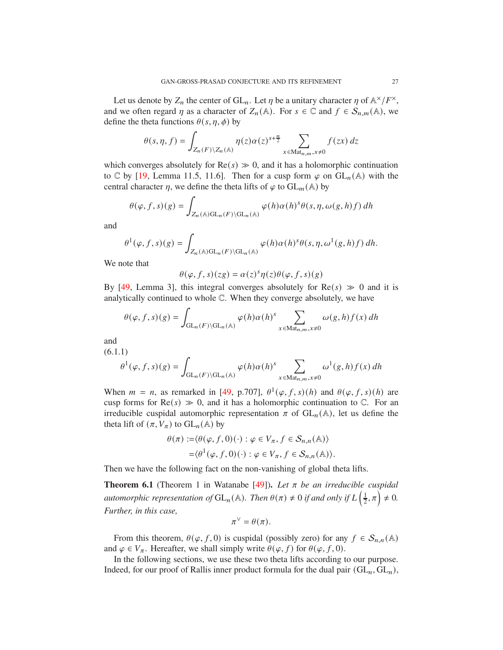Let us denote by  $Z_n$  the center of  $GL_n$ . Let  $\eta$  be a unitary character  $\eta$  of  $\mathbb{A}^{\times}/F^{\times}$ , and we often regard  $\eta$  as a character of  $Z_n(\mathbb{A})$ . For  $s \in \mathbb{C}$  and  $f \in S_{n,m}(\mathbb{A})$ , we define the theta functions  $\theta(s, \eta, \phi)$  by

$$
\theta(s,\eta,f) = \int_{Z_n(F)\backslash Z_n(\mathbb{A})} \eta(z)\alpha(z)^{s+\frac{n}{2}} \sum_{x \in \text{Mat}_{n,m}, x \neq 0} f(zx) dz
$$

which converges absolutely for  $Re(s) \gg 0$ , and it has a holomorphic continuation to C by [19, Lemma 11.5, 11.6]. Then for a cusp form  $\varphi$  on  $GL_n(\mathbb{A})$  with the central character  $\eta$ , we define the theta lifts of  $\varphi$  to  $GL_m(\mathbb{A})$  by

$$
\theta(\varphi, f, s)(g) = \int_{Z_n(\mathbb{A})\mathrm{GL}_n(F)\backslash \mathrm{GL}_n(\mathbb{A})} \varphi(h)\alpha(h)^s \theta(s, \eta, \omega(g, h)f) dh
$$

and

$$
\theta^1(\varphi, f, s)(g) = \int_{Z_n(\mathbb{A})\mathrm{GL}_n(F)\backslash \mathrm{GL}_n(\mathbb{A})} \varphi(h)\alpha(h)^s \theta(s, \eta, \omega^1(g, h)f) dh.
$$

We note that

$$
\theta(\varphi, f, s)(zg) = \alpha(z)^s \eta(z) \theta(\varphi, f, s)(g)
$$

By [49, Lemma 3], this integral converges absolutely for  $\text{Re}(s) \gg 0$  and it is analytically continued to whole C. When they converge absolutely, we have

$$
\theta(\varphi, f, s)(g) = \int_{\mathrm{GL}_n(F)\backslash \mathrm{GL}_n(\mathbb{A})} \varphi(h) \alpha(h)^s \sum_{x \in \mathrm{Mat}_{n,m}, x \neq 0} \omega(g, h) f(x) dh
$$

and

$$
(6.1.1)
$$
\n
$$
\theta^1(\varphi, f, s)(g) = \int_{\mathrm{GL}_n(F)\backslash \mathrm{GL}_n(\mathbb{A})} \varphi(h)\alpha(h)^s \sum_{x \in \mathrm{Mat}_{n,m}, x \neq 0} \omega^1(g, h)f(x) \, dh
$$

When  $m = n$ , as remarked in [49, p.707],  $\theta^1(\varphi, f, s)(h)$  and  $\theta(\varphi, f, s)(h)$  are cusp forms for  $\text{Re}(s) \gg 0$ , and it has a holomorphic continuation to  $\mathbb{C}$ . For an irreducible cuspidal automorphic representation  $\pi$  of  $GL_n(\mathbb{A})$ , let us define the theta lift of  $(\pi, V_{\pi})$  to  $GL_n(\mathbb{A})$  by

$$
\theta(\pi) := \langle \theta(\varphi, f, 0)(\cdot) : \varphi \in V_{\pi}, f \in S_{n,n}(\mathbb{A}) \rangle
$$
  
=  $\langle \theta^1(\varphi, f, 0)(\cdot) : \varphi \in V_{\pi}, f \in S_{n,n}(\mathbb{A}) \rangle.$ 

Then we have the following fact on the non-vanishing of global theta lifts.

**Theorem 6.1** (Theorem 1 in Watanabe [49]). Let  $\pi$  be an irreducible cuspidal *automorphic representation of*  $GL_n(\mathbb{A})$ . Then  $\theta(\pi) \neq 0$  *if and only if*  $L\left(\frac{1}{2}\right)$  $(\frac{1}{2}, \pi) \neq 0.$ *Further, in this case,*

$$
\pi^{\vee} = \theta(\pi).
$$

From this theorem,  $\theta(\varphi, f, 0)$  is cuspidal (possibly zero) for any  $f \in S_{n,n}(\mathbb{A})$ and  $\varphi \in V_{\pi}$ . Hereafter, we shall simply write  $\theta(\varphi, f)$  for  $\theta(\varphi, f, 0)$ .

In the following sections, we use these two theta lifts according to our purpose. Indeed, for our proof of Rallis inner product formula for the dual pair  $(GL_n, GL_n)$ ,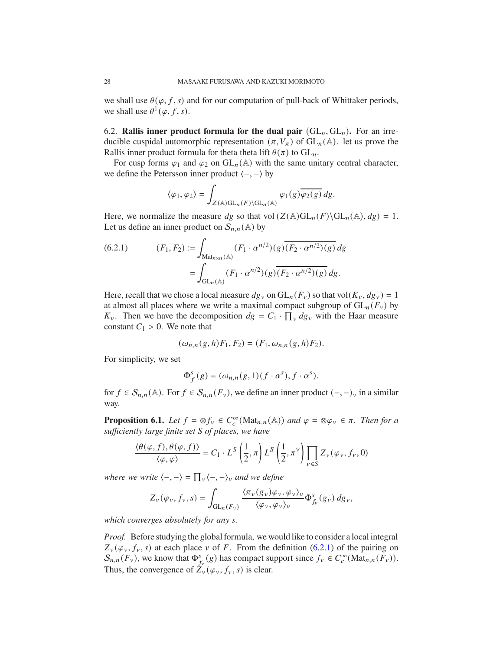we shall use  $\theta(\varphi, f, s)$  and for our computation of pull-back of Whittaker periods, we shall use  $\theta^1(\varphi, f, s)$ .

6.2. **Rallis inner product formula for the dual pair**  $(GL_n, GL_n)$ . For an irreducible cuspidal automorphic representation  $(\pi, V_{\pi})$  of  $GL_n(\mathbb{A})$ . let us prove the Rallis inner product formula for theta theta lift  $\theta(\pi)$  to  $GL_n$ .

For cusp forms  $\varphi_1$  and  $\varphi_2$  on  $GL_n(\mathbb{A})$  with the same unitary central character, we define the Petersson inner product  $\langle -, - \rangle$  by

$$
\langle \varphi_1, \varphi_2 \rangle = \int_{Z(\mathbb{A})\mathrm{GL}_n(F)\backslash \mathrm{GL}_n(\mathbb{A})} \varphi_1(g) \overline{\varphi_2(g)} \, dg.
$$

Here, we normalize the measure dg so that vol  $(Z(\mathbb{A})GL_n(F)\backslash GL_n(\mathbb{A}), dg) = 1$ . Let us define an inner product on  $S_{n,n}(\mathbb{A})$  by

(6.2.1) 
$$
(F_1, F_2) := \int_{\text{Mat}_{n \times n}(\mathbb{A})} (F_1 \cdot \alpha^{n/2})(g) \overline{(F_2 \cdot \alpha^{n/2})(g)} dg
$$

$$
= \int_{\text{GL}_n(\mathbb{A})} (F_1 \cdot \alpha^{n/2})(g) \overline{(F_2 \cdot \alpha^{n/2})(g)} dg.
$$

Here, recall that we chose a local measure  $dg_v$  on  $GL_n(F_v)$  so that vol $(K_v, dg_v) = 1$ at almost all places where we write a maximal compact subgroup of  $GL_n(F_v)$  by  $K_v$ . Then we have the decomposition  $dg = C_1 \cdot \prod_v dg_v$  with the Haar measure constant  $C_1 > 0$ . We note that

$$
(\omega_{n,n}(g,h)F_1,F_2)=(F_1,\omega_{n,n}(g,h)F_2).
$$

For simplicity, we set

$$
\Phi_f^s(g) = (\omega_{n,n}(g,1)(f \cdot \alpha^s), f \cdot \alpha^s).
$$

for  $f \in S_{n,n}(\mathbb{A})$ . For  $f \in S_{n,n}(F_v)$ , we define an inner product  $(-,-)_v$  in a similar way.

**Proposition 6.1.** *Let*  $f = \otimes f_v \in C_c^{\infty}(\text{Mat}_{n,n}(\mathbb{A}))$  *and*  $\varphi = \otimes \varphi_v \in \pi$ . *Then for a sufficiently large finite set S of places, we have* 

$$
\frac{\langle \theta(\varphi, f), \theta(\varphi, f) \rangle}{\langle \varphi, \varphi \rangle} = C_1 \cdot L^S \left( \frac{1}{2}, \pi \right) L^S \left( \frac{1}{2}, \pi^{\vee} \right) \prod_{v \in S} Z_v(\varphi_v, f_v, 0)
$$

*where we write*  $\langle -, - \rangle = \prod_{v} \langle -, - \rangle_{v}$  *and we define* 

$$
Z_{\nu}(\varphi_{\nu},f_{\nu},s)=\int_{\mathrm{GL}_{n}(F_{\nu})}\frac{\langle \pi_{\nu}(g_{\nu})\varphi_{\nu},\varphi_{\nu}\rangle_{\nu}}{\langle \varphi_{\nu},\varphi_{\nu}\rangle_{\nu}}\Phi_{f_{\nu}}^{s}(g_{\nu})dg_{\nu},
$$

*which converges absolutely for any s.* 

*Proof.* Before studying the global formula, we would like to consider a local integral  $Z_v(\varphi_v, f_v, s)$  at each place v of F. From the definition (6.2.1) of the pairing on  $S_{n,n}(F_v)$ , we know that  $\Phi_{f_v}^s(g)$  has compact support since  $f_v \in C_c^{\infty}(\text{Mat}_{n,n}(F_v))$ . Thus, the convergence of  $Z_{\nu}(\varphi_{\nu}, f_{\nu}, s)$  is clear.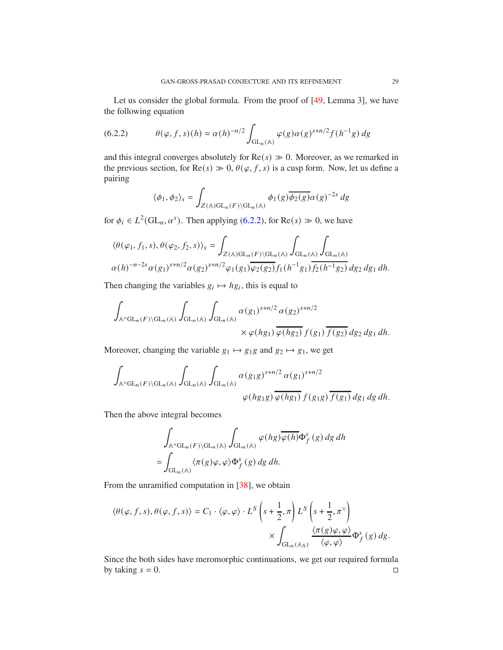Let us consider the global formula. From the proof of [49, Lemma 3], we have the following equation

(6.2.2) 
$$
\theta(\varphi, f, s)(h) = \alpha(h)^{-n/2} \int_{GL_n(\mathbb{A})} \varphi(g) \alpha(g)^{s+n/2} f(h^{-1}g) dg
$$

and this integral converges absolutely for  $Re(s) \gg 0$ . Moreover, as we remarked in the previous section, for  $\text{Re}(s) \gg 0$ ,  $\theta(\varphi, f, s)$  is a cusp form. Now, let us define a pairing

$$
\langle \phi_1, \phi_2 \rangle_s = \int_{Z(\mathbb{A})\mathrm{GL}_n(F)\backslash \mathrm{GL}_n(\mathbb{A})} \phi_1(g) \overline{\phi_2(g)} \alpha(g)^{-2s} dg
$$

for  $\phi_i \in L^2(\mathrm{GL}_n, \alpha^s)$ . Then applying (6.2.2), for  $\mathrm{Re}(s) \gg 0$ , we have

$$
\begin{aligned} &\langle \theta(\varphi_1,f_1,s),\theta(\varphi_2,f_2,s)\rangle_s=\int_{Z(\mathbb{A})\mathrm{GL}_n(F)\backslash\mathrm{GL}_n(\mathbb{A})}\int_{\mathrm{GL}_n(\mathbb{A})}\int_{\mathrm{GL}_n(\mathbb{A})}\\ &\alpha(h)^{-n-2s}\alpha(g_1)^{s+n/2}\alpha(g_2)^{s+n/2}\varphi_1(g_1)\overline{\varphi_2(g_2)}f_1(h^{-1}g_1)\overline{f_2(h^{-1}g_2)}\,dg_2\,dg_1\,dh. \end{aligned}
$$

Then changing the variables  $g_i \mapsto h g_i$ , this is equal to

$$
\int_{\mathbb{A}^{\times}GL_n(F)\backslash GL_n(\mathbb{A})}\int_{GL_n(\mathbb{A})}\int_{GL_n(\mathbb{A})}\alpha(g_1)^{s+n/2}\alpha(g_2)^{s+n/2}\times\varphi(hg_1)\overline{\varphi(hg_2)}\,f(g_1)\overline{f(g_2)}\,dg_2\,dg_1\,dh.
$$

Moreover, changing the variable  $g_1 \mapsto g_1 g$  and  $g_2 \mapsto g_1$ , we get

$$
\int_{\mathbb{A}^{\times}GL_n(F)\backslash GL_n(\mathbb{A})}\int_{GL_n(\mathbb{A})}\int_{GL_n(\mathbb{A})}\alpha(g_1g)^{s+n/2}\alpha(g_1)^{s+n/2}\varphi(hg_1g)\overline{\varphi(hg_1)}\,f(g_1g)\overline{f(g_1)}\,dg_1\,dg\,dh.
$$

Then the above integral becomes

$$
\int_{\mathbb{A}^{\times}GL_n(F)\backslash GL_n(\mathbb{A})}\int_{GL_n(\mathbb{A})}\varphi(hg)\overline{\varphi(h)}\Phi_f^{s}(g)dg dh
$$
  
= 
$$
\int_{GL_n(\mathbb{A})}\langle \pi(g)\varphi,\varphi\rangle \Phi_f^{s}(g)dg dh.
$$

From the unramified computation in [38], we obtain

$$
\langle \theta(\varphi, f, s), \theta(\varphi, f, s) \rangle = C_1 \cdot \langle \varphi, \varphi \rangle \cdot L^S \left( s + \frac{1}{2}, \pi \right) L^S \left( s + \frac{1}{2}, \pi^{\vee} \right)
$$

$$
\times \int_{\mathrm{GL}_n(\mathbb{A}_S)} \frac{\langle \pi(g)\varphi, \varphi \rangle}{\langle \varphi, \varphi \rangle} \Phi_f^s(g) \, dg.
$$

Since the both sides have meromorphic continuations, we get our required formula by taking  $s = 0$ .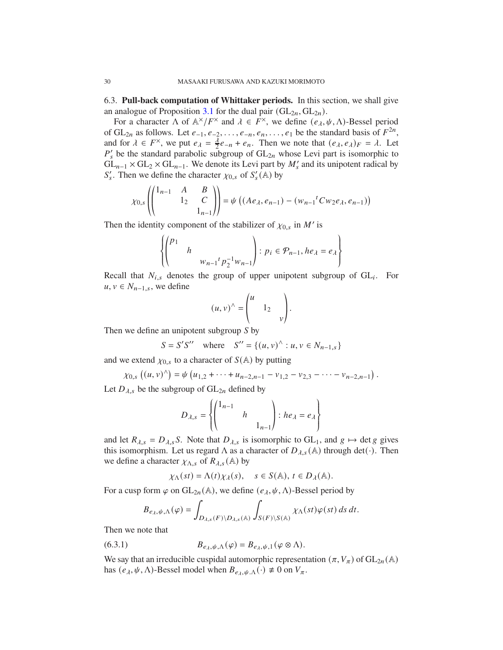6.3. **Pull-back computation of Whittaker periods.** In this section, we shall give an analogue of Proposition 3.1 for the dual pair  $(GL_{2n}, GL_{2n})$ .

For a character  $\Lambda$  of  $\mathbb{A}^{\times}/F^{\times}$  and  $\lambda \in F^{\times}$ , we define  $(e_{\lambda}, \psi, \Lambda)$ -Bessel period of  $GL_{2n}$  as follows. Let  $e_{-1}, e_{-2}, \ldots, e_{-n}, e_n, \ldots, e_1$  be the standard basis of  $F^{2n}$ , and for  $\lambda \in F^{\times}$ , we put  $e_{\lambda} = \frac{\lambda}{2} e_{-n} + e_n$ . Then we note that  $(e_{\lambda}, e_{\lambda})_F = \lambda$ . Let  $P'_{s}$  be the standard parabolic subgroup of  $GL_{2n}$  whose Levi part is isomorphic to  $GL_{n-1} \times GL_2 \times GL_{n-1}$ . We denote its Levi part by  $M'_s$  and its unipotent radical by  $S'_s$ . Then we define the character  $\chi_{0,s}$  of  $S'_s(\mathbb{A})$  by

$$
\chi_{0,s}\left(\begin{pmatrix}1_{n-1} & A & B \\ & 1_2 & C \\ & & 1_{n-1}\end{pmatrix}\right)=\psi\left((Ae_{\lambda},e_{n-1})-(w_{n-1}^tCw_2e_{\lambda},e_{n-1})\right)
$$

Then the identity component of the stabilizer of  $\chi_{0,s}$  in M' is

$$
\left\{ \begin{pmatrix} p_1 & & \\ & h & & \\ & & w_{n-1}{}^t p_2^{-1} w_{n-1} \end{pmatrix} : p_i \in \mathcal{P}_{n-1}, he_\lambda = e_\lambda \right\}
$$

Recall that  $N_{i,s}$  denotes the group of upper unipotent subgroup of  $GL_i$ . For  $u, v \in N_{n-1,s}$ , we define

$$
(u, v)^{\wedge} = \begin{pmatrix} u & & \\ & 1_2 & \\ & & v \end{pmatrix}.
$$

Then we define an unipotent subgroup  $\overrightarrow{S}$  by

$$
S = S'S'' \text{ where } S'' = \{(u, v)^\wedge : u, v \in N_{n-1,s}\}\
$$

and we extend  $\chi_{0,s}$  to a character of  $S(\mathbb{A})$  by putting

$$
\chi_{0,s}\left((u,v)^{\wedge}\right)=\psi\left(u_{1,2}+\cdots+u_{n-2,n-1}-v_{1,2}-v_{2,3}-\cdots-v_{n-2,n-1}\right).
$$

Let  $D_{\lambda,s}$  be the subgroup of  $GL_{2n}$  defined by

$$
D_{\lambda,s} = \left\{ \begin{pmatrix} 1_{n-1} & & \\ & h & \\ & & 1_{n-1} \end{pmatrix} : he_{\lambda} = e_{\lambda} \right\}
$$

and let  $R_{\lambda,s} = D_{\lambda,s} S$ . Note that  $D_{\lambda,s}$  is isomorphic to  $GL_1$ , and  $g \mapsto$  det g gives this isomorphism. Let us regard  $\Lambda$  as a character of  $D_{\lambda,s}(\mathbb{A})$  through det(·). Then we define a character  $\chi_{\Lambda,s}$  of  $R_{\lambda,s}(\mathbb{A})$  by

$$
\chi_{\Lambda}(st) = \Lambda(t)\chi_{\lambda}(s), \quad s \in S(\mathbb{A}), \ t \in D_{\lambda}(\mathbb{A}).
$$

For a cusp form  $\varphi$  on GL<sub>2n</sub>(A), we define  $(e_{\lambda}, \psi, \Lambda)$ -Bessel period by

$$
B_{e_{\lambda},\psi,\Lambda}(\varphi)=\int_{D_{\lambda,s}(F)\backslash D_{\lambda,s}(\mathbb{A})}\int_{S(F)\backslash S(\mathbb{A})}\chi_{\Lambda}(st)\varphi(st)\,ds\,dt.
$$

Then we note that

(6.3.1) 
$$
B_{e_{\lambda},\psi,\Lambda}(\varphi) = B_{e_{\lambda},\psi,1}(\varphi \otimes \Lambda).
$$

We say that an irreducible cuspidal automorphic representation  $(\pi, V_{\pi})$  of  $GL_{2n}(\mathbb{A})$ has  $(e_{\lambda}, \psi, \Lambda)$ -Bessel model when  $B_{e_{\lambda}, \psi, \Lambda}(\cdot) \neq 0$  on  $V_{\pi}$ .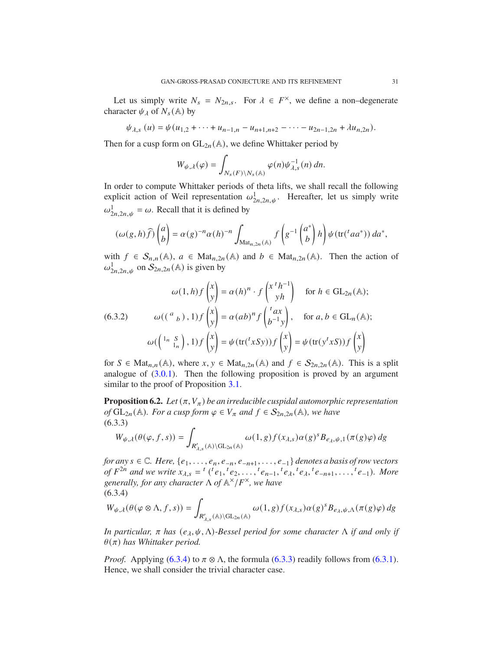Let us simply write  $N_s = N_{2n,s}$ . For  $\lambda \in F^{\times}$ , we define a non-degenerate character  $\psi_{\lambda}$  of  $N_s(\mathbb{A})$  by

$$
\psi_{\lambda,s}(u) = \psi(u_{1,2} + \cdots + u_{n-1,n} - u_{n+1,n+2} - \cdots - u_{2n-1,2n} + \lambda u_{n,2n}).
$$

Then for a cusp form on  $GL_{2n}(\mathbb{A})$ , we define Whittaker period by

$$
W_{\psi,\lambda}(\varphi) = \int_{N_s(F)\backslash N_s(\mathbb{A})} \varphi(n) \psi_{\lambda,s}^{-1}(n) \, dn.
$$

In order to compute Whittaker periods of theta lifts, we shall recall the following explicit action of Weil representation  $\omega_{2n,2n,\psi}^1$ . Hereafter, let us simply write  $\omega_{2n,2n,\psi}^1 = \omega$ . Recall that it is defined by

$$
(\omega(g,h)\widehat{f})\begin{pmatrix}a\\b\end{pmatrix}=\alpha(g)^{-n}\alpha(h)^{-n}\int_{\mathrm{Mat}_{n,2n}(\mathbb{A})}f\left(g^{-1}\begin{pmatrix}a^*\\b\end{pmatrix}h\right)\psi(\mathrm{tr}(^taa^*))\,da^*,
$$

with  $f \in S_{n,n}(\mathbb{A})$ ,  $a \in \text{Mat}_{n,2n}(\mathbb{A})$  and  $b \in \text{Mat}_{n,2n}(\mathbb{A})$ . Then the action of  $\omega_{2n,2n,\psi}^1$  on  $\mathcal{S}_{2n,2n}$  (A) is given by

𝜔(1, ℎ) 𝑓 𝑥 𝑦 = 𝛼(ℎ) 𝑛 · 𝑓 𝑥 𝑡 ℎ −1 𝑦ℎ for ℎ ∈ GL2<sup>𝑛</sup> (A); 𝜔( ( <sup>𝑎</sup> 𝑏 ) , 1) 𝑓 𝑥 𝑦 = 𝛼(𝑎𝑏) 𝑛 𝑓 <sup>𝑡</sup> 𝑎𝑥 𝑏 −1 𝑦 (6.3.2) , for 𝑎, 𝑏 ∈ GL<sup>𝑛</sup> (A); 𝜔( 1𝑛 𝑆 1𝑛 , 1) 𝑓 𝑥 𝑦 = 𝜓(tr( 𝑡 𝑥𝑆𝑦)) 𝑓 𝑥 𝑦 = 𝜓(tr(𝑦 𝑡 𝑥𝑆)) 𝑓 𝑥 𝑦 

for  $S \in \text{Mat}_{n,n}(\mathbb{A})$ , where  $x, y \in \text{Mat}_{n,2n}(\mathbb{A})$  and  $f \in \mathcal{S}_{2n,2n}(\mathbb{A})$ . This is a split analogue of  $(3.0.1)$ . Then the following proposition is proved by an argument similar to the proof of Proposition 3.1.

**Proposition 6.2.** *Let*  $(\pi, V_{\pi})$  *be an irreducible cuspidal automorphic representation of*  $GL_{2n}(\mathbb{A})$ *. For a cusp form*  $\varphi \in V_{\pi}$  *and*  $f \in S_{2n,2n}(\mathbb{A})$ *, we have* (6.3.3)

$$
W_{\psi,\lambda}(\theta(\varphi,f,s)) = \int_{R'_{\lambda,s}(\mathbb{A})\backslash\mathrm{GL}_{2n}(\mathbb{A})} \omega(1,g)f(x_{\lambda,s})\alpha(g)^s B_{e_{\lambda},\psi,1}(\pi(g)\varphi) dg
$$

*for any*  $s \in \mathbb{C}$ *. Here,*  $\{e_1, \ldots, e_n, e_{-n}, e_{-n+1}, \ldots, e_{-1}\}$  *denotes a basis of row vectors of*  $F^{2n}$  and we write  $x_{\lambda,s} = {^t}({^t}e_1, {^t}e_2, \ldots, {^t}e_{n-1}, {^t}e_{\lambda}, {^t}e_{\lambda}, {^t}e_{-n+1}, \ldots, {^t}e_{-1})$ . More generally, for any character  $\Lambda$  of  $\mathbb{A}^{\times}/F^{\times}$ , we have  $(6.2.4)$ 

$$
(0.5.4)
$$
  
\n
$$
W_{\psi,\lambda}(\theta(\varphi \otimes \Lambda, f, s)) = \int_{R'_{\lambda,s}(\mathbb{A}) \backslash GL_{2n}(\mathbb{A})} \omega(1,g) f(x_{\lambda,s}) \alpha(g)^s B_{e_{\lambda},\psi,\Lambda}(\pi(g)\varphi) dg
$$

*In particular,*  $\pi$  *has*  $(e_{\lambda}, \psi, \Lambda)$ *-Bessel period for some character*  $\Lambda$  *if and only if*  $\theta(\pi)$  has Whittaker period.

*Proof.* Applying (6.3.4) to  $\pi \otimes \Lambda$ , the formula (6.3.3) readily follows from (6.3.1). Hence, we shall consider the trivial character case.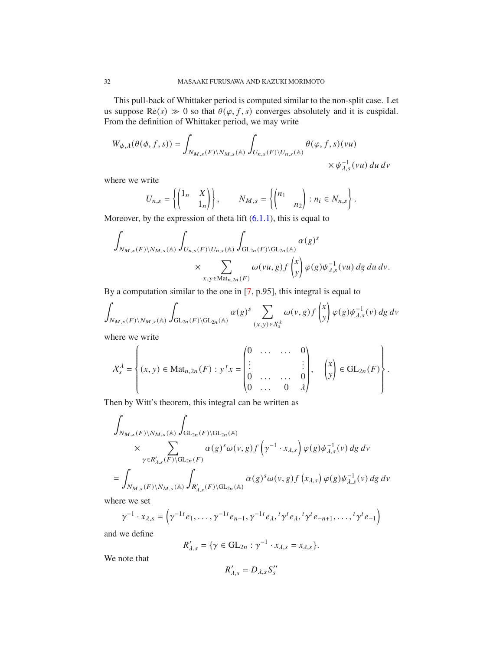This pull-back of Whittaker period is computed similar to the non-split case. Let us suppose  $\text{Re}(s) \gg 0$  so that  $\theta(\varphi, f, s)$  converges absolutely and it is cuspidal. From the definition of Whittaker period, we may write

$$
W_{\psi,\lambda}(\theta(\phi,f,s)) = \int_{N_{M,s}(F)\backslash N_{M,s}(\mathbb{A})} \int_{U_{n,s}(F)\backslash U_{n,s}(\mathbb{A})} \theta(\varphi,f,s)(vu) \times \psi_{\lambda,s}^{-1}(vu) du dv
$$

where we write

$$
U_{n,s} = \left\{ \begin{pmatrix} 1_n & X \\ & 1_n \end{pmatrix} \right\}, \qquad N_{M,s} = \left\{ \begin{pmatrix} n_1 & \\ & n_2 \end{pmatrix} : n_i \in N_{n,s} \right\}.
$$

Moreover, by the expression of theta lift  $(6.1.1)$ , this is equal to

$$
\int_{N_{M,s}(F)\backslash N_{M,s}({\mathbb {A}})}\int_{U_{n,s}(F)\backslash U_{n,s}({\mathbb {A}})}\int_{\operatorname{GL}_{2n}(F)\backslash\operatorname{GL}_{2n}({\mathbb {A}})}\alpha(g)^s\\times\sum_{x,y\in\operatorname{Mat}_{n,2n}(F)}\omega(vu,g)f\begin{pmatrix}x\\y\end{pmatrix}\varphi(g)\psi_{\lambda,s}^{-1}(vu)\,dg\,du\,dv.
$$

By a computation similar to the one in [7, p.95], this integral is equal to

$$
\int_{N_{M,s}(F)\backslash N_{M,s}({\mathbb {A}})}\int_{\operatorname{GL}_{2n}(F)\backslash\operatorname{GL}_{2n}({\mathbb {A}})}\alpha(g)^s\sum_{(x,y)\in {\mathcal {X}}^{\lambda}_s}\omega(v,g)f\begin{pmatrix}x\\y\end{pmatrix}\varphi(g)\psi^{-1}_{\lambda,s}(v)\,dg\,dv
$$

where we write

$$
X_s^{\lambda} = \left\{ (x, y) \in \text{Mat}_{n,2n}(F) : y^t x = \begin{pmatrix} 0 & \dots & \dots & 0 \\ \vdots & & & \vdots \\ 0 & \dots & \dots & 0 \\ 0 & \dots & 0 & \lambda \end{pmatrix}, \begin{pmatrix} x \\ y \end{pmatrix} \in \text{GL}_{2n}(F) \right\}.
$$

Then by Witt's theorem, this integral can be written as

$$
\int_{N_{M,s}(F)\backslash N_{M,s}({\mathbb {A}})}\int_{\mathrm{GL}_{2n}(F)\backslash\mathrm{GL}_{2n}({\mathbb {A}})}\times \sum_{\gamma\in R'_{\lambda,s}(F)\backslash\mathrm{GL}_{2n}(F)}\alpha(g)^{s}\omega(v,g)f\left(\gamma^{-1}\cdot x_{\lambda,s}\right)\varphi(g)\psi_{\lambda,s}^{-1}(v)\,dg\,dv
$$
\n
$$
=\int_{N_{M,s}(F)\backslash N_{M,s}({\mathbb {A}})}\int_{R'_{\lambda,s}(F)\backslash\mathrm{GL}_{2n}({\mathbb {A}})}\alpha(g)^{s}\omega(v,g)f\left(x_{\lambda,s}\right)\varphi(g)\psi_{\lambda,s}^{-1}(v)\,dg\,dv
$$

where we set

$$
\gamma^{-1} \cdot x_{\lambda,s} = \left( \gamma^{-1} e_1, \dots, \gamma^{-1} e_{n-1}, \gamma^{-1} e_{\lambda}, {}^{t} \gamma^{t} e_{\lambda}, {}^{t} \gamma^{t} e_{-n+1}, \dots, {}^{t} \gamma^{t} e_{-1} \right)
$$

and we define

$$
R'_{\lambda,s} = \{ \gamma \in \mathrm{GL}_{2n} : \gamma^{-1} \cdot x_{\lambda,s} = x_{\lambda,s} \}.
$$

We note that

$$
R'_{\lambda,s}=D_{\lambda,s}S''_s
$$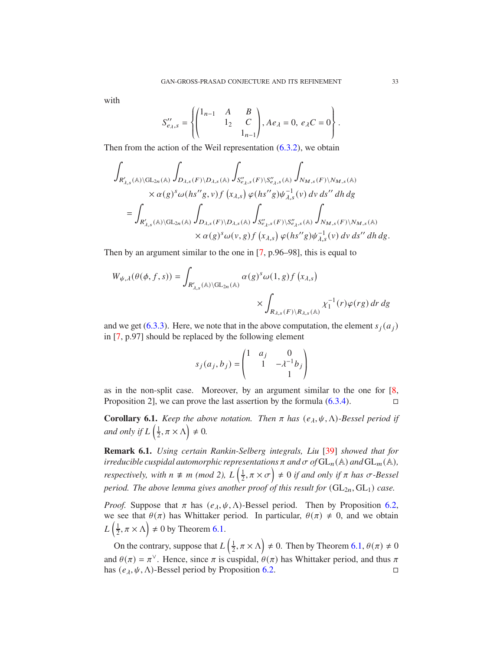with

$$
S_{e_{\lambda},s}^{"'} = \left\{ \begin{pmatrix} 1_{n-1} & A & B \\ & 1_2 & C \\ & & 1_{n-1} \end{pmatrix}, Ae_{\lambda} = 0, e_{\lambda}C = 0 \right\}.
$$

Then from the action of the Weil representation  $(6.3.2)$ , we obtain

$$
\int_{R'_{\lambda,s}(\mathbb{A})\backslash\mathrm{GL}_{2n}(\mathbb{A})}\int_{D_{\lambda,s}(F)\backslash D_{\lambda,s}(\mathbb{A})}\int_{S''_{\lambda,s}(F)\backslash S''_{\lambda,s}(\mathbb{A})}\int_{N_{M,s}(F)\backslash N_{M,s}(\mathbb{A})}\times\alpha(g)^s\omega(hs''g,v)f\left(x_{\lambda,s}\right)\varphi(hs''g)\psi_{\lambda,s}^{-1}(v)\,dv\,ds''\,dh\,dg
$$
\n
$$
=\int_{R'_{\lambda,s}(\mathbb{A})\backslash\mathrm{GL}_{2n}(\mathbb{A})}\int_{D_{\lambda,s}(F)\backslash D_{\lambda,s}(\mathbb{A})}\int_{S''_{\ell,s,s}(F)\backslash S''_{\ell,s}(\mathbb{A})}\int_{N_{M,s}(F)\backslash N_{M,s}(\mathbb{A})}\times\alpha(g)^s\omega(v,g)f\left(x_{\lambda,s}\right)\varphi(hs''g)\psi_{\lambda,s}^{-1}(v)\,dv\,ds''\,dh\,dg.
$$

Then by an argument similar to the one in [7, p.96–98], this is equal to

$$
W_{\psi,\lambda}(\theta(\phi, f, s)) = \int_{R'_{\lambda,s}(\mathbb{A})\backslash\mathrm{GL}_{2n}(\mathbb{A})} \alpha(g)^s \omega(1, g) f(x_{\lambda,s})
$$

$$
\times \int_{R_{\lambda,s}(F)\backslash R_{\lambda,s}(\mathbb{A})} \chi_1^{-1}(r) \varphi(rg) dr dg
$$

and we get (6.3.3). Here, we note that in the above computation, the element  $s_i(a_i)$ in [7, p.97] should be replaced by the following element

$$
s_j(a_j, b_j) = \begin{pmatrix} 1 & a_j & 0 \\ 1 & -\lambda^{-1}b_j \\ 1 & 1 \end{pmatrix}
$$

as in the non-split case. Moreover, by an argument similar to the one for [8, Proposition 2], we can prove the last assertion by the formula  $(6.3.4)$ .

**Corollary 6.1.** *Keep the above notation. Then*  $\pi$  *has*  $(e_{\lambda}, \psi, \Lambda)$ *-Bessel period if* and only if  $L\left(\frac{1}{2}\right)$  $\frac{1}{2}, \pi \times \Lambda$   $\neq$  0.

**Remark 6.1.** *Using certain Rankin-Selberg integrals, Liu* [39] *showed that for irreducible cuspidal automorphic representations*  $\pi$  *and*  $\sigma$  *of*  $GL_n(\mathbb{A})$  *and*  $GL_m(\mathbb{A})$ *, respectively, with*  $n \neq m \pmod{2}$ ,  $L\left(\frac{1}{2}\right)$  $(\frac{1}{2}, \pi \times \sigma) \neq 0$  *if and only if*  $\pi$  *has*  $\sigma$ *-Bessel period. The above lemma gives another proof of this result for*  $(GL_{2n}, GL_1)$  *case.* 

*Proof.* Suppose that  $\pi$  has  $(e_{\lambda}, \psi, \Lambda)$ -Bessel period. Then by Proposition 6.2, we see that  $\theta(\pi)$  has Whittaker period. In particular,  $\theta(\pi) \neq 0$ , and we obtain  $L\left(\frac{1}{2}\right)$  $(\frac{1}{2}, \pi \times \Lambda) \neq 0$  by Theorem 6.1.

On the contrary, suppose that  $L\left(\frac{1}{2}\right)$  $(\frac{1}{2}, \pi \times \Lambda) \neq 0$ . Then by Theorem 6.1,  $\theta(\pi) \neq 0$ and  $\theta(\pi) = \pi^{\vee}$ . Hence, since  $\pi$  is cuspidal,  $\theta(\pi)$  has Whittaker period, and thus  $\pi$ has  $(e_{\lambda}, \psi, \Lambda)$ -Bessel period by Proposition 6.2.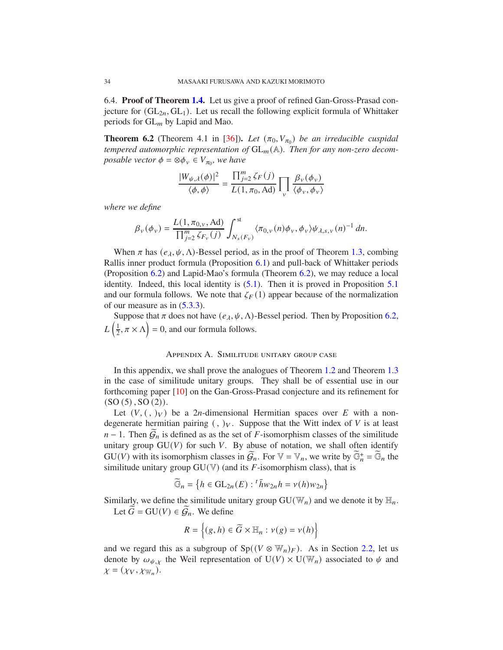6.4. **Proof of Theorem 1.4.** Let us give a proof of refined Gan-Gross-Prasad conjecture for  $(GL_{2n}, GL_1)$ . Let us recall the following explicit formula of Whittaker periods for  $GL_m$  by Lapid and Mao.

**Theorem 6.2** (Theorem 4.1 in [36]). Let  $(\pi_0, V_{\pi_0})$  be an irreducible cuspidal *tempered automorphic representation of*  $GL_m(\mathbb{A})$ . Then for any non-zero decom*posable vector*  $\phi = \otimes \phi_v \in V_{\pi_0}$ , we have

$$
\frac{|W_{\psi,\lambda}(\phi)|^2}{\langle \phi, \phi \rangle} = \frac{\prod_{j=2}^m \zeta_F(j)}{L(1, \pi_0, \text{Ad})} \prod_{v} \frac{\beta_v(\phi_v)}{\langle \phi_v, \phi_v \rangle}
$$

*where we define*

$$
\beta_{\nu}(\phi_{\nu}) = \frac{L(1, \pi_{0,\nu}, \text{Ad})}{\prod_{j=2}^{m} \zeta_{F_{\nu}}(j)} \int_{N_s(F_{\nu})}^{st} \langle \pi_{0,\nu}(n) \phi_{\nu}, \phi_{\nu} \rangle \psi_{\lambda,s,\nu}(n)^{-1} dn.
$$

When  $\pi$  has  $(e_{\lambda}, \psi, \Lambda)$ -Bessel period, as in the proof of Theorem 1.3, combing Rallis inner product formula (Proposition 6.1) and pull-back of Whittaker periods (Proposition 6.2) and Lapid-Mao's formula (Theorem 6.2), we may reduce a local identity. Indeed, this local identity is (5.1). Then it is proved in Proposition 5.1 and our formula follows. We note that  $\zeta_F(1)$  appear because of the normalization of our measure as in (5.3.3).

Suppose that  $\pi$  does not have  $(e_{\lambda}, \psi, \Lambda)$ -Bessel period. Then by Proposition 6.2,  $L\left(\frac{1}{2}\right)$  $\left(\frac{1}{2}, \pi \times \Lambda\right) = 0$ , and our formula follows.

## Appendix A. Similitude unitary group case

In this appendix, we shall prove the analogues of Theorem 1.2 and Theorem 1.3 in the case of similitude unitary groups. They shall be of essential use in our forthcoming paper [10] on the Gan-Gross-Prasad conjecture and its refinement for  $(SO(5), SO(2)).$ 

Let  $(V, ( , )_V)$  be a 2*n*-dimensional Hermitian spaces over E with a nondegenerate hermitian pairing  $($ ,  $)_V$ . Suppose that the Witt index of V is at least  $n-1$ . Then  $\mathcal{G}_n$  is defined as as the set of F-isomorphism classes of the similitude unitary group  $GU(V)$  for such V. By abuse of notation, we shall often identify GU(V) with its isomorphism classes in  $\widetilde{\mathcal{G}}_n$ . For  $\mathbb{V} = \mathbb{V}_n$ , we write by  $\widetilde{\mathbb{G}}_n^+ = \widetilde{\mathbb{G}}_n$  the similitude unitary group  $GU(V)$  (and its F-isomorphism class), that is

$$
\widetilde{\mathbb{G}}_n = \left\{ h \in \mathrm{GL}_{2n}(E) : {}^t \bar{h} w_{2n} h = v(h) w_{2n} \right\}
$$

Similarly, we define the similitude unitary group  $GU(\mathbb{W}_n)$  and we denote it by  $\mathbb{H}_n$ . Let  $\widetilde{G} = \mathrm{GU}(V) \in \widetilde{\mathcal{G}}_n$ . We define

$$
R = \left\{ (g, h) \in \widetilde{G} \times \mathbb{H}_n : \nu(g) = \nu(h) \right\}
$$

and we regard this as a subgroup of  $Sp((V \otimes \mathbb{W}_n)_F)$ . As in Section 2.2, let us denote by  $\omega_{\psi,\chi}$  the Weil representation of  $U(V) \times U(\mathbb{W}_n)$  associated to  $\psi$  and  $\chi = (\chi_V, \chi_{\mathbb{W}_n}).$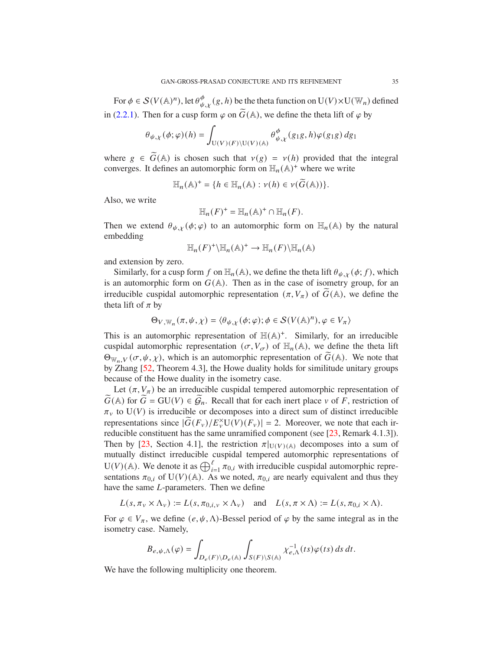For  $\phi \in \mathcal{S}(V(\mathbb{A})^n)$ , let  $\theta_{\psi,\chi}^{\phi}(g,h)$  be the theta function on  $\mathrm{U}(V)\times \mathrm{U}(\mathbb{W}_n)$  defined in (2.2.1). Then for a cusp form  $\varphi$  on  $\widetilde{G}(\mathbb{A})$ , we define the theta lift of  $\varphi$  by

$$
\theta_{\psi,\chi}(\phi;\varphi)(h)=\int_{\mathrm{U}(V)(F)\backslash \mathrm{U}(V)(\mathbb{A})}\theta_{\psi,\chi}^{\phi}(g_1g,h)\varphi(g_1g)\,dg_1
$$

where  $g \in \widetilde{G}(\mathbb{A})$  is chosen such that  $v(g) = v(h)$  provided that the integral converges. It defines an automorphic form on  $\mathbb{H}_n(\mathbb{A})^+$  where we write

$$
\mathbb{H}_n(\mathbb{A})^+=\{h\in\mathbb{H}_n(\mathbb{A}):\nu(h)\in\nu(\widetilde{G}(\mathbb{A}))\}.
$$

Also, we write

$$
\mathbb{H}_n(F)^+=\mathbb{H}_n(\mathbb{A})^+\cap\mathbb{H}_n(F).
$$

Then we extend  $\theta_{\psi,x}(\phi;\varphi)$  to an automorphic form on  $\mathbb{H}_n(\mathbb{A})$  by the natural embedding

$$
\mathbb{H}_n(F)^+\backslash\mathbb{H}_n(\mathbb{A})^+\to\mathbb{H}_n(F)\backslash\mathbb{H}_n(\mathbb{A})
$$

and extension by zero.

Similarly, for a cusp form f on  $\mathbb{H}_n(\mathbb{A})$ , we define the theta lift  $\theta_{\psi,\chi}(\phi; f)$ , which is an automorphic form on  $G(A)$ . Then as in the case of isometry group, for an irreducible cuspidal automorphic representation  $(\pi, V_{\pi})$  of  $\widetilde{G}(\mathbb{A})$ , we define the theta lift of  $\pi$  by

$$
\Theta_{V,\mathbb{W}_n}(\pi,\psi,\chi)=\langle \theta_{\psi,\chi}(\phi;\varphi);\phi\in\mathcal{S}(V(\mathbb{A})^n),\varphi\in V_{\pi}\rangle
$$

This is an automorphic representation of  $H(A)^+$ . Similarly, for an irreducible cuspidal automorphic representation  $(\sigma, V_{\sigma})$  of  $\mathbb{H}_n(\mathbb{A})$ , we define the theta lift  $\Theta_{\mathbb{W}_n,V}(\sigma,\psi,\chi)$ , which is an automorphic representation of  $\tilde{G}(\mathbb{A})$ . We note that by Zhang [52, Theorem 4.3], the Howe duality holds for similitude unitary groups because of the Howe duality in the isometry case.

Let  $(\pi, V_{\pi})$  be an irreducible cuspidal tempered automorphic representation of  $G(A)$  for  $G = \mathrm{GU}(V) \in \mathcal{G}_n$ . Recall that for each inert place  $v$  of  $F$ , restriction of  $\pi_{v}$  to U(V) is irreducible or decomposes into a direct sum of distinct irreducible representations since  $|\widetilde{G}(F_v)/E_v^{\times}U(V)(F_v)| = 2$ . Moreover, we note that each irreducible constituent has the same unramified component (see [23, Remark 4.1.3]). Then by [23, Section 4.1], the restriction  $\pi|_{U(V)(\mathbb{A})}$  decomposes into a sum of mutually distinct irreducible cuspidal tempered automorphic representations of U(V)(A). We denote it as  $\bigoplus_{i=1}^{\ell} \pi_{0,i}$  with irreducible cuspidal automorphic representations  $\pi_{0,i}$  of U(V)(A). As we noted,  $\pi_{0,i}$  are nearly equivalent and thus they have the same  $L$ -parameters. Then we define

$$
L(s, \pi_v \times \Lambda_v) := L(s, \pi_{0,i,v} \times \Lambda_v) \quad \text{and} \quad L(s, \pi \times \Lambda) := L(s, \pi_{0,i} \times \Lambda).
$$

For  $\varphi \in V_{\pi}$ , we define  $(e, \psi, \Lambda)$ -Bessel period of  $\varphi$  by the same integral as in the isometry case. Namely,

$$
B_{e,\psi,\Lambda}(\varphi) = \int_{D_e(F)\backslash D_e(\mathbb{A})} \int_{S(F)\backslash S(\mathbb{A})} \chi_{e,\Lambda}^{-1}(ts) \varphi(ts) \, ds \, dt.
$$

We have the following multiplicity one theorem.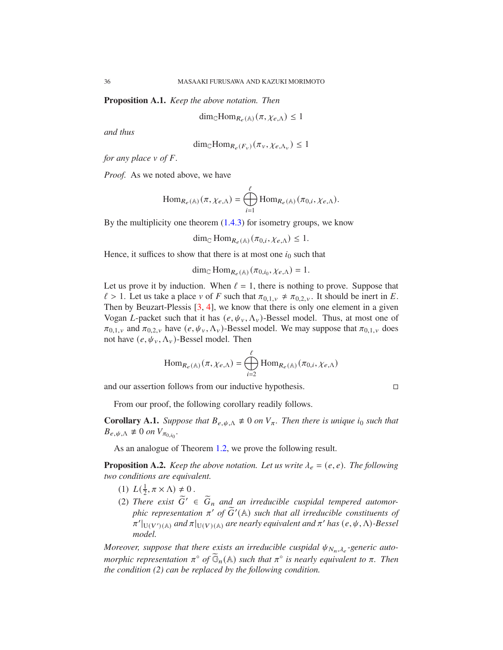**Proposition A.1.** *Keep the above notation. Then*

$$
\dim_{\mathbb{C}} \text{Hom}_{R_e(\mathbb{A})}(\pi, \chi_{e,\Lambda}) \le 1
$$

*and thus*

$$
\dim_{\mathbb{C}} \text{Hom}_{R_e(F_v)}(\pi_v, \chi_{e, \Lambda_v}) \le 1
$$

*for any place*  $\nu$  *of*  $\vec{F}$ *.* 

*Proof.* As we noted above, we have

$$
\operatorname{Hom}_{R_e(\mathbb{A})}(\pi, \chi_{e,\Lambda}) = \bigoplus_{i=1}^{\ell} \operatorname{Hom}_{R_e(\mathbb{A})}(\pi_{0,i}, \chi_{e,\Lambda}).
$$

By the multiplicity one theorem  $(1.4.3)$  for isometry groups, we know

dim<sub>C</sub> Hom<sub>R<sub>e</sub>(A)</sub> $(\pi_{0,i}, \chi_{e,\Lambda}) \leq 1$ .

Hence, it suffices to show that there is at most one  $i_0$  such that

$$
\dim_{\mathbb{C}} \mathrm{Hom}_{R_e(\mathbb{A})}(\pi_{0,i_0}, \chi_{e,\Lambda}) = 1.
$$

Let us prove it by induction. When  $\ell = 1$ , there is nothing to prove. Suppose that  $\ell > 1$ . Let us take a place v of F such that  $\pi_{0,1,\nu} \neq \pi_{0,2,\nu}$ . It should be inert in E. Then by Beuzart-Plessis [3, 4], we know that there is only one element in a given Vogan *L*-packet such that it has  $(e, \psi_v, \Lambda_v)$ -Bessel model. Thus, at most one of  $\pi_{0,1,v}$  and  $\pi_{0,2,v}$  have  $(e, \psi_v, \Lambda_v)$ -Bessel model. We may suppose that  $\pi_{0,1,v}$  does not have  $(e, \psi_v, \Lambda_v)$ -Bessel model. Then

$$
\operatorname{Hom}_{R_e(\mathbb{A})}(\pi, \chi_{e,\Lambda}) = \bigoplus_{i=2}^{\ell} \operatorname{Hom}_{R_e(\mathbb{A})}(\pi_{0,i}, \chi_{e,\Lambda})
$$

and our assertion follows from our inductive hypothesis.

From our proof, the following corollary readily follows.

**Corollary A.1.** *Suppose that*  $B_{e, \psi, \Lambda} \neq 0$  *on*  $V_{\pi}$ *. Then there is unique i<sub>0</sub> such that*  $B_{e, \psi, \Lambda} \not\equiv 0$  on  $V_{\pi_{0,i_0}}$ .

As an analogue of Theorem 1.2, we prove the following result.

**Proposition A.2.** *Keep the above notation. Let us write*  $\lambda_e = (e, e)$ *. The following two conditions are equivalent.*

- (1)  $L(\frac{1}{2})$  $\frac{1}{2}, \pi \times \Lambda$   $\neq$  0.
- (2) *There exist*  $\widetilde{G}' \in \widetilde{G}_n$  and an irreducible cuspidal tempered automor*phic representation*  $\pi'$  *of*  $\widetilde{G}'(\mathbb{A})$  *such that all irreducible constituents of*  $\pi'|_{U(V')({\mathbb A})}$  and  $\pi|_{U(V)({\mathbb A})}$  are nearly equivalent and  $\pi'$  has  $(e, \psi, \Lambda)$ -Bessel *model.*

*Moreover, suppose that there exists an irreducible cuspidal*  $\psi_{N_n,\lambda_e}$ -generic auto*morphic representation*  $\pi^{\circ}$  *of*  $\widetilde{\mathbb{G}}_n(\mathbb{A})$  *such that*  $\pi^{\circ}$  *is nearly equivalent to*  $\pi$ *. Then the condition (2) can be replaced by the following condition.*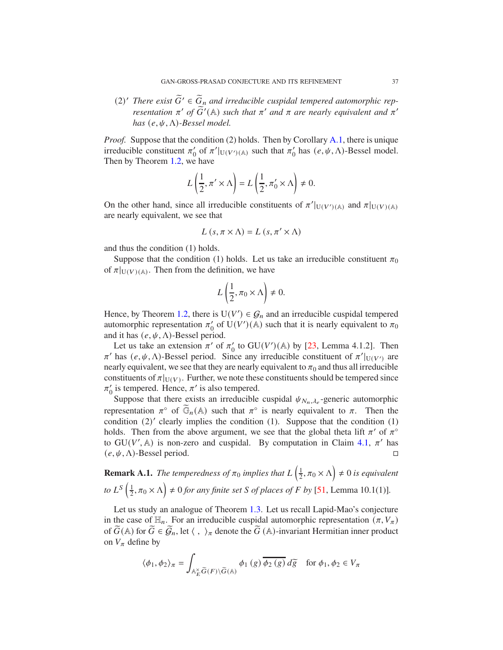(2)<sup>*'*</sup> *There exist*  $\widetilde{G}' \in \widetilde{G}_n$  and irreducible cuspidal tempered automorphic rep*resentation*  $\pi'$  *of*  $\widetilde{G}'(\mathbb{A})$  *such that*  $\pi'$  *and*  $\pi$  *are nearly equivalent and*  $\pi'$ *has*  $(e, \psi, \Lambda)$ *-Bessel model.* 

*Proof.* Suppose that the condition (2) holds. Then by Corollary A.1, there is unique irreducible constituent  $\pi'_0$  of  $\pi'|_{U(V')(\mathbb{A})}$  such that  $\pi'_0$  has  $(e, \psi, \Lambda)$ -Bessel model. Then by Theorem 1.2, we have

$$
L\left(\frac{1}{2}, \pi' \times \Lambda\right) = L\left(\frac{1}{2}, \pi'_0 \times \Lambda\right) \neq 0.
$$

On the other hand, since all irreducible constituents of  $\pi'|_{U(V')(\mathbb{A})}$  and  $\pi|_{U(V)(\mathbb{A})}$ are nearly equivalent, we see that

$$
L(s, \pi \times \Lambda) = L(s, \pi' \times \Lambda)
$$

and thus the condition (1) holds.

Suppose that the condition (1) holds. Let us take an irreducible constituent  $\pi_0$ of  $\pi|_{U(V)(\mathbb{A})}$ . Then from the definition, we have

$$
L\left(\frac{1}{2}, \pi_0 \times \Lambda\right) \neq 0.
$$

Hence, by Theorem 1.2, there is  $U(V') \in \mathcal{G}_n$  and an irreducible cuspidal tempered automorphic representation  $\pi'_0$  of U(V')(A) such that it is nearly equivalent to  $\pi_0$ and it has  $(e, \psi, \Lambda)$ -Bessel period.

Let us take an extension  $\pi'$  of  $\pi'_0$  to GU(V')(A) by [23, Lemma 4.1.2]. Then  $\pi'$  has  $(e, \psi, \Lambda)$ -Bessel period. Since any irreducible constituent of  $\pi'|_{U(V')}$  are nearly equivalent, we see that they are nearly equivalent to  $\pi_0$  and thus all irreducible constituents of  $\pi|_{U(V)}$ . Further, we note these constituents should be tempered since  $\pi'_0$  is tempered. Hence,  $\pi'$  is also tempered.

Suppose that there exists an irreducible cuspidal  $\psi_{N_n,\lambda_e}$ -generic automorphic representation  $\pi^{\circ}$  of  $\widetilde{\mathbb{G}}_n(\mathbb{A})$  such that  $\pi^{\circ}$  is nearly equivalent to  $\pi$ . Then the condition (2)' clearly implies the condition (1). Suppose that the condition (1) holds. Then from the above argument, we see that the global theta lift  $\pi'$  of  $\pi^{\circ}$ to  $GU(V', A)$  is non-zero and cuspidal. By computation in Claim 4.1,  $\pi'$  has  $(e, \psi, \Lambda)$ -Bessel period.

**Remark A.1.** *The temperedness of*  $\pi_0$  *implies that*  $L\left(\frac{1}{2}\right)$  $(\frac{1}{2}, \pi_0 \times \Lambda) \neq 0$  is equivalent *to*  $L^S\left(\frac{1}{2}\right)$  $(\frac{1}{2}, \pi_0 \times \Lambda) \neq 0$  *for any finite set S of places of F by* [51, Lemma 10.1(1)].

Let us study an analogue of Theorem 1.3. Let us recall Lapid-Mao's conjecture in the case of  $\mathbb{H}_n$ . For an irreducible cuspidal automorphic representation  $(\pi, V_{\pi})$ of  $\widetilde{G}(\mathbb{A})$  for  $\widetilde{G} \in \widetilde{\mathcal{G}}_n$ , let  $\langle , \rangle_{\pi}$  denote the  $\widetilde{G}(\mathbb{A})$ -invariant Hermitian inner product on  $V_{\pi}$  define by

$$
\langle \phi_1, \phi_2 \rangle_{\pi} = \int_{\mathbb{A}_E^{\times} \widetilde{G}(F) \backslash \widetilde{G}(\mathbb{A})} \phi_1(g) \overline{\phi_2(g)} d\widetilde{g} \quad \text{for } \phi_1, \phi_2 \in V_{\pi}
$$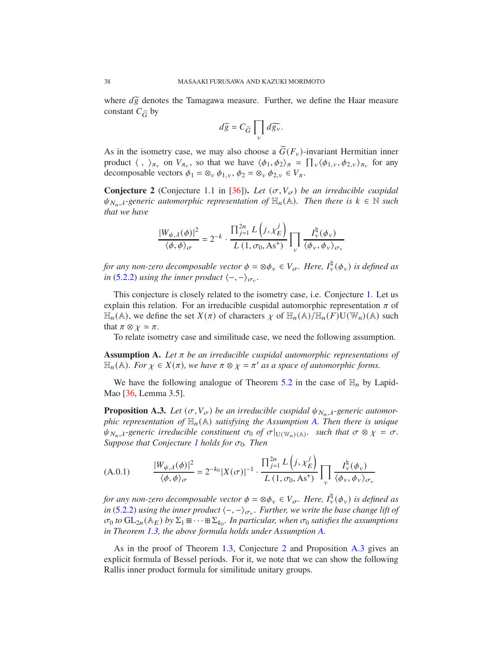where  $d\tilde{g}$  denotes the Tamagawa measure. Further, we define the Haar measure constant  $C_{\tilde{G}}$  by

$$
d\widetilde{g} = C_{\widetilde{G}} \prod_{v} d\widetilde{g_{v}}.
$$

As in the isometry case, we may also choose a  $\tilde{G}(F_v)$ -invariant Hermitian inner product  $\langle , \rangle_{\pi_v}$  on  $V_{\pi_v}$ , so that we have  $\langle \phi_1, \phi_2 \rangle_{\pi} = \prod_v \langle \phi_{1,v}, \phi_{2,v} \rangle_{\pi_v}$  for any decomposable vectors  $\phi_1 = \otimes_v \phi_{1,v}, \phi_2 = \otimes_v \phi_{2,v} \in V_\pi$ .

**Conjecture 2** (Conjecture 1.1 in [36]). Let  $(\sigma, V_{\sigma})$  be an irreducible cuspidal  $\psi_{N_n,\lambda}$ -generic automorphic representation of  $\mathbb{H}_n(\mathbb{A})$ . Then there is  $k \in \mathbb{N}$  such *that we have*

$$
\frac{|W_{\psi,\lambda}(\phi)|^2}{\langle \phi,\phi\rangle_\sigma}=2^{-k}\cdot\frac{\prod_{j=1}^{2n}L\left(j,\chi_E^j\right)}{L\left(1,\sigma_0,\mathrm{As}^+\right)}\prod_{v}\frac{I_v^{\natural}(\phi_v)}{\langle \phi_v,\phi_v\rangle_{\sigma_v}}
$$

*for any non-zero decomposable vector*  $\phi = \otimes \phi_v \in V_{\sigma}$ . Here,  $I_v^{\natural}(\phi_v)$  is defined as *in* (5.2.2) *using the inner product*  $\langle -, -\rangle_{\sigma_v}$ .

This conjecture is closely related to the isometry case, i.e. Conjecture 1. Let us explain this relation. For an irreducible cuspidal automorphic representation  $\pi$  of  $\mathbb{H}_n(\mathbb{A})$ , we define the set  $X(\pi)$  of characters  $\chi$  of  $\mathbb{H}_n(\mathbb{A})/\mathbb{H}_n(F)U(\mathbb{W}_n)(\mathbb{A})$  such that  $\pi \otimes \chi \simeq \pi$ .

To relate isometry case and similitude case, we need the following assumption.

**Assumption A.** Let  $\pi$  be an irreducible cuspidal automorphic representations of  $\mathbb{H}_n(\mathbb{A})$ *. For*  $\chi \in X(\pi)$ *, we have*  $\pi \otimes \chi = \pi'$  *as a space of automorphic forms.* 

We have the following analogue of Theorem 5.2 in the case of  $\mathbb{H}_n$  by Lapid-Mao [36, Lemma 3.5].

**Proposition A.3.** *Let*  $(\sigma, V_{\sigma})$  *be an irreducible cuspidal*  $\psi_{N_n, \lambda}$ *-generic automorphic representation of*  $\mathbb{H}_n(\mathbb{A})$  *satisfying the Assumption A. Then there is unique*  $\psi_{N_n,\lambda}$ -generic irreducible constituent  $\sigma_0$  of  $\sigma|_{U(\mathbb{W}_n)(\mathbb{A})}$ . such that  $\sigma \otimes \chi = \sigma$ . *Suppose that Conjecture 1 holds for*  $\sigma_0$ *. Then* 

$$
(A.0.1) \qquad \frac{|W_{\psi,\lambda}(\phi)|^2}{\langle \phi, \phi \rangle_{\sigma}} = 2^{-k_0} |X(\sigma)|^{-1} \cdot \frac{\prod_{j=1}^{2n} L\left(j, \chi_E^j\right)}{L\left(1, \sigma_0, As^+\right)} \prod_{\nu} \frac{I_{\nu}^{\natural}(\phi_{\nu})}{\langle \phi_{\nu}, \phi_{\nu} \rangle_{\sigma_{\nu}}}
$$

*for any non-zero decomposable vector*  $\phi = \otimes \phi_v \in V_{\sigma}$ . Here,  $I_v^{\natural}(\phi_v)$  is defined as *in* (5.2.2) using the inner product  $\langle -, -\rangle_{\sigma_v}$ . Further, we write the base change lift of  $\sigma_0$  to  $GL_{2n}(\mathbb{A}_E)$  by  $\Sigma_1 \boxplus \cdots \boxplus \Sigma_{k_0}$ . In particular, when  $\sigma_0$  satisfies the assumptions *in Theorem 1.3, the above formula holds under Assumption A.*

As in the proof of Theorem 1.3, Conjecture 2 and Proposition A.3 gives an explicit formula of Bessel periods. For it, we note that we can show the following Rallis inner product formula for similitude unitary groups.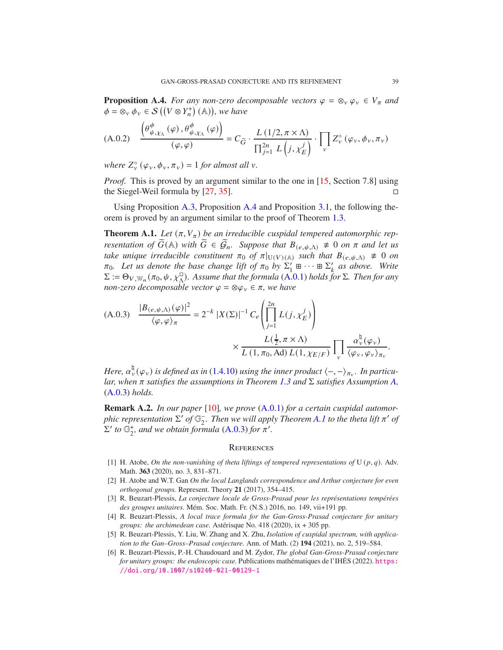**Proposition A.4.** *For any non-zero decomposable vectors*  $\varphi = \otimes_v \varphi_v \in V_\pi$  *and*  $\phi = \otimes_v \phi_v \in \mathcal{S}((V \otimes Y_n^+)(\mathbb{A}))$ , we have

(A.0.2) 
$$
\frac{\left(\theta^{\phi}_{\psi,\chi_{\Lambda}}(\varphi),\theta^{\phi}_{\psi,\chi_{\Lambda}}(\varphi)\right)}{(\varphi,\varphi)} = C_{\widetilde{G}} \cdot \frac{L\left(1/2,\pi \times \Lambda\right)}{\prod_{j=1}^{2n} L\left(j,\chi_{E}^{j}\right)} \cdot \prod_{v} Z_{v}^{\circ}\left(\varphi_{v},\phi_{v},\pi_{v}\right)
$$

where  $Z_{\nu}^{\circ}(\varphi_{\nu}, \phi_{\nu}, \pi_{\nu}) = 1$  *for almost all*  $\nu$ *.* 

*Proof.* This is proved by an argument similar to the one in [15, Section 7.8] using the Siegel-Weil formula by  $[27, 35]$ .

Using Proposition A.3, Proposition A.4 and Proposition 3.1, the following theorem is proved by an argument similar to the proof of Theorem 1.3.

**Theorem A.1.** Let  $(\pi, V_{\pi})$  be an irreducible cuspidal tempered automorphic rep*resentation of*  $G(\mathbb{A})$  *with*  $G \in \mathcal{G}_n$ *. Suppose that*  $B_{(e,\psi,\Lambda)} \neq 0$  *on*  $\pi$  *and let us take unique irreducible constituent*  $\pi_0$  *of*  $\pi|_{U(V)(\mathbb{A})}$  *such that*  $B_{(e,\psi,\Lambda)} \neq 0$  *on*  $\pi_0$ . Let us denote the base change lift of  $\pi_0$  by  $\Sigma'_1 \boxplus \cdots \boxplus \Sigma'_k$  as above. Write  $\Sigma := \Theta_{V,\mathbb{W}_n}(\pi_0,\psi,\chi_0^{\Box})$ . Assume that the formula (A.0.1) holds for  $\Sigma$ . Then for any *non-zero decomposable vector*  $\varphi = \otimes \varphi_v \in \pi$ *, we have* 

(A.0.3) 
$$
\frac{|B_{(e,\psi,\Lambda)}(\varphi)|^2}{\langle \varphi, \varphi \rangle_{\pi}} = 2^{-k} |X(\Sigma)|^{-1} C_e \left( \prod_{j=1}^{2n} L(j, \chi_E^j) \right)
$$

$$
\times \frac{L(\frac{1}{2}, \pi \times \Lambda)}{L(1, \pi_0, \text{Ad}) L(1, \chi_{E/F})} \prod_{v} \frac{\alpha_v^{\natural}(\varphi_v)}{\langle \varphi_v, \varphi_v \rangle_{\pi_v}}.
$$

Here,  $\alpha^{\natural}_{\nu}(\varphi_{\nu})$  is defined as in (1.4.10) using the inner product  $\langle -, -\rangle_{\pi_{\nu}}$ . In particu*lar, when*  $\pi$  *satisfies the assumptions in Theorem 1.3 and*  $\Sigma$  *satisfies Assumption A,* (A.0.3) *holds.*

**Remark A.2.** *In our paper* [10]*, we prove* (A.0.1) *for a certain cuspidal automorphic representation*  $\Sigma'$  *of*  $\mathbb{G}$ <sup>-</sup><sub>2</sub>. Then we will apply Theorem A.1 to the theta lift π' of  $\Sigma'$  *to*  $\mathbb{G}_2^+$ *, and we obtain formula* (A.0.3) *for*  $\pi'$ *.* 

#### **REFERENCES**

- [1] H. Atobe, *On the non-vanishing of theta liftings of tempered representations of*  $U(p, q)$ *.* Adv. Math. **363** (2020), no. 3, 831–871.
- [2] H. Atobe and W.T. Gan *On the local Langlands correspondence and Arthur conjecture for even orthogonal groups.* Represent. Theory **21** (2017), 354–415.
- [3] R. Beuzart-Plessis, *La conjecture locale de Gross-Prasad pour les représentations tempérées des groupes unitaires.* Mém. Soc. Math. Fr. (N.S.) 2016, no. 149, vii+191 pp.
- [4] R. Beuzart-Plessis, *A local trace formula for the Gan-Gross-Prasad conjecture for unitary groups: the archimedean case.* Astérisque No. 418 (2020), ix + 305 pp.
- [5] R. Beuzart-Plessis, Y. Liu, W. Zhang and X. Zhu, *Isolation of cuspidal spectrum, with application to the Gan–Gross–Prasad conjecture.* Ann. of Math. (2) **194** (2021), no. 2, 519–584.
- [6] R. Beuzart-Plessis, P.-H. Chaudouard and M. Zydor, *The global Gan-Gross-Prasad conjecture for unitary groups: the endoscopic case.* Publications mathématiques de l'IHÉS (2022). https: //doi.org/10.1007/s10240-021-00129-1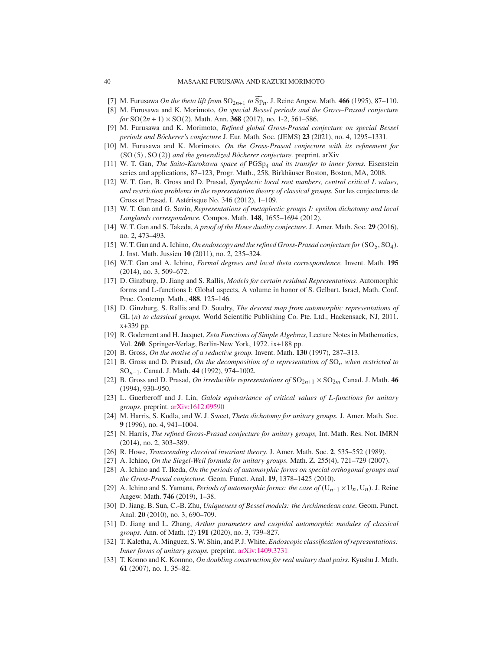#### 40 MASAAKI FURUSAWA AND KAZUKI MORIMOTO

- [7] M. Furusawa *On the theta lift from*  $SO_{2n+1}$  *to*  $Sp_n$ . J. Reine Angew. Math. 466 (1995), 87–110.
- [8] M. Furusawa and K. Morimoto, *On special Bessel periods and the Gross–Prasad conjecture for*  $SO(2n + 1) \times SO(2)$ *. Math. Ann.* **368** (2017), no. 1-2, 561–586.
- [9] M. Furusawa and K. Morimoto, *Refined global Gross-Prasad conjecture on special Bessel periods and Böcherer's conjecture* J. Eur. Math. Soc. (JEMS) **23** (2021), no. 4, 1295–1331.
- [10] M. Furusawa and K. Morimoto, *On the Gross-Prasad conjecture with its refinement for* (SO (5) , SO (2)) *and the generalized Böcherer conjecture.* preprint. arXiv
- [11] W. T. Gan, *The Saito-Kurokawa space of* PGSp<sub>4</sub> and its transfer to inner forms. Eisenstein series and applications, 87–123, Progr. Math., 258, Birkhäuser Boston, Boston, MA, 2008.
- [12] W. T. Gan, B. Gross and D. Prasad, *Symplectic local root numbers, central critical L values, and restriction problems in the representation theory of classical groups.* Sur les conjectures de Gross et Prasad. I. Astérisque No. 346 (2012), 1–109.
- [13] W. T. Gan and G. Savin, *Representations of metaplectic groups I: epsilon dichotomy and local Langlands correspondence.* Compos. Math. **148**, 1655–1694 (2012).
- [14] W. T. Gan and S. Takeda, *A proof of the Howe duality conjecture.* J. Amer. Math. Soc. **29** (2016), no. 2, 473–493.
- [15] W. T. Gan and A. Ichino, *On endoscopy and the refined Gross-Prasad conjecture for* (SO<sub>5</sub>, SO<sub>4</sub>). J. Inst. Math. Jussieu **10** (2011), no. 2, 235–324.
- [16] W.T. Gan and A. Ichino, *Formal degrees and local theta correspondence.* Invent. Math. **195** (2014), no. 3, 509–672.
- [17] D. Ginzburg, D. Jiang and S. Rallis, *Models for certain residual Representations.* Automorphic forms and L-functions I: Global aspects, A volume in honor of S. Gelbart. Israel, Math. Conf. Proc. Contemp. Math., **488**, 125–146.
- [18] D. Ginzburg, S. Rallis and D. Soudry, *The descent map from automorphic representations of* GL (n) to classical groups. World Scientific Publishing Co. Pte. Ltd., Hackensack, NJ, 2011. x+339 pp.
- [19] R. Godement and H. Jacquet, *Zeta Functions of Simple Algebras,* Lecture Notes in Mathematics, Vol. **260**. Springer-Verlag, Berlin-New York, 1972. ix+188 pp.
- [20] B. Gross, *On the motive of a reductive group.* Invent. Math. **130** (1997), 287–313.
- [21] B. Gross and D. Prasad, *On the decomposition of a representation of*  $SO_n$  *when restricted to* SO𝑛−1*.* Canad. J. Math. **44** (1992), 974–1002.
- [22] B. Gross and D. Prasad, *On irreducible representations of*  $SO_{2n+1} \times SO_{2m}$  Canad. J. Math. **46** (1994), 930–950.
- [23] L. Guerberoff and J. Lin, *Galois equivariance of critical values of L-functions for unitary groups.* preprint. arXiv:1612.09590
- [24] M. Harris, S. Kudla, and W. J. Sweet, *Theta dichotomy for unitary groups.* J. Amer. Math. Soc. **9** (1996), no. 4, 941–1004.
- [25] N. Harris, *The refined Gross-Prasad conjecture for unitary groups,* Int. Math. Res. Not. IMRN (2014), no. 2, 303–389.
- [26] R. Howe, *Transcending classical invariant theory.* J. Amer. Math. Soc. **2**, 535–552 (1989).
- [27] A. Ichino, *On the Siegel-Weil formula for unitary groups.* Math. Z. 255(4), 721–729 (2007).
- [28] A. Ichino and T. Ikeda, *On the periods of automorphic forms on special orthogonal groups and the Gross-Prasad conjecture.* Geom. Funct. Anal. **19**, 1378–1425 (2010).
- [29] A. Ichino and S. Yamana, *Periods of automorphic forms: the case of*  $(U_{n+1} \times U_n, U_n)$ . J. Reine Angew. Math. **746** (2019), 1–38.
- [30] D. Jiang, B. Sun, C.-B. Zhu, *Uniqueness of Bessel models: the Archimedean case.* Geom. Funct. Anal. **20** (2010), no. 3, 690–709.
- [31] D. Jiang and L. Zhang, *Arthur parameters and cuspidal automorphic modules of classical groups.* Ann. of Math. (2) **191** (2020), no. 3, 739–827.
- [32] T. Kaletha, A. Minguez, S.W. Shin, and P. J.White, *Endoscopic classification of representations: Inner forms of unitary groups.* preprint. arXiv:1409.3731
- [33] T. Konno and K. Konnno, *On doubling construction for real unitary dual pairs.* Kyushu J. Math. **61** (2007), no. 1, 35–82.